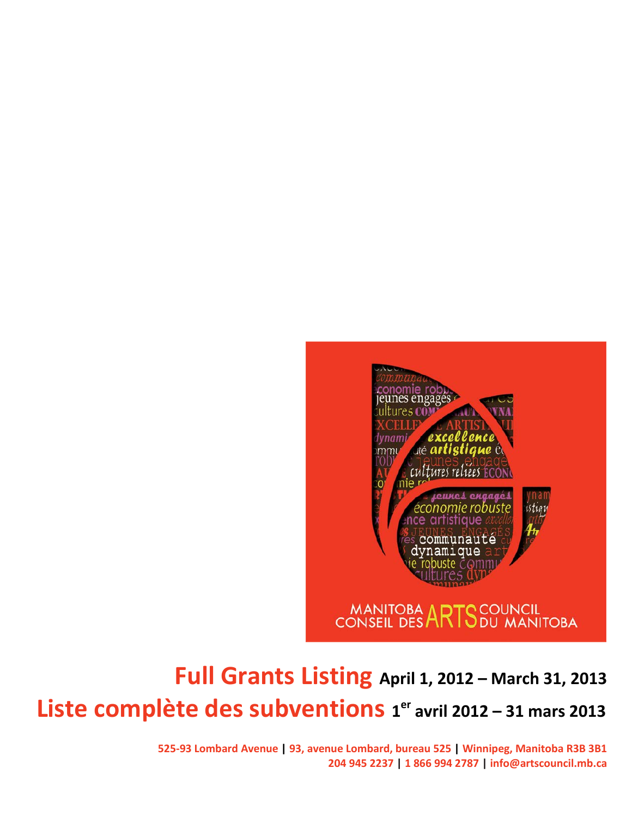

# **Full Grants Listing April 1, 2012 – March 31, 2013 Liste complète des subventions 1er avril 2012 – 31 mars 2013**

**525-93 Lombard Avenue | 93, avenue Lombard, bureau 525 | Winnipeg, Manitoba R3B 3B1 204 945 2237 | 1 866 994 2787 | info@artscouncil.mb.ca**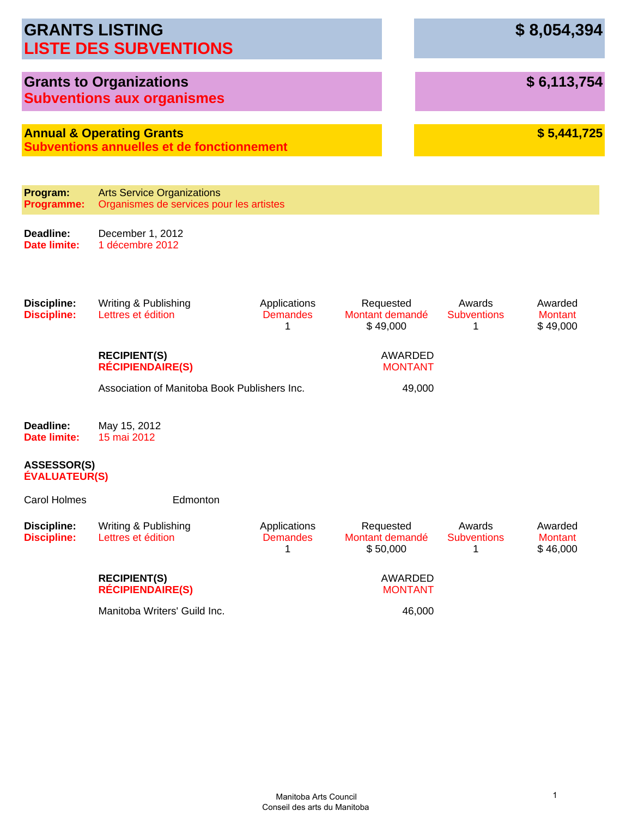|                                            | <b>GRANTS LISTING</b><br><b>LISTE DES SUBVENTIONS</b>                                     |                                      |                                          |                                   | \$8,054,394                           |
|--------------------------------------------|-------------------------------------------------------------------------------------------|--------------------------------------|------------------------------------------|-----------------------------------|---------------------------------------|
|                                            | <b>Grants to Organizations</b><br><b>Subventions aux organismes</b>                       |                                      |                                          |                                   | \$6,113,754                           |
|                                            | <b>Annual &amp; Operating Grants</b><br><b>Subventions annuelles et de fonctionnement</b> |                                      |                                          |                                   | \$5,441,725                           |
| Program:<br><b>Programme:</b>              | <b>Arts Service Organizations</b><br>Organismes de services pour les artistes             |                                      |                                          |                                   |                                       |
| Deadline:<br>Date limite:                  | December 1, 2012<br>1 décembre 2012                                                       |                                      |                                          |                                   |                                       |
| <b>Discipline:</b><br><b>Discipline:</b>   | Writing & Publishing<br>Lettres et édition                                                | Applications<br><b>Demandes</b><br>1 | Requested<br>Montant demandé<br>\$49,000 | Awards<br><b>Subventions</b><br>1 | Awarded<br><b>Montant</b><br>\$49,000 |
|                                            | <b>RECIPIENT(S)</b><br><b>RÉCIPIENDAIRE(S)</b>                                            |                                      | AWARDED<br><b>MONTANT</b>                |                                   |                                       |
|                                            | Association of Manitoba Book Publishers Inc.                                              |                                      | 49,000                                   |                                   |                                       |
| Deadline:<br>Date limite:                  | May 15, 2012<br>15 mai 2012                                                               |                                      |                                          |                                   |                                       |
| <b>ASSESSOR(S)</b><br><b>ÉVALUATEUR(S)</b> |                                                                                           |                                      |                                          |                                   |                                       |
| <b>Carol Holmes</b>                        | Edmonton                                                                                  |                                      |                                          |                                   |                                       |
| <b>Discipline:</b><br><b>Discipline:</b>   | Writing & Publishing<br>Lettres et édition                                                | Applications<br><b>Demandes</b><br>1 | Requested<br>Montant demandé<br>\$50,000 | Awards<br><b>Subventions</b><br>1 | Awarded<br><b>Montant</b><br>\$46,000 |
|                                            | <b>RECIPIENT(S)</b><br><b>RÉCIPIENDAIRE(S)</b>                                            |                                      | AWARDED<br><b>MONTANT</b>                |                                   |                                       |
|                                            | Manitoba Writers' Guild Inc.                                                              |                                      | 46,000                                   |                                   |                                       |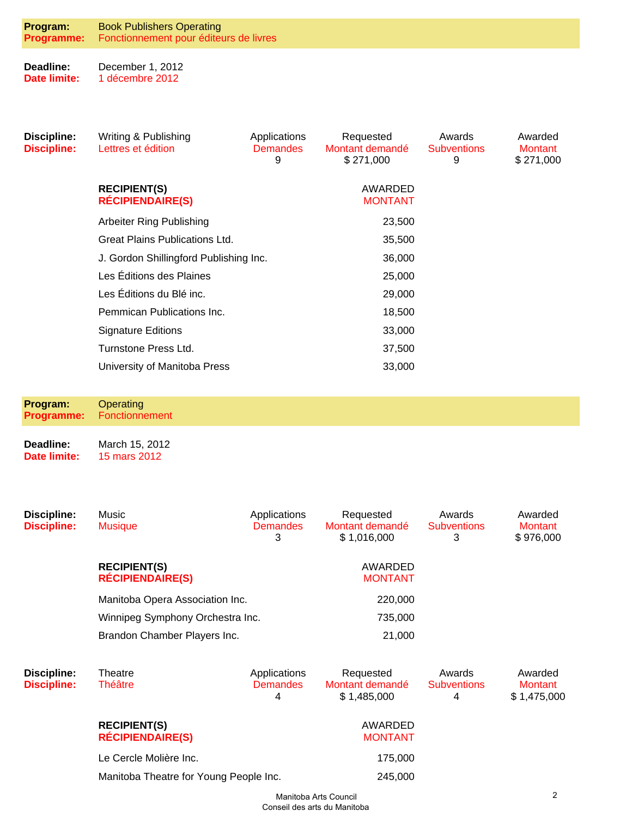| Program:                                 | <b>Book Publishers Operating</b>               |                                      |                                             |                                   |                                        |
|------------------------------------------|------------------------------------------------|--------------------------------------|---------------------------------------------|-----------------------------------|----------------------------------------|
| <b>Programme:</b>                        | Fonctionnement pour éditeurs de livres         |                                      |                                             |                                   |                                        |
| Deadline:<br><b>Date limite:</b>         | December 1, 2012<br>1 décembre 2012            |                                      |                                             |                                   |                                        |
|                                          |                                                |                                      |                                             |                                   |                                        |
| <b>Discipline:</b><br><b>Discipline:</b> | Writing & Publishing<br>Lettres et édition     | Applications<br><b>Demandes</b><br>9 | Requested<br>Montant demandé<br>\$271,000   | Awards<br><b>Subventions</b><br>9 | Awarded<br><b>Montant</b><br>\$271,000 |
|                                          | <b>RECIPIENT(S)</b><br><b>RÉCIPIENDAIRE(S)</b> |                                      | AWARDED<br><b>MONTANT</b>                   |                                   |                                        |
|                                          | Arbeiter Ring Publishing                       |                                      | 23,500                                      |                                   |                                        |
|                                          | <b>Great Plains Publications Ltd.</b>          |                                      | 35,500                                      |                                   |                                        |
|                                          | J. Gordon Shillingford Publishing Inc.         |                                      | 36,000                                      |                                   |                                        |
|                                          | Les Éditions des Plaines                       |                                      | 25,000                                      |                                   |                                        |
|                                          | Les Éditions du Blé inc.                       |                                      | 29,000                                      |                                   |                                        |
|                                          | Pemmican Publications Inc.                     |                                      | 18,500                                      |                                   |                                        |
|                                          | <b>Signature Editions</b>                      |                                      | 33,000                                      |                                   |                                        |
|                                          | Turnstone Press Ltd.                           |                                      | 37,500                                      |                                   |                                        |
|                                          | University of Manitoba Press                   |                                      | 33,000                                      |                                   |                                        |
| Program:<br><b>Programme:</b>            | Operating<br>Fonctionnement                    |                                      |                                             |                                   |                                        |
| Deadline:<br>Date limite:                | March 15, 2012<br>15 mars 2012                 |                                      |                                             |                                   |                                        |
|                                          |                                                |                                      |                                             |                                   |                                        |
| <b>Discipline:</b><br><b>Discipline:</b> | Music<br><b>Musique</b>                        | Applications<br><b>Demandes</b><br>3 | Requested<br>Montant demandé<br>\$1,016,000 | Awards<br><b>Subventions</b><br>3 | Awarded<br><b>Montant</b><br>\$976,000 |
|                                          | <b>RECIPIENT(S)</b><br><b>RÉCIPIENDAIRE(S)</b> |                                      | AWARDED<br><b>MONTANT</b>                   |                                   |                                        |
|                                          | Manitoba Opera Association Inc.                |                                      | 220,000                                     |                                   |                                        |
|                                          | Winnipeg Symphony Orchestra Inc.               |                                      | 735,000                                     |                                   |                                        |
|                                          | Brandon Chamber Players Inc.                   |                                      | 21,000                                      |                                   |                                        |
| Discinling.                              | Theatre                                        | Annlications                         | Requested                                   | Awarde                            | hahıewA                                |

| Discipline:<br><b>Discipline:</b> | Theatre<br><b>Théâtre</b>                      | Applications<br><b>Demandes</b><br>4 | Requested<br>Montant demandé<br>\$1,485,000 | Awards<br><b>Subventions</b><br>4 | Awarded<br>Montant<br>\$1,475,000 |
|-----------------------------------|------------------------------------------------|--------------------------------------|---------------------------------------------|-----------------------------------|-----------------------------------|
|                                   | <b>RECIPIENT(S)</b><br><b>RÉCIPIENDAIRE(S)</b> |                                      | AWARDED<br><b>MONTANT</b>                   |                                   |                                   |
|                                   | Le Cercle Molière Inc.                         |                                      | 175,000                                     |                                   |                                   |
|                                   | Manitoba Theatre for Young People Inc.         |                                      | 245,000                                     |                                   |                                   |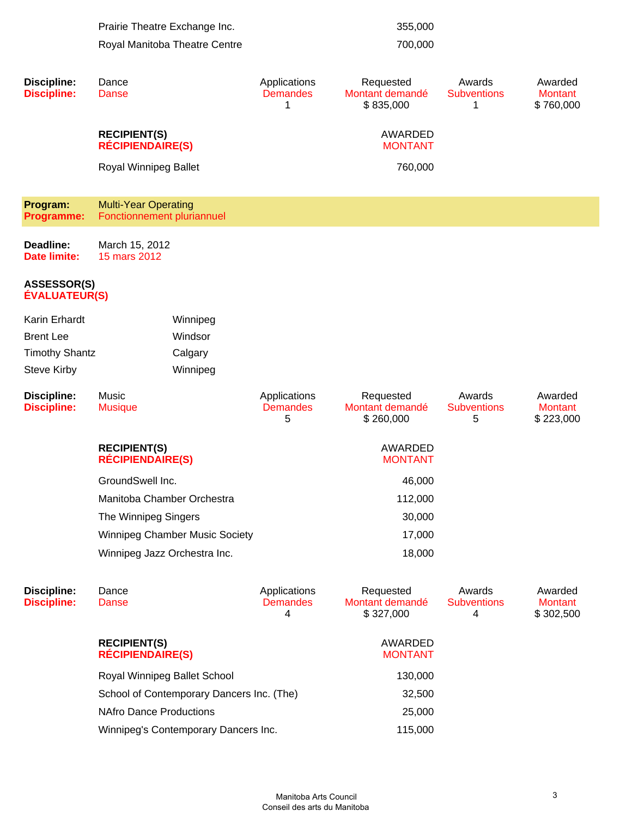|                                            | Prairie Theatre Exchange Inc.                             |                                      | 355,000                                   |                                   |                                        |
|--------------------------------------------|-----------------------------------------------------------|--------------------------------------|-------------------------------------------|-----------------------------------|----------------------------------------|
|                                            | Royal Manitoba Theatre Centre                             |                                      | 700,000                                   |                                   |                                        |
|                                            |                                                           |                                      |                                           |                                   |                                        |
| <b>Discipline:</b><br><b>Discipline:</b>   | Dance<br>Danse                                            | Applications<br><b>Demandes</b><br>1 | Requested<br>Montant demandé<br>\$835,000 | Awards<br><b>Subventions</b><br>1 | Awarded<br>Montant<br>\$760,000        |
|                                            | <b>RECIPIENT(S)</b><br><b>RÉCIPIENDAIRE(S)</b>            |                                      | AWARDED<br><b>MONTANT</b>                 |                                   |                                        |
|                                            | Royal Winnipeg Ballet                                     |                                      | 760,000                                   |                                   |                                        |
| Program:<br>Programme:                     | <b>Multi-Year Operating</b><br>Fonctionnement pluriannuel |                                      |                                           |                                   |                                        |
| Deadline:<br><b>Date limite:</b>           | March 15, 2012<br>15 mars 2012                            |                                      |                                           |                                   |                                        |
| <b>ASSESSOR(S)</b><br><b>ÉVALUATEUR(S)</b> |                                                           |                                      |                                           |                                   |                                        |
| Karin Erhardt                              | Winnipeg                                                  |                                      |                                           |                                   |                                        |
| <b>Brent Lee</b>                           | Windsor                                                   |                                      |                                           |                                   |                                        |
| <b>Timothy Shantz</b>                      | Calgary                                                   |                                      |                                           |                                   |                                        |
| <b>Steve Kirby</b>                         | Winnipeg                                                  |                                      |                                           |                                   |                                        |
| <b>Discipline:</b><br><b>Discipline:</b>   | Music<br><b>Musique</b>                                   | Applications<br><b>Demandes</b><br>5 | Requested<br>Montant demandé<br>\$260,000 | Awards<br><b>Subventions</b><br>5 | Awarded<br><b>Montant</b><br>\$223,000 |
|                                            |                                                           |                                      |                                           |                                   |                                        |
|                                            | <b>RECIPIENT(S)</b><br><b>RÉCIPIENDAIRE(S)</b>            |                                      | AWARDED<br><b>MONTANT</b>                 |                                   |                                        |
|                                            | GroundSwell Inc.                                          |                                      | 46,000                                    |                                   |                                        |
|                                            | Manitoba Chamber Orchestra                                |                                      | 112,000                                   |                                   |                                        |
|                                            | The Winnipeg Singers                                      |                                      | 30,000                                    |                                   |                                        |
|                                            | Winnipeg Chamber Music Society                            |                                      | 17,000                                    |                                   |                                        |
|                                            | Winnipeg Jazz Orchestra Inc.                              |                                      | 18,000                                    |                                   |                                        |
| <b>Discipline:</b><br><b>Discipline:</b>   | Dance<br>Danse                                            | Applications<br><b>Demandes</b><br>4 | Requested<br>Montant demandé<br>\$327,000 | Awards<br><b>Subventions</b><br>4 | Awarded<br><b>Montant</b><br>\$302,500 |
|                                            | <b>RECIPIENT(S)</b><br><b>RÉCIPIENDAIRE(S)</b>            |                                      | AWARDED<br><b>MONTANT</b>                 |                                   |                                        |
|                                            | Royal Winnipeg Ballet School                              |                                      | 130,000                                   |                                   |                                        |
|                                            | School of Contemporary Dancers Inc. (The)                 |                                      | 32,500                                    |                                   |                                        |
|                                            | <b>NAfro Dance Productions</b>                            |                                      | 25,000                                    |                                   |                                        |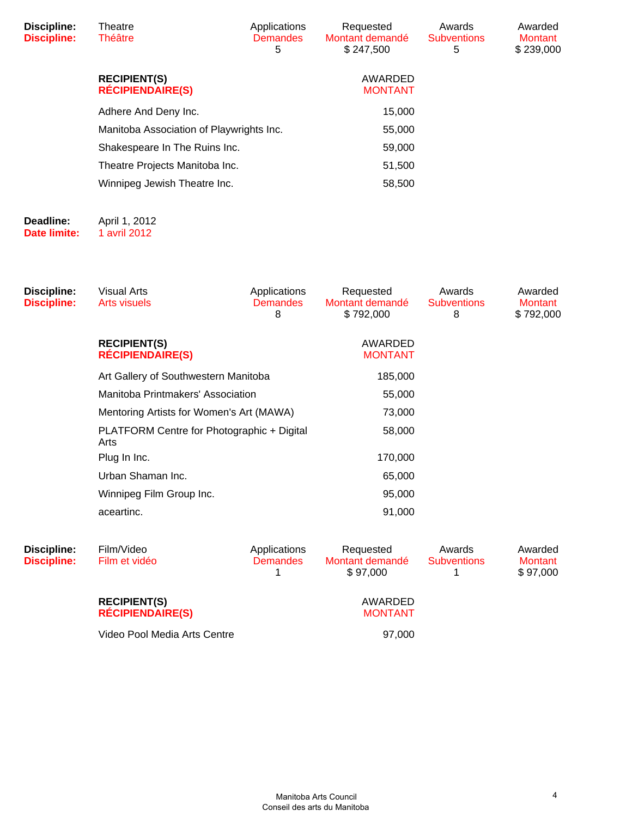| Discipline:<br><b>Discipline:</b> | Theatre<br>Théâtre                             | Applications<br><b>Demandes</b><br>5 | Requested<br>Montant demandé<br>\$247,500 | Awards<br><b>Subventions</b><br>5 | Awarded<br><b>Montant</b><br>\$239,000 |
|-----------------------------------|------------------------------------------------|--------------------------------------|-------------------------------------------|-----------------------------------|----------------------------------------|
|                                   | <b>RECIPIENT(S)</b><br><b>RÉCIPIENDAIRE(S)</b> |                                      | AWARDED<br><b>MONTANT</b>                 |                                   |                                        |
|                                   | Adhere And Deny Inc.                           |                                      | 15,000                                    |                                   |                                        |
|                                   | Manitoba Association of Playwrights Inc.       |                                      | 55,000                                    |                                   |                                        |
|                                   | Shakespeare In The Ruins Inc.                  |                                      | 59,000                                    |                                   |                                        |
|                                   | Theatre Projects Manitoba Inc.                 |                                      | 51,500                                    |                                   |                                        |
|                                   | Winnipeg Jewish Theatre Inc.                   |                                      | 58,500                                    |                                   |                                        |
| Deadline:                         | April 1, 2012                                  |                                      |                                           |                                   |                                        |

**Date limite:** 1 avril 2012

| Discipline:<br><b>Discipline:</b> | <b>Visual Arts</b><br><b>Arts visuels</b>                                                                             | Applications<br><b>Demandes</b><br>8 | Requested<br>Montant demandé<br>\$792,000 | Awards<br><b>Subventions</b><br>8 | Awarded<br><b>Montant</b><br>\$792,000 |
|-----------------------------------|-----------------------------------------------------------------------------------------------------------------------|--------------------------------------|-------------------------------------------|-----------------------------------|----------------------------------------|
|                                   | <b>RECIPIENT(S)</b><br><b>RÉCIPIENDAIRE(S)</b>                                                                        |                                      | AWARDED<br><b>MONTANT</b>                 |                                   |                                        |
|                                   | Art Gallery of Southwestern Manitoba<br>Manitoba Printmakers' Association<br>Mentoring Artists for Women's Art (MAWA) |                                      | 185,000                                   |                                   |                                        |
|                                   |                                                                                                                       |                                      | 55,000                                    |                                   |                                        |
|                                   |                                                                                                                       |                                      | 73,000                                    |                                   |                                        |
|                                   | PLATFORM Centre for Photographic + Digital<br>Arts                                                                    |                                      | 58,000                                    |                                   |                                        |
|                                   | Plug In Inc.                                                                                                          |                                      | 170,000                                   |                                   |                                        |
|                                   | Urban Shaman Inc.                                                                                                     |                                      | 65,000                                    |                                   |                                        |
|                                   | Winnipeg Film Group Inc.                                                                                              |                                      | 95,000                                    |                                   |                                        |
|                                   | aceartinc.                                                                                                            |                                      | 91,000                                    |                                   |                                        |
| Discipline:<br><b>Discipline:</b> | Film/Video<br>Film et vidéo                                                                                           | Applications<br><b>Demandes</b>      | Requested<br>Montant demandé<br>\$97,000  | Awards<br><b>Subventions</b>      | Awarded<br><b>Montant</b><br>\$97,000  |

Video Pool Media Arts Centre **197,000** 

AWARDED MONTANT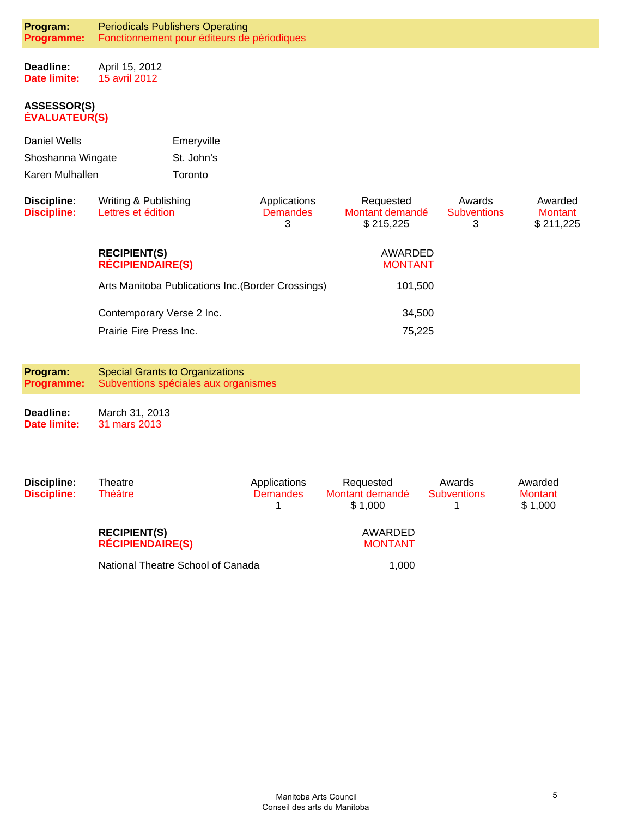**Deadline: Date limite:** April 15, 2012 15 avril 2012

#### **ASSESSOR(S) ÉVALUATEUR(S)**

| Daniel Wells      | Emeryville |
|-------------------|------------|
| Shoshanna Wingate | St. John's |
| Karen Mulhallen   | Toronto    |

| Discipline:<br><b>Discipline:</b> | Writing & Publishing<br>Lettres et édition         | Applications<br><b>Demandes</b><br>3 | Requested<br>Montant demandé<br>\$215.225 | Awards<br><b>Subventions</b><br>3 | Awarded<br>Montant<br>\$211,225 |
|-----------------------------------|----------------------------------------------------|--------------------------------------|-------------------------------------------|-----------------------------------|---------------------------------|
|                                   | <b>RECIPIENT(S)</b><br><b>RÉCIPIENDAIRE(S)</b>     |                                      | AWARDED<br><b>MONTANT</b>                 |                                   |                                 |
|                                   | Arts Manitoba Publications Inc. (Border Crossings) |                                      | 101,500                                   |                                   |                                 |
|                                   | Contemporary Verse 2 Inc.                          |                                      | 34,500                                    |                                   |                                 |
|                                   | Prairie Fire Press Inc.                            |                                      | 75,225                                    |                                   |                                 |

**Program: Programme:** Special Grants to Organizations Subventions spéciales aux organismes

**Deadline: Date limite:** March 31, 2013 31 mars 2013

| Discipline:<br><b>Discipline:</b> | Theatre<br>Théâtre                             | Applications<br><b>Demandes</b> | Requested<br>Montant demandé<br>\$1.000 | Awards<br><b>Subventions</b> | Awarded<br><b>Montant</b><br>\$1,000 |
|-----------------------------------|------------------------------------------------|---------------------------------|-----------------------------------------|------------------------------|--------------------------------------|
|                                   | <b>RECIPIENT(S)</b><br><b>RÉCIPIENDAIRE(S)</b> |                                 | AWARDED<br><b>MONTANT</b>               |                              |                                      |
|                                   | National Theatre School of Canada              |                                 | 1.000                                   |                              |                                      |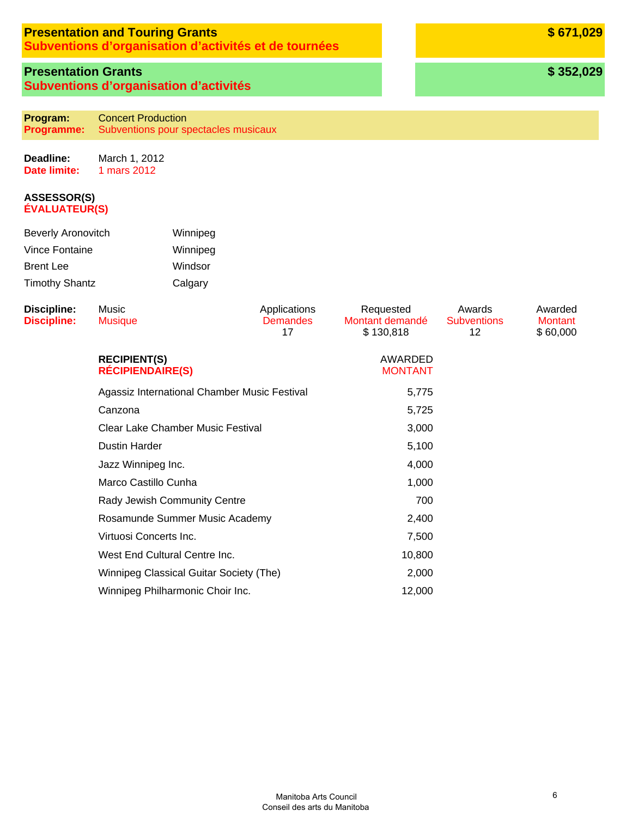### **Presentation and Touring Grants**

**Subventions d'organisation d'activités et de tournées**

### **Presentation Grants Subventions d'organisation d'activités**

**Program: Programme:** Concert Production Subventions pour spectacles musicaux

**Deadline: Date limite:** March 1, 2012 1 mars 2012

#### **ASSESSOR(S) ÉVALUATEUR(S)**

| <b>Beverly Aronovitch</b> | Winnipeg |
|---------------------------|----------|
| Vince Fontaine            | Winnipeg |
| <b>Brent Lee</b>          | Windsor  |
| <b>Timothy Shantz</b>     | Calgary  |

| Discipline:<br><b>Discipline:</b> | Music<br><b>Musique</b>                        | Applications<br><b>Demandes</b><br>17 | Requested<br>Montant demandé<br>\$130,818 | Awards<br><b>Subventions</b><br>12 | Awarded<br><b>Montant</b><br>\$60,000 |
|-----------------------------------|------------------------------------------------|---------------------------------------|-------------------------------------------|------------------------------------|---------------------------------------|
|                                   | <b>RECIPIENT(S)</b><br><b>RÉCIPIENDAIRE(S)</b> |                                       | AWARDED<br><b>MONTANT</b>                 |                                    |                                       |
|                                   | Agassiz International Chamber Music Festival   |                                       | 5,775                                     |                                    |                                       |
|                                   | Canzona                                        |                                       | 5,725                                     |                                    |                                       |
|                                   | Clear Lake Chamber Music Festival              |                                       | 3,000                                     |                                    |                                       |
|                                   | <b>Dustin Harder</b>                           |                                       | 5,100                                     |                                    |                                       |
|                                   | Jazz Winnipeg Inc.                             |                                       | 4,000                                     |                                    |                                       |
|                                   | Marco Castillo Cunha                           |                                       | 1,000                                     |                                    |                                       |
|                                   | Rady Jewish Community Centre                   |                                       | 700                                       |                                    |                                       |
|                                   | Rosamunde Summer Music Academy                 |                                       | 2,400                                     |                                    |                                       |
|                                   | Virtuosi Concerts Inc.                         |                                       | 7,500                                     |                                    |                                       |
|                                   | West End Cultural Centre Inc.                  |                                       | 10,800                                    |                                    |                                       |
|                                   | Winnipeg Classical Guitar Society (The)        |                                       | 2,000                                     |                                    |                                       |
|                                   | Winnipeg Philharmonic Choir Inc.               |                                       | 12,000                                    |                                    |                                       |

**\$ 671,029**

**\$ 352,029**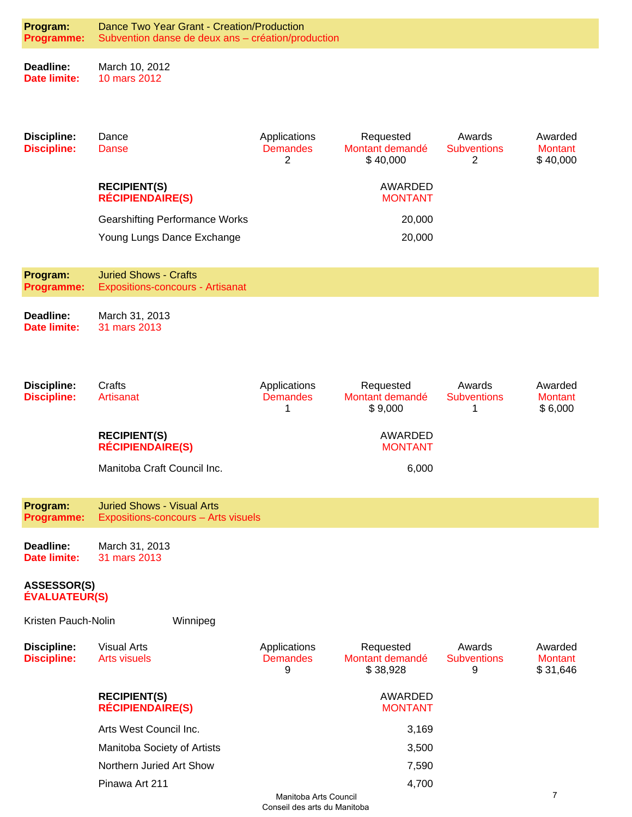| Program:<br>Programme:                     | Dance Two Year Grant - Creation/Production<br>Subvention danse de deux ans - création/production |                                      |                                          |                                   |                                       |  |  |
|--------------------------------------------|--------------------------------------------------------------------------------------------------|--------------------------------------|------------------------------------------|-----------------------------------|---------------------------------------|--|--|
| Deadline:<br><b>Date limite:</b>           | March 10, 2012<br>10 mars 2012                                                                   |                                      |                                          |                                   |                                       |  |  |
| <b>Discipline:</b><br><b>Discipline:</b>   | Dance<br><b>Danse</b>                                                                            | Applications<br><b>Demandes</b><br>2 | Requested<br>Montant demandé<br>\$40,000 | Awards<br><b>Subventions</b><br>2 | Awarded<br><b>Montant</b><br>\$40,000 |  |  |
|                                            | <b>RECIPIENT(S)</b><br><b>RÉCIPIENDAIRE(S)</b>                                                   |                                      | AWARDED<br><b>MONTANT</b>                |                                   |                                       |  |  |
|                                            | <b>Gearshifting Performance Works</b>                                                            |                                      | 20,000                                   |                                   |                                       |  |  |
|                                            | Young Lungs Dance Exchange                                                                       |                                      | 20,000                                   |                                   |                                       |  |  |
| Program:<br>Programme:                     | <b>Juried Shows - Crafts</b><br><b>Expositions-concours - Artisanat</b>                          |                                      |                                          |                                   |                                       |  |  |
| Deadline:<br><b>Date limite:</b>           | March 31, 2013<br>31 mars 2013                                                                   |                                      |                                          |                                   |                                       |  |  |
| <b>Discipline:</b><br><b>Discipline:</b>   | Crafts<br>Artisanat                                                                              | Applications<br><b>Demandes</b><br>1 | Requested<br>Montant demandé<br>\$9,000  | Awards<br><b>Subventions</b><br>1 | Awarded<br><b>Montant</b><br>\$6,000  |  |  |
|                                            | <b>RECIPIENT(S)</b><br><b>RÉCIPIENDAIRE(S)</b>                                                   |                                      | AWARDED<br><b>MONTANT</b>                |                                   |                                       |  |  |
|                                            | Manitoba Craft Council Inc.                                                                      |                                      | 6,000                                    |                                   |                                       |  |  |
| Program:<br><b>Programme:</b>              | <b>Juried Shows - Visual Arts</b><br>Expositions-concours - Arts visuels                         |                                      |                                          |                                   |                                       |  |  |
| Deadline:<br><b>Date limite:</b>           | March 31, 2013<br>31 mars 2013                                                                   |                                      |                                          |                                   |                                       |  |  |
| <b>ASSESSOR(S)</b><br><b>ÉVALUATEUR(S)</b> |                                                                                                  |                                      |                                          |                                   |                                       |  |  |
| Kristen Pauch-Nolin                        | Winnipeg                                                                                         |                                      |                                          |                                   |                                       |  |  |
| <b>Discipline:</b><br><b>Discipline:</b>   | <b>Visual Arts</b><br><b>Arts visuels</b>                                                        | Applications<br><b>Demandes</b><br>9 | Requested<br>Montant demandé<br>\$38,928 | Awards<br><b>Subventions</b><br>9 | Awarded<br><b>Montant</b><br>\$31,646 |  |  |
|                                            | <b>RECIPIENT(S)</b><br><b>RÉCIPIENDAIRE(S)</b>                                                   |                                      | <b>AWARDED</b><br><b>MONTANT</b>         |                                   |                                       |  |  |
|                                            | Arts West Council Inc.                                                                           |                                      | 3,169                                    |                                   |                                       |  |  |
|                                            | Manitoba Society of Artists                                                                      |                                      | 3,500                                    |                                   |                                       |  |  |
|                                            | Northern Juried Art Show                                                                         |                                      | 7,590                                    |                                   |                                       |  |  |
|                                            | Pinawa Art 211                                                                                   |                                      | 4,700                                    |                                   |                                       |  |  |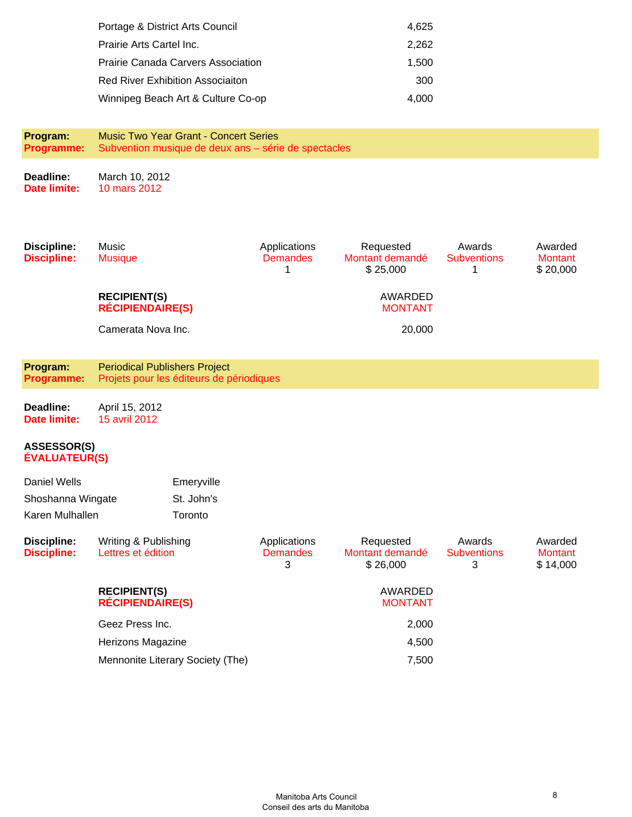| Portage & District Arts Council           | 4.625 |
|-------------------------------------------|-------|
| Prairie Arts Cartel Inc.                  | 2.262 |
| <b>Prairie Canada Carvers Association</b> | 1.500 |
| <b>Red River Exhibition Associaiton</b>   | 300   |
| Winnipeg Beach Art & Culture Co-op        | 4.000 |

**Program: Programme:** Music Two Year Grant - Concert Series Subvention musique de deux ans – série de spectacles

**Deadline: Date limite:** March 10, 2012 10 mars 2012

| <b>Discipline:</b><br><b>Discipline:</b>   | Music<br><b>Musique</b>                        |                                          | Applications<br><b>Demandes</b><br>1 | Requested<br>Montant demandé<br>\$25,000 | Awards<br><b>Subventions</b><br>1 | Awarded<br><b>Montant</b><br>\$20,000 |
|--------------------------------------------|------------------------------------------------|------------------------------------------|--------------------------------------|------------------------------------------|-----------------------------------|---------------------------------------|
|                                            | <b>RECIPIENT(S)</b><br><b>RÉCIPIENDAIRE(S)</b> |                                          |                                      | <b>AWARDED</b><br><b>MONTANT</b>         |                                   |                                       |
|                                            | Camerata Nova Inc.                             |                                          |                                      | 20,000                                   |                                   |                                       |
| Program:<br>Programme:                     | <b>Periodical Publishers Project</b>           | Projets pour les éditeurs de périodiques |                                      |                                          |                                   |                                       |
| Deadline:<br><b>Date limite:</b>           | April 15, 2012<br>15 avril 2012                |                                          |                                      |                                          |                                   |                                       |
| <b>ASSESSOR(S)</b><br><b>ÉVALUATEUR(S)</b> |                                                |                                          |                                      |                                          |                                   |                                       |
| <b>Daniel Wells</b>                        |                                                | Emeryville                               |                                      |                                          |                                   |                                       |
| Shoshanna Wingate                          |                                                | St. John's                               |                                      |                                          |                                   |                                       |
| Karen Mulhallen                            |                                                | Toronto                                  |                                      |                                          |                                   |                                       |
| <b>Discipline:</b><br><b>Discipline:</b>   | Writing & Publishing<br>Lettres et édition     |                                          | Applications<br><b>Demandes</b><br>3 | Requested<br>Montant demandé<br>\$26,000 | Awards<br><b>Subventions</b><br>3 | Awarded<br><b>Montant</b><br>\$14,000 |
|                                            | <b>RECIPIENT(S)</b><br><b>RÉCIPIENDAIRE(S)</b> |                                          |                                      | <b>AWARDED</b><br><b>MONTANT</b>         |                                   |                                       |
|                                            | Geez Press Inc.                                |                                          |                                      | 2,000                                    |                                   |                                       |
|                                            | Herizons Magazine                              |                                          |                                      | 4,500                                    |                                   |                                       |

Mennonite Literary Society (The) 7,500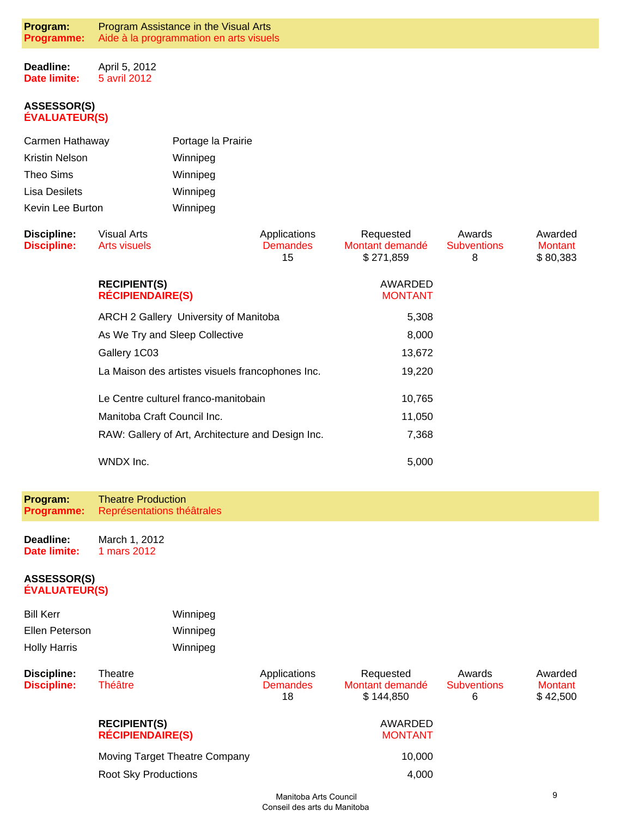**Deadline: Date limite:** April 5, 2012 5 avril 2012

#### **ASSESSOR(S) ÉVALUATEUR(S)**

| Carmen Hathaway  | Portage la Prairie |
|------------------|--------------------|
| Kristin Nelson   | Winnipeg           |
| Theo Sims        | Winnipeg           |
| Lisa Desilets    | Winnipeg           |
| Kevin Lee Burton | Winnipeg           |

| <b>Discipline:</b><br><b>Discipline:</b> | Visual Arts<br>Arts visuels                       | Applications<br><b>Demandes</b><br>15 | Requested<br>Montant demandé<br>\$271,859 | Awards<br><b>Subventions</b><br>8 | Awarded<br><b>Montant</b><br>\$80,383 |
|------------------------------------------|---------------------------------------------------|---------------------------------------|-------------------------------------------|-----------------------------------|---------------------------------------|
|                                          | <b>RECIPIENT(S)</b><br><b>RÉCIPIENDAIRE(S)</b>    |                                       | AWARDED<br><b>MONTANT</b>                 |                                   |                                       |
|                                          | ARCH 2 Gallery University of Manitoba             |                                       | 5,308                                     |                                   |                                       |
|                                          | As We Try and Sleep Collective                    | 8,000                                 |                                           |                                   |                                       |
|                                          | Gallery 1C03                                      | 13,672                                |                                           |                                   |                                       |
|                                          | La Maison des artistes visuels francophones Inc.  |                                       | 19,220                                    |                                   |                                       |
|                                          | Le Centre culturel franco-manitobain              |                                       | 10,765                                    |                                   |                                       |
|                                          | Manitoba Craft Council Inc.                       | 11,050                                |                                           |                                   |                                       |
|                                          | RAW: Gallery of Art, Architecture and Design Inc. |                                       | 7,368                                     |                                   |                                       |
|                                          | WNDX Inc.                                         |                                       | 5,000                                     |                                   |                                       |

**Program: Programme:** Theatre Production Représentations théâtrales

**Deadline: Date limite:** March 1, 2012 1 mars 2012

| <b>Bill Kerr</b>    | Winnipeg |
|---------------------|----------|
| Ellen Peterson      | Winnipeg |
| <b>Holly Harris</b> | Winnipeg |

| Discipline:<br><b>Discipline:</b> | Theatre<br><b>Théâtre</b>                                    | Applications<br><b>Demandes</b><br>18 | Requested<br>Montant demandé<br>\$144,850 | Awards<br><b>Subventions</b><br>6 | Awarded<br>Montant<br>\$42,500 |
|-----------------------------------|--------------------------------------------------------------|---------------------------------------|-------------------------------------------|-----------------------------------|--------------------------------|
|                                   | <b>RECIPIENT(S)</b><br><b>RÉCIPIENDAIRE(S)</b>               |                                       | AWARDED<br><b>MONTANT</b>                 |                                   |                                |
|                                   | Moving Target Theatre Company<br><b>Root Sky Productions</b> |                                       | 10.000<br>4,000                           |                                   |                                |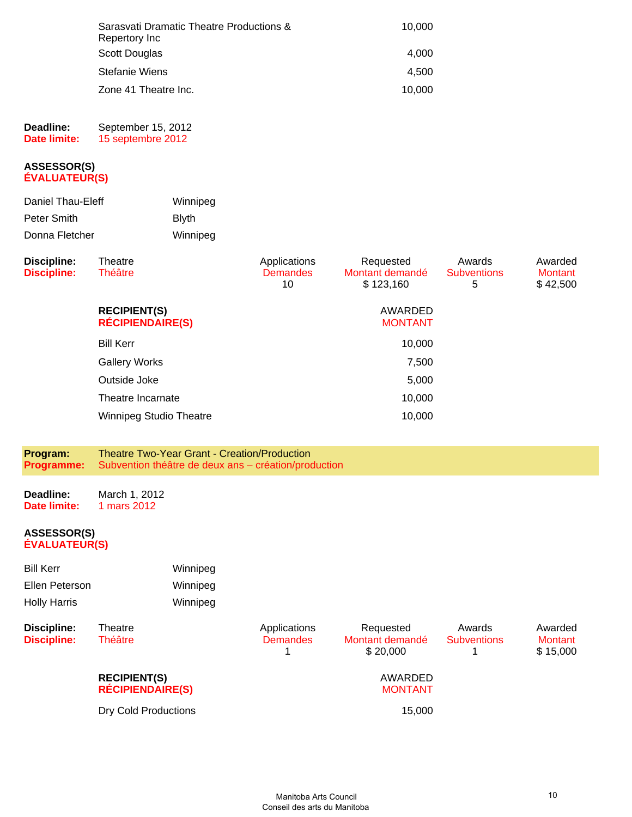| Sarasvati Dramatic Theatre Productions &<br>Repertory Inc | 10,000 |
|-----------------------------------------------------------|--------|
| Scott Douglas                                             | 4.000  |
| Stefanie Wiens                                            | 4.500  |
| Zone 41 Theatre Inc.                                      | 10.000 |

#### **Deadline: Date limite:** September 15, 2012 15 septembre 2012

#### **ASSESSOR(S) ÉVALUATEUR(S)**

| Daniel Thau-Eleff | Winnipeg      |
|-------------------|---------------|
| Peter Smith       | <b>B</b> lvth |
| Donna Fletcher    | Winnipeg      |

| Discipline:<br><b>Discipline:</b> | Theatre<br><b>Théâtre</b>                      | Applications<br><b>Demandes</b><br>10 | Requested<br>Montant demandé<br>\$123,160 | Awards<br><b>Subventions</b><br>5 | Awarded<br><b>Montant</b><br>\$42,500 |
|-----------------------------------|------------------------------------------------|---------------------------------------|-------------------------------------------|-----------------------------------|---------------------------------------|
|                                   | <b>RECIPIENT(S)</b><br><b>RÉCIPIENDAIRE(S)</b> |                                       | AWARDED<br><b>MONTANT</b>                 |                                   |                                       |
|                                   | <b>Bill Kerr</b>                               |                                       | 10,000                                    |                                   |                                       |
|                                   | <b>Gallery Works</b>                           |                                       | 7,500                                     |                                   |                                       |
|                                   | Outside Joke                                   |                                       | 5,000                                     |                                   |                                       |
|                                   | Theatre Incarnate                              |                                       | 10,000                                    |                                   |                                       |
|                                   | <b>Winnipeg Studio Theatre</b>                 |                                       | 10,000                                    |                                   |                                       |

| <b>Programme:</b> Subvention théâtre de deux ans – création/production |
|------------------------------------------------------------------------|
|------------------------------------------------------------------------|

**Deadline: Date limite:** March 1, 2012 1 mars 2012

| <b>Bill Kerr</b><br>Ellen Peterson<br><b>Holly Harris</b> |                                                | Winnipeg<br>Winnipeg<br>Winnipeg |                                 |                                          |                              |                                       |
|-----------------------------------------------------------|------------------------------------------------|----------------------------------|---------------------------------|------------------------------------------|------------------------------|---------------------------------------|
| <b>Discipline:</b><br><b>Discipline:</b>                  | Theatre<br>Théâtre                             |                                  | Applications<br><b>Demandes</b> | Requested<br>Montant demandé<br>\$20,000 | Awards<br><b>Subventions</b> | Awarded<br><b>Montant</b><br>\$15,000 |
|                                                           | <b>RECIPIENT(S)</b><br><b>RÉCIPIENDAIRE(S)</b> |                                  |                                 | AWARDED<br><b>MONTANT</b>                |                              |                                       |
|                                                           | <b>Dry Cold Productions</b>                    |                                  |                                 | 15,000                                   |                              |                                       |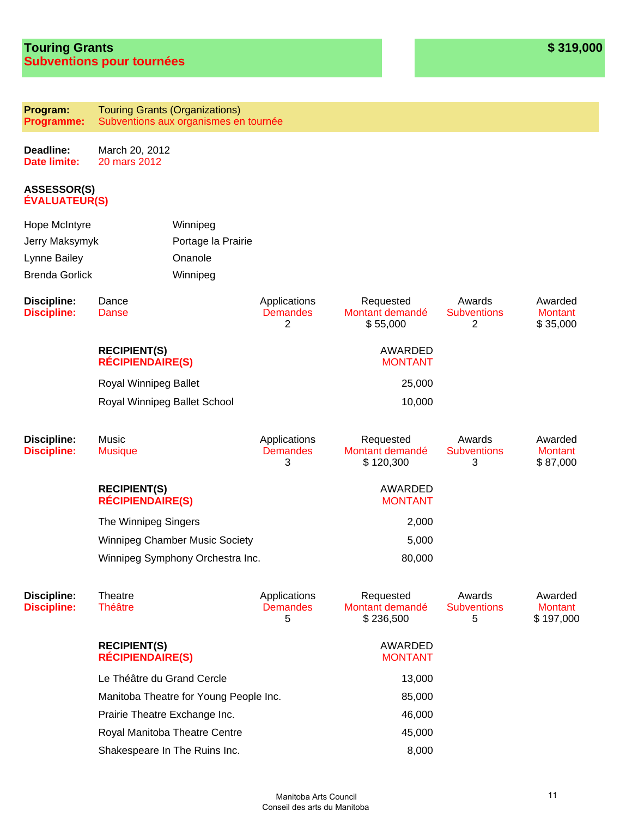**Program: Programme:** Touring Grants (Organizations) Subventions aux organismes en tournée

**Deadline: Date limite:** March 20, 2012 20 mars 2012

| Hope McIntyre<br>Jerry Maksymyk<br>Lynne Bailey<br><b>Brenda Gorlick</b> |                                                | Winnipeg<br>Portage la Prairie<br>Onanole<br>Winnipeg |                                      |                                           |                                                |                                        |
|--------------------------------------------------------------------------|------------------------------------------------|-------------------------------------------------------|--------------------------------------|-------------------------------------------|------------------------------------------------|----------------------------------------|
| <b>Discipline:</b><br><b>Discipline:</b>                                 | Dance<br>Danse                                 |                                                       | Applications<br><b>Demandes</b><br>2 | Requested<br>Montant demandé<br>\$55,000  | Awards<br><b>Subventions</b><br>$\overline{2}$ | Awarded<br><b>Montant</b><br>\$35,000  |
|                                                                          | <b>RECIPIENT(S)</b><br><b>RÉCIPIENDAIRE(S)</b> |                                                       |                                      | AWARDED<br><b>MONTANT</b>                 |                                                |                                        |
|                                                                          | Royal Winnipeg Ballet                          |                                                       |                                      | 25,000                                    |                                                |                                        |
|                                                                          |                                                | Royal Winnipeg Ballet School                          |                                      | 10,000                                    |                                                |                                        |
| <b>Discipline:</b><br><b>Discipline:</b>                                 | Music<br><b>Musique</b>                        |                                                       | Applications<br><b>Demandes</b><br>3 | Requested<br>Montant demandé<br>\$120,300 | Awards<br><b>Subventions</b><br>3              | Awarded<br><b>Montant</b><br>\$87,000  |
|                                                                          | <b>RECIPIENT(S)</b><br><b>RÉCIPIENDAIRE(S)</b> |                                                       |                                      | <b>AWARDED</b><br><b>MONTANT</b>          |                                                |                                        |
|                                                                          | The Winnipeg Singers                           |                                                       |                                      | 2,000                                     |                                                |                                        |
|                                                                          |                                                | <b>Winnipeg Chamber Music Society</b>                 |                                      | 5,000                                     |                                                |                                        |
|                                                                          |                                                | Winnipeg Symphony Orchestra Inc.                      |                                      | 80,000                                    |                                                |                                        |
| <b>Discipline:</b><br><b>Discipline:</b>                                 | Theatre<br><b>Théâtre</b>                      |                                                       | Applications<br><b>Demandes</b><br>5 | Requested<br>Montant demandé<br>\$236,500 | Awards<br><b>Subventions</b><br>5              | Awarded<br><b>Montant</b><br>\$197,000 |
|                                                                          | <b>RECIPIENT(S)</b><br><b>RÉCIPIENDAIRE(S)</b> |                                                       |                                      | AWARDED<br><b>MONTANT</b>                 |                                                |                                        |
|                                                                          | Le Théâtre du Grand Cercle                     |                                                       |                                      | 13,000                                    |                                                |                                        |
|                                                                          | Manitoba Theatre for Young People Inc.         |                                                       |                                      | 85,000                                    |                                                |                                        |
|                                                                          |                                                | Prairie Theatre Exchange Inc.                         |                                      | 46,000                                    |                                                |                                        |
|                                                                          |                                                | Royal Manitoba Theatre Centre                         |                                      | 45,000                                    |                                                |                                        |
|                                                                          | Shakespeare In The Ruins Inc.                  |                                                       |                                      | 8,000                                     |                                                |                                        |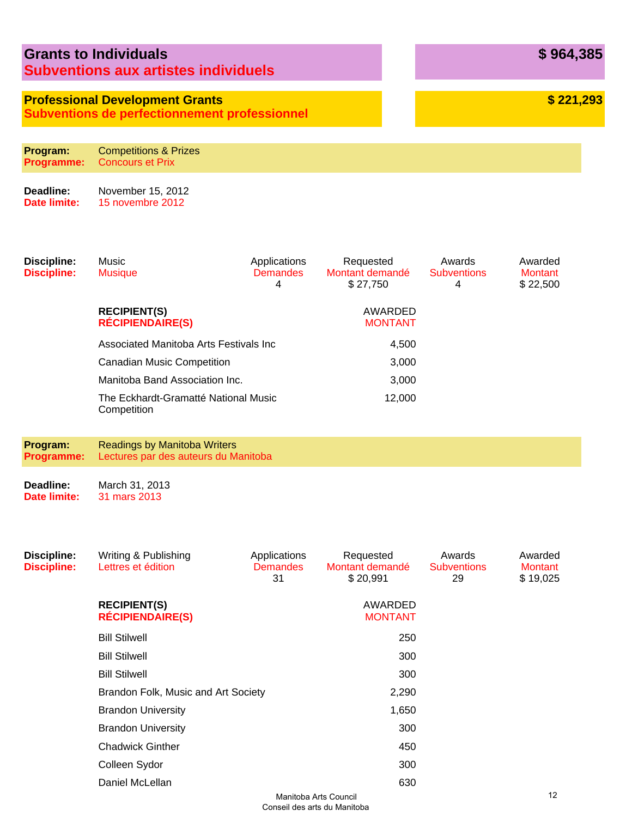| <b>Grants to Individuals</b>                |  |
|---------------------------------------------|--|
| <b>Subventions aux artistes individuels</b> |  |

# **Professional Development Grants**

**Subventions de perfectionnement professionnel**

**Program: Programme:** Competitions & Prizes Concours et Prix

**Deadline: Date limite:** November 15, 2012 15 novembre 2012

| Discipline:<br><b>Discipline:</b> | Music<br><b>Musique</b>                             | Applications<br><b>Demandes</b><br>4 | Requested<br>Montant demandé<br>\$27.750 | Awards<br><b>Subventions</b><br>4 | Awarded<br>Montant<br>\$22,500 |
|-----------------------------------|-----------------------------------------------------|--------------------------------------|------------------------------------------|-----------------------------------|--------------------------------|
|                                   | <b>RECIPIENT(S)</b><br><b>RÉCIPIENDAIRE(S)</b>      |                                      | AWARDED<br><b>MONTANT</b>                |                                   |                                |
|                                   | Associated Manitoba Arts Festivals Inc              | 4,500                                |                                          |                                   |                                |
|                                   | <b>Canadian Music Competition</b>                   | 3,000                                |                                          |                                   |                                |
|                                   | Manitoba Band Association Inc.                      | 3,000                                |                                          |                                   |                                |
|                                   | The Eckhardt-Gramatté National Music<br>Competition |                                      | 12,000                                   |                                   |                                |
|                                   |                                                     |                                      |                                          |                                   |                                |

**Program: Programme:** Readings by Manitoba Writers Lectures par des auteurs du Manitoba

**Deadline: Date limite:** March 31, 2013 31 mars 2013

| Discipline:<br><b>Discipline:</b> | Writing & Publishing<br>Lettres et édition     | Applications<br><b>Demandes</b><br>31 | Requested<br>Montant demandé<br>\$20,991 | Awards<br><b>Subventions</b><br>29 | Awarded<br><b>Montant</b><br>\$19,025 |
|-----------------------------------|------------------------------------------------|---------------------------------------|------------------------------------------|------------------------------------|---------------------------------------|
|                                   | <b>RECIPIENT(S)</b><br><b>RÉCIPIENDAIRE(S)</b> |                                       | AWARDED<br><b>MONTANT</b>                |                                    |                                       |
|                                   | <b>Bill Stilwell</b>                           |                                       | 250                                      |                                    |                                       |
|                                   | <b>Bill Stilwell</b>                           |                                       | 300                                      |                                    |                                       |
|                                   | <b>Bill Stilwell</b>                           |                                       | 300                                      |                                    |                                       |
|                                   | Brandon Folk, Music and Art Society            |                                       | 2,290                                    |                                    |                                       |
|                                   | <b>Brandon University</b>                      |                                       | 1,650                                    |                                    |                                       |
|                                   | <b>Brandon University</b>                      |                                       | 300                                      |                                    |                                       |
|                                   | <b>Chadwick Ginther</b>                        |                                       | 450                                      |                                    |                                       |
|                                   | Colleen Sydor                                  |                                       | 300                                      |                                    |                                       |
|                                   | Daniel McLellan                                |                                       | 630<br>$M$ anitaha Arta Caunail          |                                    | 12                                    |

**\$ 964,385**

**\$ 221,293**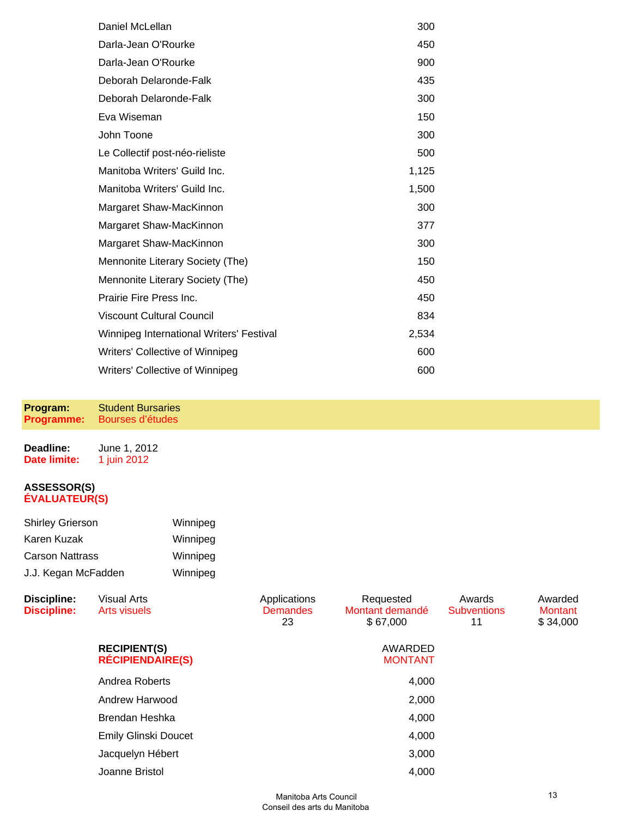| Daniel McLellan                          | 300   |
|------------------------------------------|-------|
| Darla-Jean O'Rourke                      | 450   |
| Darla-Jean O'Rourke                      | 900   |
| Deborah Delaronde-Falk                   | 435   |
| Deborah Delaronde-Falk                   | 300   |
| Eva Wiseman                              | 150   |
| John Toone                               | 300   |
| Le Collectif post-néo-rieliste           | 500   |
| Manitoba Writers' Guild Inc.             | 1,125 |
| Manitoba Writers' Guild Inc.             | 1,500 |
| Margaret Shaw-MacKinnon                  | 300   |
| Margaret Shaw-MacKinnon                  | 377   |
| Margaret Shaw-MacKinnon                  | 300   |
| Mennonite Literary Society (The)         | 150   |
| Mennonite Literary Society (The)         | 450   |
| Prairie Fire Press Inc.                  | 450   |
| <b>Viscount Cultural Council</b>         | 834   |
| Winnipeg International Writers' Festival | 2,534 |
| Writers' Collective of Winnipeg          | 600   |
| Writers' Collective of Winnipeg          | 600   |

**Program: Programme:** Student Bursaries Bourses d'études

| Deadline:    | June 1, 2012 |
|--------------|--------------|
| Date limite: | 1 juin 2012  |

| <b>Shirley Grierson</b> | Winnipeg |
|-------------------------|----------|
| Karen Kuzak             | Winnipeg |
| <b>Carson Nattrass</b>  | Winnipeg |
| J.J. Kegan McFadden     | Winnipeg |

| <b>Discipline:</b><br><b>Discipline:</b> | <b>Visual Arts</b><br>Arts visuels             | Applications<br><b>Demandes</b><br>23 | Requested<br>Montant demandé<br>\$67,000 | Awards<br><b>Subventions</b><br>11 | Awarded<br><b>Montant</b><br>\$34,000 |
|------------------------------------------|------------------------------------------------|---------------------------------------|------------------------------------------|------------------------------------|---------------------------------------|
|                                          | <b>RECIPIENT(S)</b><br><b>RÉCIPIENDAIRE(S)</b> |                                       | AWARDED<br><b>MONTANT</b>                |                                    |                                       |
|                                          | Andrea Roberts                                 |                                       | 4,000                                    |                                    |                                       |
|                                          | Andrew Harwood                                 |                                       | 2,000                                    |                                    |                                       |
|                                          | Brendan Heshka                                 |                                       | 4,000                                    |                                    |                                       |
|                                          | <b>Emily Glinski Doucet</b>                    |                                       | 4,000                                    |                                    |                                       |
|                                          | Jacquelyn Hébert                               |                                       | 3,000                                    |                                    |                                       |
|                                          | Joanne Bristol                                 |                                       | 4,000                                    |                                    |                                       |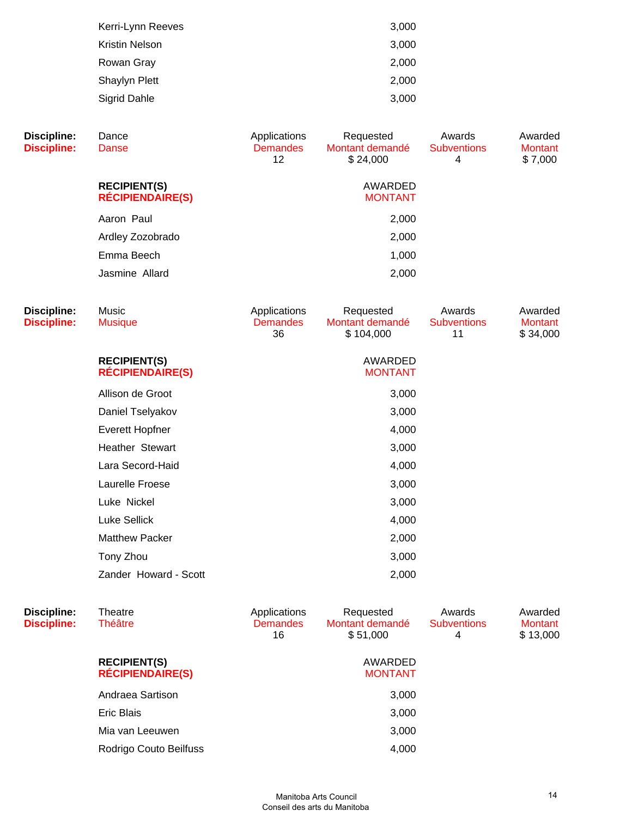| Kerri-Lynn Reeves | 3,000 |
|-------------------|-------|
| Kristin Nelson    | 3,000 |
| Rowan Gray        | 2,000 |
| Shaylyn Plett     | 2,000 |
| Sigrid Dahle      | 3,000 |
|                   |       |

| <b>Discipline:</b><br><b>Discipline:</b> | Dance<br>Danse                                 | Applications<br><b>Demandes</b><br>12 | Requested<br>Montant demandé<br>\$24,000  | Awards<br><b>Subventions</b><br>$\overline{4}$ | Awarded<br><b>Montant</b><br>\$7,000  |
|------------------------------------------|------------------------------------------------|---------------------------------------|-------------------------------------------|------------------------------------------------|---------------------------------------|
|                                          | <b>RECIPIENT(S)</b><br><b>RÉCIPIENDAIRE(S)</b> |                                       | AWARDED<br><b>MONTANT</b>                 |                                                |                                       |
|                                          | Aaron Paul                                     |                                       | 2,000                                     |                                                |                                       |
|                                          | Ardley Zozobrado                               |                                       | 2,000                                     |                                                |                                       |
|                                          | Emma Beech                                     |                                       | 1,000                                     |                                                |                                       |
|                                          | Jasmine Allard                                 |                                       | 2,000                                     |                                                |                                       |
| <b>Discipline:</b><br><b>Discipline:</b> | Music<br><b>Musique</b>                        | Applications<br><b>Demandes</b><br>36 | Requested<br>Montant demandé<br>\$104,000 | Awards<br><b>Subventions</b><br>11             | Awarded<br><b>Montant</b><br>\$34,000 |
|                                          | <b>RECIPIENT(S)</b><br><b>RÉCIPIENDAIRE(S)</b> |                                       | AWARDED<br><b>MONTANT</b>                 |                                                |                                       |
|                                          | Allison de Groot                               |                                       | 3,000                                     |                                                |                                       |
|                                          | Daniel Tselyakov                               |                                       | 3,000                                     |                                                |                                       |
|                                          | Everett Hopfner                                |                                       | 4,000                                     |                                                |                                       |
|                                          | Heather Stewart                                |                                       | 3,000                                     |                                                |                                       |
|                                          | Lara Secord-Haid                               |                                       | 4,000                                     |                                                |                                       |
|                                          | Laurelle Froese                                |                                       | 3,000                                     |                                                |                                       |
|                                          | Luke Nickel                                    |                                       | 3,000                                     |                                                |                                       |
|                                          | <b>Luke Sellick</b>                            |                                       | 4,000                                     |                                                |                                       |
|                                          | <b>Matthew Packer</b>                          |                                       | 2,000                                     |                                                |                                       |
|                                          | Tony Zhou                                      |                                       | 3,000                                     |                                                |                                       |
|                                          | Zander Howard - Scott                          |                                       | 2,000                                     |                                                |                                       |
|                                          |                                                |                                       |                                           |                                                |                                       |

| Discipline:<br><b>Discipline:</b> | Theatre<br><b>Théâtre</b>                      | Applications<br><b>Demandes</b><br>16 | Requested<br>Montant demandé<br>\$51,000 | Awards<br><b>Subventions</b><br>4 | Awarded<br><b>Montant</b><br>\$13,000 |
|-----------------------------------|------------------------------------------------|---------------------------------------|------------------------------------------|-----------------------------------|---------------------------------------|
|                                   | <b>RECIPIENT(S)</b><br><b>RECIPIENDAIRE(S)</b> |                                       | AWARDED<br><b>MONTANT</b>                |                                   |                                       |
|                                   | Andraea Sartison                               |                                       | 3,000                                    |                                   |                                       |
|                                   | Eric Blais                                     |                                       | 3,000                                    |                                   |                                       |
|                                   | Mia van Leeuwen                                |                                       | 3,000                                    |                                   |                                       |
|                                   | Rodrigo Couto Beilfuss                         |                                       | 4,000                                    |                                   |                                       |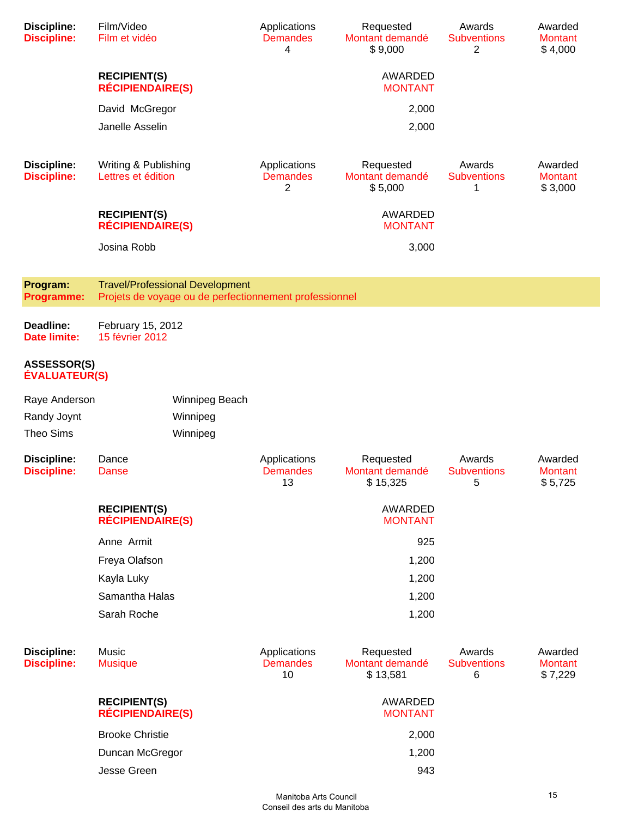| <b>Discipline:</b><br><b>Discipline:</b>   | Film/Video<br>Film et vidéo                    |                                                                                                  | Applications<br><b>Demandes</b><br>4  | Requested<br>Montant demandé<br>\$9,000  | Awards<br><b>Subventions</b><br>2 | Awarded<br><b>Montant</b><br>\$4,000 |
|--------------------------------------------|------------------------------------------------|--------------------------------------------------------------------------------------------------|---------------------------------------|------------------------------------------|-----------------------------------|--------------------------------------|
|                                            | <b>RECIPIENT(S)</b><br><b>RÉCIPIENDAIRE(S)</b> |                                                                                                  |                                       | AWARDED<br><b>MONTANT</b>                |                                   |                                      |
|                                            | David McGregor                                 |                                                                                                  |                                       | 2,000                                    |                                   |                                      |
|                                            | Janelle Asselin                                |                                                                                                  |                                       | 2,000                                    |                                   |                                      |
|                                            |                                                |                                                                                                  |                                       |                                          |                                   |                                      |
| <b>Discipline:</b><br><b>Discipline:</b>   | Writing & Publishing<br>Lettres et édition     |                                                                                                  | Applications<br><b>Demandes</b><br>2  | Requested<br>Montant demandé<br>\$5,000  | Awards<br><b>Subventions</b><br>1 | Awarded<br><b>Montant</b><br>\$3,000 |
|                                            | <b>RECIPIENT(S)</b><br><b>RÉCIPIENDAIRE(S)</b> |                                                                                                  |                                       | AWARDED<br><b>MONTANT</b>                |                                   |                                      |
|                                            | Josina Robb                                    |                                                                                                  |                                       | 3,000                                    |                                   |                                      |
|                                            |                                                |                                                                                                  |                                       |                                          |                                   |                                      |
| Program:<br><b>Programme:</b>              |                                                | <b>Travel/Professional Development</b><br>Projets de voyage ou de perfectionnement professionnel |                                       |                                          |                                   |                                      |
| Deadline:<br>Date limite:                  | February 15, 2012<br>15 février 2012           |                                                                                                  |                                       |                                          |                                   |                                      |
| <b>ASSESSOR(S)</b><br><b>ÉVALUATEUR(S)</b> |                                                |                                                                                                  |                                       |                                          |                                   |                                      |
| Raye Anderson                              |                                                | Winnipeg Beach                                                                                   |                                       |                                          |                                   |                                      |
| Randy Joynt                                |                                                | Winnipeg                                                                                         |                                       |                                          |                                   |                                      |
| <b>Theo Sims</b>                           |                                                | Winnipeg                                                                                         |                                       |                                          |                                   |                                      |
| <b>Discipline:</b><br><b>Discipline:</b>   | Dance<br>Danse                                 |                                                                                                  | Applications<br><b>Demandes</b><br>13 | Requested<br>Montant demandé<br>\$15,325 | Awards<br><b>Subventions</b><br>5 | Awarded<br><b>Montant</b><br>\$5,725 |
|                                            | <b>RECIPIENT(S)</b><br><b>RÉCIPIENDAIRE(S)</b> |                                                                                                  |                                       | AWARDED<br><b>MONTANT</b>                |                                   |                                      |
|                                            | Anne Armit                                     |                                                                                                  |                                       | 925                                      |                                   |                                      |
|                                            | Freya Olafson                                  |                                                                                                  |                                       | 1,200                                    |                                   |                                      |
|                                            | Kayla Luky                                     |                                                                                                  |                                       | 1,200                                    |                                   |                                      |
|                                            | Samantha Halas                                 |                                                                                                  |                                       | 1,200                                    |                                   |                                      |
|                                            | Sarah Roche                                    |                                                                                                  |                                       | 1,200                                    |                                   |                                      |
| <b>Discipline:</b><br><b>Discipline:</b>   | Music<br><b>Musique</b>                        |                                                                                                  | Applications<br><b>Demandes</b><br>10 | Requested<br>Montant demandé<br>\$13,581 | Awards<br><b>Subventions</b><br>6 | Awarded<br><b>Montant</b><br>\$7,229 |
|                                            | <b>RECIPIENT(S)</b><br><b>RÉCIPIENDAIRE(S)</b> |                                                                                                  |                                       | AWARDED<br><b>MONTANT</b>                |                                   |                                      |
|                                            | <b>Brooke Christie</b>                         |                                                                                                  |                                       | 2,000                                    |                                   |                                      |
|                                            | Duncan McGregor                                |                                                                                                  |                                       | 1,200                                    |                                   |                                      |
|                                            | Jesse Green                                    |                                                                                                  |                                       | 943                                      |                                   |                                      |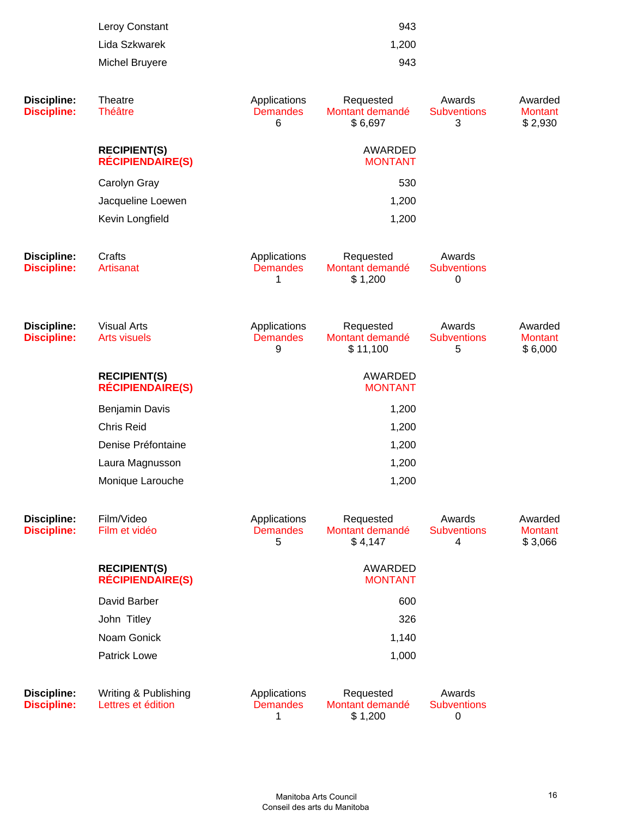| 943   |
|-------|
| 1,200 |
| 943   |
|       |

| <b>Discipline:</b><br><b>Discipline:</b> | Theatre<br><b>Théâtre</b>                      | Applications<br><b>Demandes</b><br>6 | Requested<br>Montant demandé<br>\$6,697  | Awards<br><b>Subventions</b><br>3           | Awarded<br><b>Montant</b><br>\$2,930 |
|------------------------------------------|------------------------------------------------|--------------------------------------|------------------------------------------|---------------------------------------------|--------------------------------------|
|                                          | <b>RECIPIENT(S)</b><br><b>RÉCIPIENDAIRE(S)</b> |                                      | AWARDED<br><b>MONTANT</b>                |                                             |                                      |
|                                          | Carolyn Gray                                   |                                      | 530                                      |                                             |                                      |
|                                          | Jacqueline Loewen                              |                                      | 1,200                                    |                                             |                                      |
|                                          | Kevin Longfield                                |                                      | 1,200                                    |                                             |                                      |
| <b>Discipline:</b><br><b>Discipline:</b> | Crafts<br>Artisanat                            | Applications<br><b>Demandes</b><br>1 | Requested<br>Montant demandé<br>\$1,200  | Awards<br><b>Subventions</b><br>$\mathbf 0$ |                                      |
| <b>Discipline:</b><br><b>Discipline:</b> | <b>Visual Arts</b><br><b>Arts visuels</b>      | Applications<br><b>Demandes</b><br>9 | Requested<br>Montant demandé<br>\$11,100 | Awards<br><b>Subventions</b><br>5           | Awarded<br><b>Montant</b><br>\$6,000 |
|                                          | <b>RECIPIENT(S)</b><br><b>RÉCIPIENDAIRE(S)</b> |                                      | AWARDED<br><b>MONTANT</b>                |                                             |                                      |
|                                          | Benjamin Davis                                 |                                      | 1,200                                    |                                             |                                      |
|                                          | <b>Chris Reid</b>                              |                                      | 1,200                                    |                                             |                                      |
|                                          | Denise Préfontaine                             |                                      | 1,200                                    |                                             |                                      |
|                                          | Laura Magnusson                                |                                      | 1,200                                    |                                             |                                      |
|                                          | Monique Larouche                               |                                      | 1,200                                    |                                             |                                      |
| <b>Discipline:</b><br><b>Discipline:</b> | Film/Video<br>Film et vidéo                    | Applications<br><b>Demandes</b><br>5 | Requested<br>Montant demandé<br>\$4,147  | Awards<br><b>Subventions</b><br>4           | Awarded<br><b>Montant</b><br>\$3,066 |
|                                          | <b>RECIPIENT(S)</b><br><b>RÉCIPIENDAIRE(S)</b> |                                      | AWARDED<br><b>MONTANT</b>                |                                             |                                      |
|                                          | David Barber                                   |                                      | 600                                      |                                             |                                      |
|                                          | John Titley                                    |                                      | 326                                      |                                             |                                      |
|                                          | Noam Gonick                                    |                                      | 1,140                                    |                                             |                                      |
|                                          | <b>Patrick Lowe</b>                            |                                      | 1,000                                    |                                             |                                      |
| <b>Discipline:</b><br><b>Discipline:</b> | Writing & Publishing<br>Lettres et édition     | Applications<br><b>Demandes</b><br>1 | Requested<br>Montant demandé<br>\$1,200  | Awards<br><b>Subventions</b><br>0           |                                      |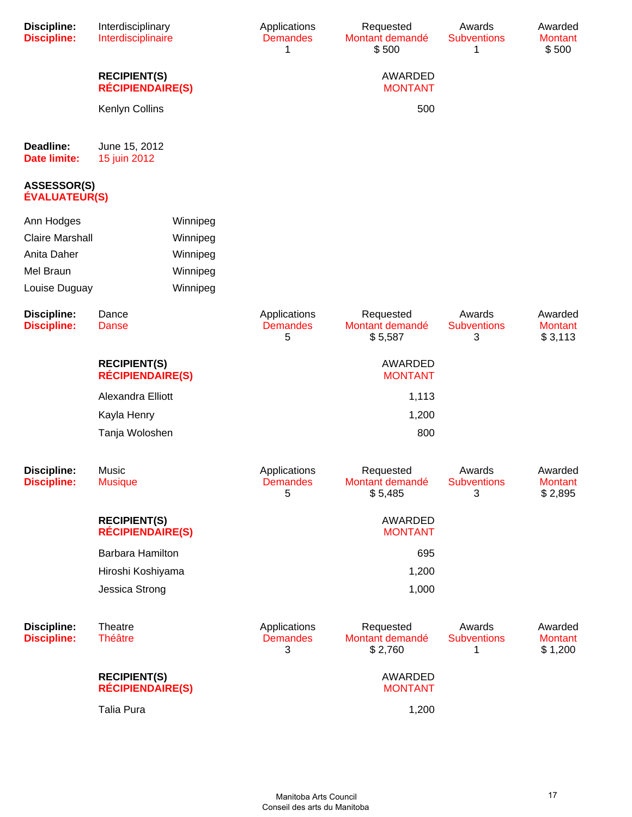| <b>Discipline:</b><br><b>Discipline:</b>   | Interdisciplinary<br>Interdisciplinaire        |          | Applications<br><b>Demandes</b><br>1 | Requested<br>Montant demandé<br>\$500   | Awards<br><b>Subventions</b><br>1 | Awarded<br><b>Montant</b><br>\$500   |
|--------------------------------------------|------------------------------------------------|----------|--------------------------------------|-----------------------------------------|-----------------------------------|--------------------------------------|
|                                            | <b>RECIPIENT(S)</b><br><b>RÉCIPIENDAIRE(S)</b> |          |                                      | AWARDED<br><b>MONTANT</b>               |                                   |                                      |
|                                            | Kenlyn Collins                                 |          |                                      | 500                                     |                                   |                                      |
| Deadline:<br><b>Date limite:</b>           | June 15, 2012<br>15 juin 2012                  |          |                                      |                                         |                                   |                                      |
| <b>ASSESSOR(S)</b><br><b>ÉVALUATEUR(S)</b> |                                                |          |                                      |                                         |                                   |                                      |
| Ann Hodges                                 |                                                | Winnipeg |                                      |                                         |                                   |                                      |
| <b>Claire Marshall</b>                     |                                                | Winnipeg |                                      |                                         |                                   |                                      |
| Anita Daher                                |                                                | Winnipeg |                                      |                                         |                                   |                                      |
| Mel Braun                                  |                                                | Winnipeg |                                      |                                         |                                   |                                      |
| Louise Duguay                              |                                                | Winnipeg |                                      |                                         |                                   |                                      |
| <b>Discipline:</b><br><b>Discipline:</b>   | Dance<br><b>Danse</b>                          |          | Applications<br><b>Demandes</b><br>5 | Requested<br>Montant demandé<br>\$5,587 | Awards<br><b>Subventions</b><br>3 | Awarded<br><b>Montant</b><br>\$3,113 |
|                                            | <b>RECIPIENT(S)</b><br><b>RÉCIPIENDAIRE(S)</b> |          |                                      | AWARDED<br><b>MONTANT</b>               |                                   |                                      |
|                                            | Alexandra Elliott                              |          |                                      | 1,113                                   |                                   |                                      |
|                                            | Kayla Henry                                    |          |                                      | 1,200                                   |                                   |                                      |
|                                            | Tanja Woloshen                                 |          |                                      | 800                                     |                                   |                                      |
| <b>Discipline:</b><br><b>Discipline:</b>   | Music<br><b>Musique</b>                        |          | Applications<br>Demandes<br>5        | Requested<br>Montant demandé<br>\$5,485 | Awards<br>Subventions<br>3        | Awarded<br><b>Montant</b><br>\$2,895 |
|                                            | <b>RECIPIENT(S)</b><br><b>RÉCIPIENDAIRE(S)</b> |          |                                      | AWARDED<br><b>MONTANT</b>               |                                   |                                      |
|                                            | Barbara Hamilton                               |          |                                      | 695                                     |                                   |                                      |
|                                            | Hiroshi Koshiyama                              |          |                                      | 1,200                                   |                                   |                                      |
|                                            | Jessica Strong                                 |          |                                      | 1,000                                   |                                   |                                      |
| <b>Discipline:</b><br><b>Discipline:</b>   | Theatre<br><b>Théâtre</b>                      |          | Applications<br><b>Demandes</b><br>3 | Requested<br>Montant demandé<br>\$2,760 | Awards<br><b>Subventions</b><br>1 | Awarded<br><b>Montant</b><br>\$1,200 |
|                                            | <b>RECIPIENT(S)</b><br><b>RÉCIPIENDAIRE(S)</b> |          |                                      | AWARDED<br><b>MONTANT</b>               |                                   |                                      |
|                                            | <b>Talia Pura</b>                              |          |                                      | 1,200                                   |                                   |                                      |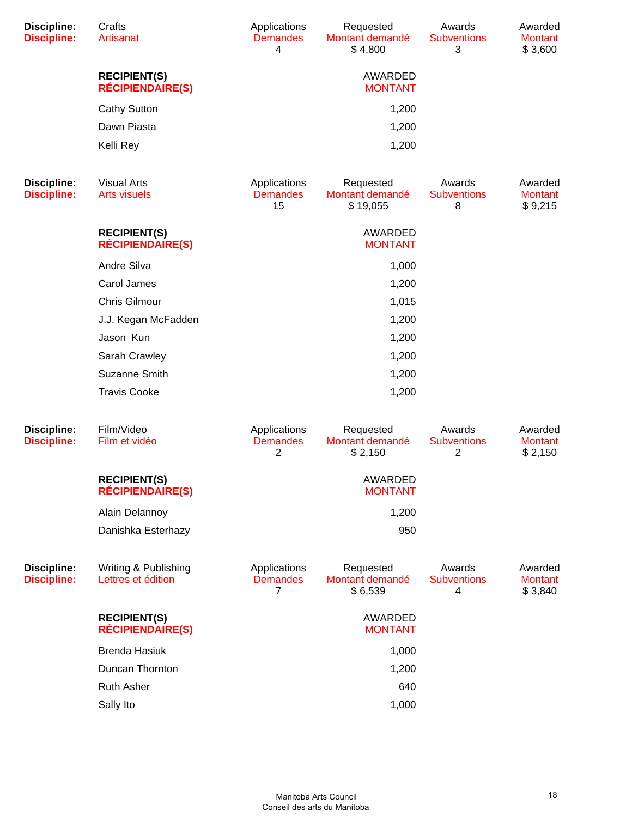| <b>Discipline:</b><br><b>Discipline:</b> | Crafts<br>Artisanat                            | Applications<br><b>Demandes</b><br>4  | Requested<br>Montant demandé<br>\$4,800  | Awards<br><b>Subventions</b><br>3              | Awarded<br><b>Montant</b><br>\$3,600 |
|------------------------------------------|------------------------------------------------|---------------------------------------|------------------------------------------|------------------------------------------------|--------------------------------------|
|                                          | <b>RECIPIENT(S)</b><br><b>RÉCIPIENDAIRE(S)</b> |                                       | AWARDED<br><b>MONTANT</b>                |                                                |                                      |
|                                          | <b>Cathy Sutton</b>                            |                                       | 1,200                                    |                                                |                                      |
|                                          | Dawn Piasta                                    |                                       | 1,200                                    |                                                |                                      |
|                                          | Kelli Rey                                      |                                       | 1,200                                    |                                                |                                      |
| <b>Discipline:</b><br><b>Discipline:</b> | <b>Visual Arts</b><br><b>Arts visuels</b>      | Applications<br><b>Demandes</b><br>15 | Requested<br>Montant demandé<br>\$19,055 | Awards<br><b>Subventions</b><br>8              | Awarded<br><b>Montant</b><br>\$9,215 |
|                                          | <b>RECIPIENT(S)</b><br><b>RÉCIPIENDAIRE(S)</b> |                                       | AWARDED<br><b>MONTANT</b>                |                                                |                                      |
|                                          | Andre Silva                                    |                                       | 1,000                                    |                                                |                                      |
|                                          | Carol James                                    |                                       | 1,200                                    |                                                |                                      |
|                                          | <b>Chris Gilmour</b>                           |                                       | 1,015                                    |                                                |                                      |
|                                          | J.J. Kegan McFadden                            |                                       | 1,200                                    |                                                |                                      |
|                                          | Jason Kun                                      |                                       | 1,200                                    |                                                |                                      |
|                                          | Sarah Crawley                                  |                                       | 1,200                                    |                                                |                                      |
|                                          | Suzanne Smith                                  |                                       | 1,200                                    |                                                |                                      |
|                                          | <b>Travis Cooke</b>                            |                                       | 1,200                                    |                                                |                                      |
| <b>Discipline:</b><br><b>Discipline:</b> | Film/Video<br>Film et vidéo                    | Applications<br><b>Demandes</b><br>2  | Requested<br>Montant demandé<br>\$2,150  | Awards<br><b>Subventions</b><br>$\overline{2}$ | Awarded<br><b>Montant</b><br>\$2,150 |
|                                          | <b>RECIPIENT(S)</b><br><b>RÉCIPIENDAIRE(S)</b> |                                       | AWARDED<br><b>MONTANT</b>                |                                                |                                      |
|                                          | Alain Delannoy                                 |                                       | 1,200                                    |                                                |                                      |
|                                          | Danishka Esterhazy                             |                                       | 950                                      |                                                |                                      |
| <b>Discipline:</b><br><b>Discipline:</b> | Writing & Publishing<br>Lettres et édition     | Applications<br><b>Demandes</b><br>7  | Requested<br>Montant demandé<br>\$6,539  | Awards<br><b>Subventions</b><br>4              | Awarded<br><b>Montant</b><br>\$3,840 |
|                                          | <b>RECIPIENT(S)</b><br><b>RÉCIPIENDAIRE(S)</b> |                                       | AWARDED<br><b>MONTANT</b>                |                                                |                                      |
|                                          | <b>Brenda Hasiuk</b>                           |                                       | 1,000                                    |                                                |                                      |
|                                          | Duncan Thornton                                |                                       | 1,200                                    |                                                |                                      |
|                                          | <b>Ruth Asher</b>                              |                                       | 640                                      |                                                |                                      |
|                                          | Sally Ito                                      |                                       | 1,000                                    |                                                |                                      |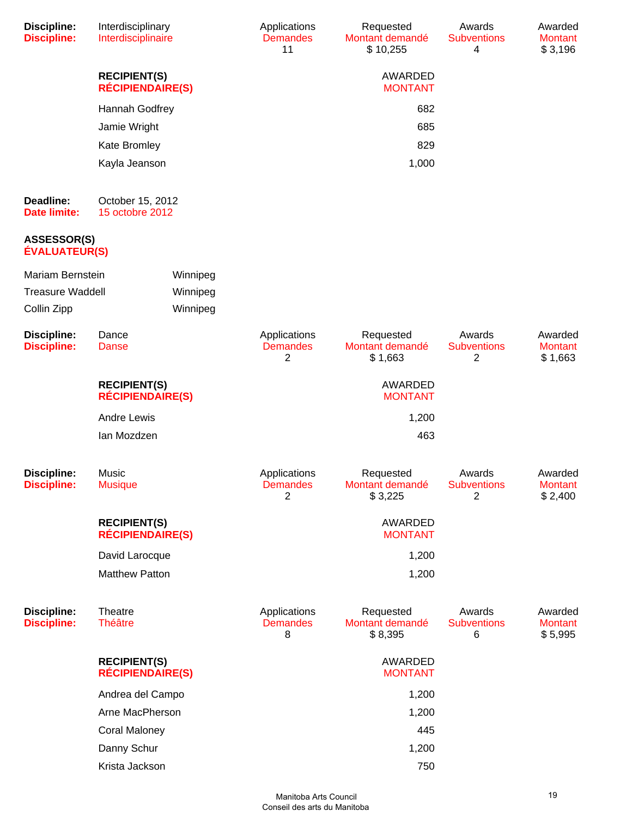| Discipline:<br><b>Discipline:</b>          | Interdisciplinary<br>Interdisciplinaire        |          | Applications<br><b>Demandes</b><br>11 | Requested<br>Montant demandé<br>\$10,255 | Awards<br><b>Subventions</b><br>4              | Awarded<br><b>Montant</b><br>\$3,196 |
|--------------------------------------------|------------------------------------------------|----------|---------------------------------------|------------------------------------------|------------------------------------------------|--------------------------------------|
|                                            | <b>RECIPIENT(S)</b><br><b>RÉCIPIENDAIRE(S)</b> |          |                                       | AWARDED<br><b>MONTANT</b>                |                                                |                                      |
|                                            | Hannah Godfrey                                 |          |                                       | 682                                      |                                                |                                      |
|                                            | Jamie Wright                                   |          |                                       | 685                                      |                                                |                                      |
|                                            | Kate Bromley                                   |          |                                       | 829                                      |                                                |                                      |
|                                            | Kayla Jeanson                                  |          |                                       | 1,000                                    |                                                |                                      |
| Deadline:<br><b>Date limite:</b>           | October 15, 2012<br>15 octobre 2012            |          |                                       |                                          |                                                |                                      |
| <b>ASSESSOR(S)</b><br><b>ÉVALUATEUR(S)</b> |                                                |          |                                       |                                          |                                                |                                      |
| Mariam Bernstein                           |                                                | Winnipeg |                                       |                                          |                                                |                                      |
| <b>Treasure Waddell</b>                    |                                                | Winnipeg |                                       |                                          |                                                |                                      |
| Collin Zipp                                |                                                | Winnipeg |                                       |                                          |                                                |                                      |
| Discipline:<br><b>Discipline:</b>          | Dance<br><b>Danse</b>                          |          | Applications<br><b>Demandes</b><br>2  | Requested<br>Montant demandé<br>\$1,663  | Awards<br><b>Subventions</b><br>2              | Awarded<br><b>Montant</b><br>\$1,663 |
|                                            | <b>RECIPIENT(S)</b><br><b>RÉCIPIENDAIRE(S)</b> |          |                                       | AWARDED<br><b>MONTANT</b>                |                                                |                                      |
|                                            | <b>Andre Lewis</b>                             |          |                                       | 1,200                                    |                                                |                                      |
|                                            | lan Mozdzen                                    |          |                                       | 463                                      |                                                |                                      |
| Discipline:<br><b>Discipline:</b>          | Music<br><b>Musique</b>                        |          | Applications<br><b>Demandes</b><br>2  | Requested<br>Montant demandé<br>\$3,225  | Awards<br><b>Subventions</b><br>$\overline{2}$ | Awarded<br><b>Montant</b><br>\$2,400 |
|                                            | <b>RECIPIENT(S)</b><br><b>RÉCIPIENDAIRE(S)</b> |          |                                       | AWARDED<br><b>MONTANT</b>                |                                                |                                      |
|                                            | David Larocque                                 |          |                                       | 1,200                                    |                                                |                                      |
|                                            | <b>Matthew Patton</b>                          |          |                                       | 1,200                                    |                                                |                                      |
| Discipline:<br><b>Discipline:</b>          | Theatre<br><b>Théâtre</b>                      |          | Applications<br><b>Demandes</b><br>8  | Requested<br>Montant demandé<br>\$8,395  | Awards<br><b>Subventions</b><br>6              | Awarded<br><b>Montant</b><br>\$5,995 |
|                                            | <b>RECIPIENT(S)</b><br><b>RÉCIPIENDAIRE(S)</b> |          |                                       | AWARDED<br><b>MONTANT</b>                |                                                |                                      |
|                                            | Andrea del Campo                               |          |                                       | 1,200                                    |                                                |                                      |
|                                            | Arne MacPherson                                |          |                                       | 1,200                                    |                                                |                                      |
|                                            | <b>Coral Maloney</b>                           |          |                                       | 445                                      |                                                |                                      |
|                                            | Danny Schur                                    |          |                                       | 1,200                                    |                                                |                                      |
|                                            | Krista Jackson                                 |          |                                       | 750                                      |                                                |                                      |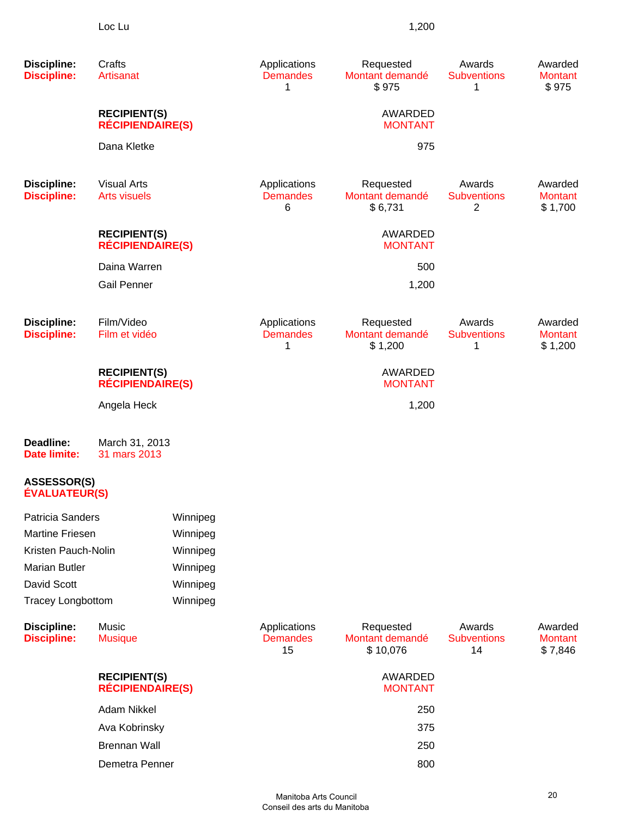| <b>Discipline:</b><br><b>Discipline:</b>   | Crafts<br>Artisanat                            |          | Applications<br><b>Demandes</b><br>1  | Requested<br>Montant demandé<br>\$975    | Awards<br><b>Subventions</b><br>1  | Awarded<br><b>Montant</b><br>\$975   |
|--------------------------------------------|------------------------------------------------|----------|---------------------------------------|------------------------------------------|------------------------------------|--------------------------------------|
|                                            | <b>RECIPIENT(S)</b><br><b>RÉCIPIENDAIRE(S)</b> |          |                                       | AWARDED<br><b>MONTANT</b>                |                                    |                                      |
|                                            | Dana Kletke                                    |          |                                       | 975                                      |                                    |                                      |
| <b>Discipline:</b><br><b>Discipline:</b>   | <b>Visual Arts</b><br><b>Arts visuels</b>      |          | Applications<br><b>Demandes</b><br>6  | Requested<br>Montant demandé<br>\$6,731  | Awards<br><b>Subventions</b><br>2  | Awarded<br><b>Montant</b><br>\$1,700 |
|                                            | <b>RECIPIENT(S)</b><br><b>RÉCIPIENDAIRE(S)</b> |          |                                       | AWARDED<br><b>MONTANT</b>                |                                    |                                      |
|                                            | Daina Warren                                   |          |                                       | 500                                      |                                    |                                      |
|                                            | <b>Gail Penner</b>                             |          |                                       | 1,200                                    |                                    |                                      |
| <b>Discipline:</b><br><b>Discipline:</b>   | Film/Video<br>Film et vidéo                    |          | Applications<br><b>Demandes</b><br>1  | Requested<br>Montant demandé<br>\$1,200  | Awards<br><b>Subventions</b><br>1  | Awarded<br><b>Montant</b><br>\$1,200 |
|                                            | <b>RECIPIENT(S)</b><br><b>RÉCIPIENDAIRE(S)</b> |          |                                       | AWARDED<br><b>MONTANT</b>                |                                    |                                      |
|                                            | Angela Heck                                    |          |                                       | 1,200                                    |                                    |                                      |
| Deadline:<br><b>Date limite:</b>           | March 31, 2013<br>31 mars 2013                 |          |                                       |                                          |                                    |                                      |
| <b>ASSESSOR(S)</b><br><b>ÉVALUATEUR(S)</b> |                                                |          |                                       |                                          |                                    |                                      |
| Patricia Sanders                           |                                                | Winnipeg |                                       |                                          |                                    |                                      |
| <b>Martine Friesen</b>                     |                                                | Winnipeg |                                       |                                          |                                    |                                      |
| Kristen Pauch-Nolin                        |                                                | Winnipeg |                                       |                                          |                                    |                                      |
| <b>Marian Butler</b>                       |                                                | Winnipeg |                                       |                                          |                                    |                                      |
| David Scott                                |                                                | Winnipeg |                                       |                                          |                                    |                                      |
| <b>Tracey Longbottom</b>                   |                                                | Winnipeg |                                       |                                          |                                    |                                      |
| <b>Discipline:</b><br><b>Discipline:</b>   | Music<br><b>Musique</b>                        |          | Applications<br><b>Demandes</b><br>15 | Requested<br>Montant demandé<br>\$10,076 | Awards<br><b>Subventions</b><br>14 | Awarded<br><b>Montant</b><br>\$7,846 |
|                                            | <b>RECIPIENT(S)</b><br><b>RÉCIPIENDAIRE(S)</b> |          |                                       | AWARDED<br><b>MONTANT</b>                |                                    |                                      |
|                                            | <b>Adam Nikkel</b>                             |          |                                       | 250                                      |                                    |                                      |
|                                            | Ava Kobrinsky                                  |          |                                       | 375                                      |                                    |                                      |
|                                            | <b>Brennan Wall</b>                            |          |                                       | 250                                      |                                    |                                      |
|                                            | Demetra Penner                                 |          |                                       | 800                                      |                                    |                                      |
|                                            |                                                |          |                                       |                                          |                                    |                                      |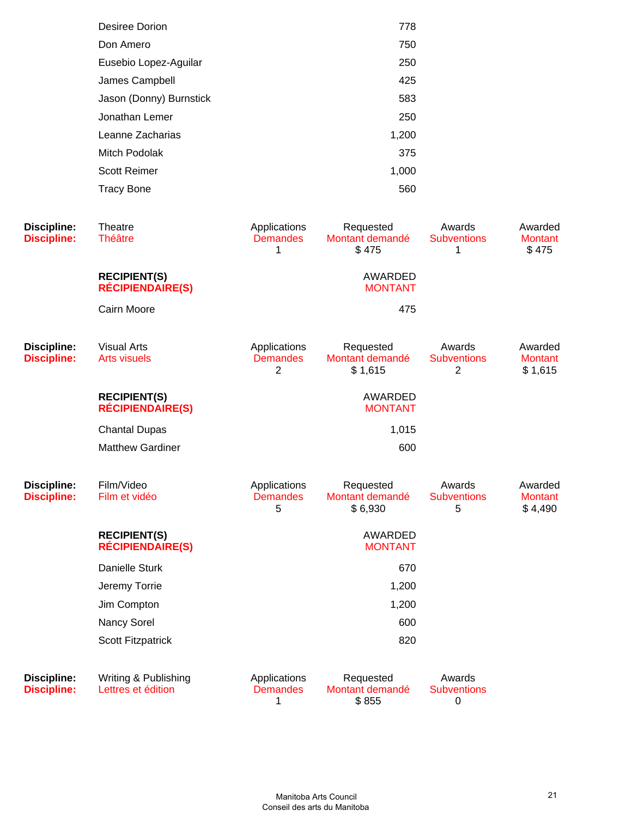| Desiree Dorion          | 778   |
|-------------------------|-------|
| Don Amero               | 750   |
| Eusebio Lopez-Aguilar   | 250   |
| James Campbell          | 425   |
| Jason (Donny) Burnstick | 583   |
| Jonathan Lemer          | 250   |
| Leanne Zacharias        | 1,200 |
| Mitch Podolak           | 375   |
| <b>Scott Reimer</b>     | 1,000 |
| <b>Tracy Bone</b>       | 560   |
|                         |       |

| <b>Discipline:</b><br><b>Discipline:</b> | Theatre<br><b>Théâtre</b>                      | Applications<br><b>Demandes</b><br>1 | Requested<br>Montant demandé<br>\$475   | Awards<br><b>Subventions</b><br>1              | Awarded<br><b>Montant</b><br>\$475   |
|------------------------------------------|------------------------------------------------|--------------------------------------|-----------------------------------------|------------------------------------------------|--------------------------------------|
|                                          | <b>RECIPIENT(S)</b><br><b>RÉCIPIENDAIRE(S)</b> |                                      | <b>AWARDED</b><br><b>MONTANT</b>        |                                                |                                      |
|                                          | Cairn Moore                                    |                                      | 475                                     |                                                |                                      |
| <b>Discipline:</b><br><b>Discipline:</b> | <b>Visual Arts</b><br><b>Arts visuels</b>      | Applications<br><b>Demandes</b><br>2 | Requested<br>Montant demandé<br>\$1,615 | Awards<br><b>Subventions</b><br>$\overline{2}$ | Awarded<br><b>Montant</b><br>\$1,615 |
|                                          | <b>RECIPIENT(S)</b><br><b>RÉCIPIENDAIRE(S)</b> |                                      | AWARDED<br><b>MONTANT</b>               |                                                |                                      |
|                                          | <b>Chantal Dupas</b>                           |                                      | 1,015                                   |                                                |                                      |
|                                          | <b>Matthew Gardiner</b>                        |                                      | 600                                     |                                                |                                      |
| <b>Discipline:</b><br><b>Discipline:</b> | Film/Video<br>Film et vidéo                    | Applications<br><b>Demandes</b><br>5 | Requested<br>Montant demandé<br>\$6,930 | Awards<br><b>Subventions</b><br>5              | Awarded<br><b>Montant</b><br>\$4,490 |
|                                          | <b>RECIPIENT(S)</b><br><b>RÉCIPIENDAIRE(S)</b> |                                      | <b>AWARDED</b><br><b>MONTANT</b>        |                                                |                                      |
|                                          | <b>Danielle Sturk</b>                          |                                      | 670                                     |                                                |                                      |
|                                          | Jeremy Torrie                                  |                                      | 1,200                                   |                                                |                                      |
|                                          | Jim Compton                                    |                                      | 1,200                                   |                                                |                                      |
|                                          | Nancy Sorel                                    |                                      | 600                                     |                                                |                                      |
|                                          | <b>Scott Fitzpatrick</b>                       |                                      | 820                                     |                                                |                                      |
| <b>Discipline:</b><br><b>Discipline:</b> | Writing & Publishing<br>Lettres et édition     | Applications<br><b>Demandes</b><br>1 | Requested<br>Montant demandé<br>\$855   | Awards<br><b>Subventions</b><br>$\pmb{0}$      |                                      |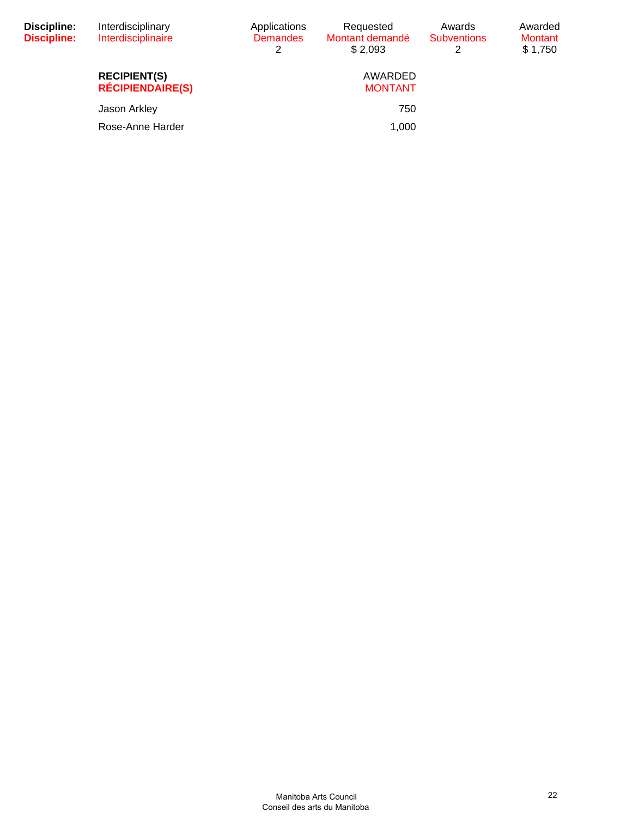| Discipline:<br><b>Discipline:</b> | Interdisciplinary<br>Interdisciplinaire        | Applications<br><b>Demandes</b><br>2 | Requested<br>Montant demandé<br>\$2.093 | Awards<br><b>Subventions</b><br>2 | Awarded<br><b>Montant</b><br>\$1,750 |
|-----------------------------------|------------------------------------------------|--------------------------------------|-----------------------------------------|-----------------------------------|--------------------------------------|
|                                   | <b>RECIPIENT(S)</b><br><b>RÉCIPIENDAIRE(S)</b> |                                      | AWARDED<br><b>MONTANT</b>               |                                   |                                      |
|                                   | Jason Arkley                                   |                                      | 750                                     |                                   |                                      |
|                                   | Rose-Anne Harder                               |                                      | 1,000                                   |                                   |                                      |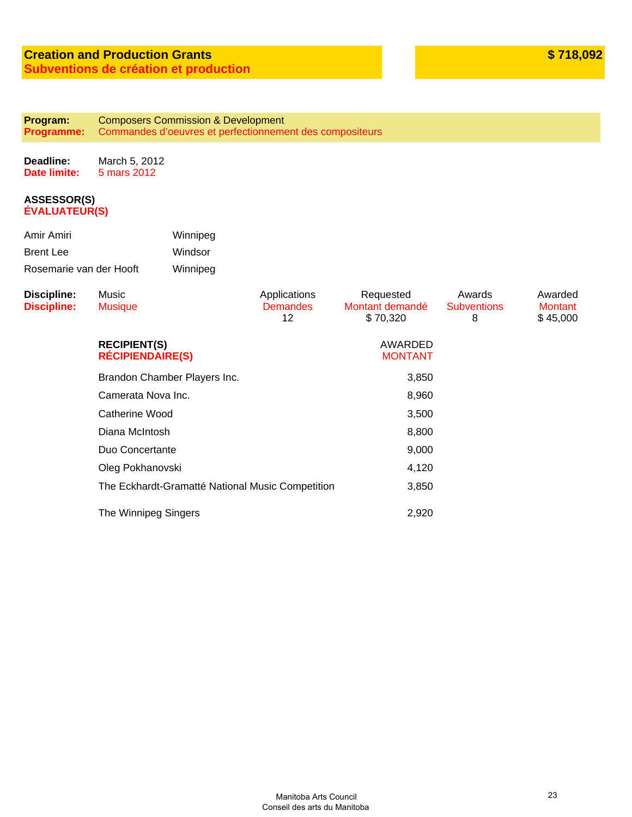#### **Program: Programme:** Composers Commission & Development Commandes d'oeuvres et perfectionnement des compositeurs

**Deadline: Date limite:** March 5, 2012 5 mars 2012

| Amir Amiri              | Winnipeg |
|-------------------------|----------|
| <b>Brent Lee</b>        | Windsor  |
| Rosemarie van der Hooft | Winnipeg |

| <b>Discipline:</b><br><b>Discipline:</b> | Music<br><b>Musique</b>                          | Applications<br><b>Demandes</b><br>12 <sup>°</sup> | Requested<br>Montant demandé<br>\$70,320 | Awards<br><b>Subventions</b><br>8 | Awarded<br><b>Montant</b><br>\$45,000 |
|------------------------------------------|--------------------------------------------------|----------------------------------------------------|------------------------------------------|-----------------------------------|---------------------------------------|
|                                          | <b>RECIPIENT(S)</b><br><b>RÉCIPIENDAIRE(S)</b>   |                                                    | AWARDED<br><b>MONTANT</b>                |                                   |                                       |
|                                          | Brandon Chamber Players Inc.                     |                                                    | 3,850                                    |                                   |                                       |
|                                          | Camerata Nova Inc.                               |                                                    | 8,960                                    |                                   |                                       |
|                                          | Catherine Wood                                   |                                                    | 3,500                                    |                                   |                                       |
|                                          | Diana McIntosh                                   |                                                    | 8,800                                    |                                   |                                       |
|                                          | Duo Concertante                                  |                                                    | 9,000                                    |                                   |                                       |
|                                          | Oleg Pokhanovski                                 |                                                    | 4,120                                    |                                   |                                       |
|                                          | The Eckhardt-Gramatté National Music Competition |                                                    | 3,850                                    |                                   |                                       |
|                                          | The Winnipeg Singers                             |                                                    | 2,920                                    |                                   |                                       |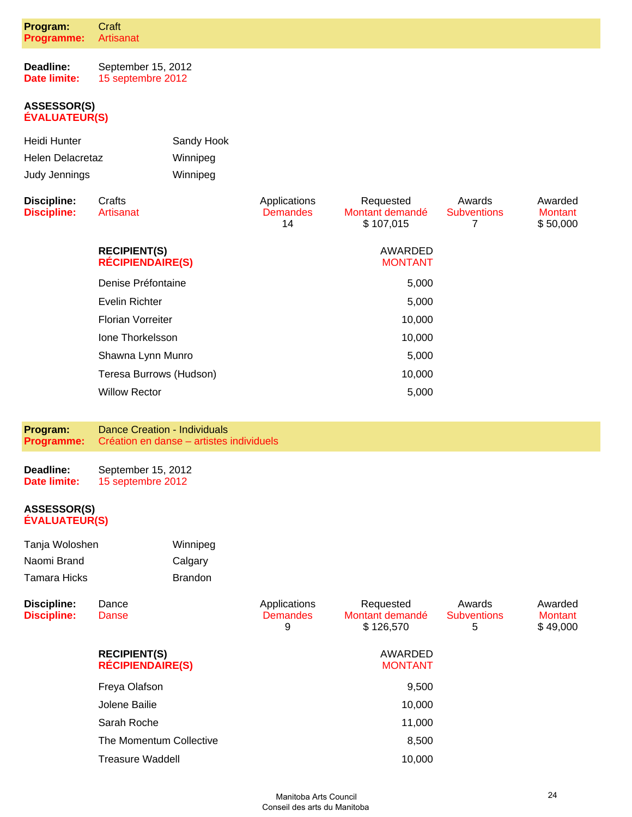| Program:<br>Programme: | Craft<br>Artisanat |  |
|------------------------|--------------------|--|
| Doodling:              | $R$ antambar $4E$  |  |

**Deadline: Date limite:** September 15, 2012 15 septembre 2012

#### **ASSESSOR(S) ÉVALUATEUR(S)**

| Heidi Hunter     | Sandy Hook |
|------------------|------------|
| Helen Delacretaz | Winnipeg   |
| Judy Jennings    | Winnipeg   |

| Discipline:<br><b>Discipline:</b> | Crafts<br>Artisanat                            | Applications<br><b>Demandes</b><br>14 | Requested<br>Montant demandé<br>\$107,015 | Awards<br><b>Subventions</b> | Awarded<br><b>Montant</b><br>\$50,000 |
|-----------------------------------|------------------------------------------------|---------------------------------------|-------------------------------------------|------------------------------|---------------------------------------|
|                                   | <b>RECIPIENT(S)</b><br><b>RÉCIPIENDAIRE(S)</b> |                                       | AWARDED<br><b>MONTANT</b>                 |                              |                                       |
|                                   | Denise Préfontaine                             |                                       | 5,000                                     |                              |                                       |
|                                   | Evelin Richter                                 |                                       | 5,000                                     |                              |                                       |
|                                   | <b>Florian Vorreiter</b>                       |                                       | 10,000                                    |                              |                                       |
|                                   | Jone Thorkelsson                               |                                       | 10,000                                    |                              |                                       |
|                                   | Shawna Lynn Munro                              |                                       | 5,000                                     |                              |                                       |
|                                   | Teresa Burrows (Hudson)                        |                                       | 10,000                                    |                              |                                       |
|                                   | <b>Willow Rector</b>                           |                                       | 5,000                                     |                              |                                       |
|                                   |                                                |                                       |                                           |                              |                                       |

| Program:          | Dance Creation - Individuals             |
|-------------------|------------------------------------------|
| <b>Programme:</b> | Création en danse - artistes individuels |

| Deadline:    | September 15, 2012 |
|--------------|--------------------|
| Date limite: | 15 septembre 2012  |

| Tanja Woloshen | Winnipeg       |
|----------------|----------------|
| Naomi Brand    | Calgary        |
| Tamara Hicks   | <b>Brandon</b> |

| <b>Discipline:</b><br><b>Discipline:</b> | Dance<br>Danse                                 | Applications<br><b>Demandes</b><br>9 | Requested<br>Montant demandé<br>\$126,570 | Awards<br><b>Subventions</b><br>5 | Awarded<br><b>Montant</b><br>\$49,000 |
|------------------------------------------|------------------------------------------------|--------------------------------------|-------------------------------------------|-----------------------------------|---------------------------------------|
|                                          | <b>RECIPIENT(S)</b><br><b>RÉCIPIENDAIRE(S)</b> |                                      | AWARDED<br><b>MONTANT</b>                 |                                   |                                       |
|                                          | Freya Olafson                                  |                                      | 9,500                                     |                                   |                                       |
|                                          | Jolene Bailie                                  |                                      | 10,000                                    |                                   |                                       |
|                                          | Sarah Roche                                    |                                      | 11,000                                    |                                   |                                       |
|                                          | The Momentum Collective                        |                                      | 8,500                                     |                                   |                                       |
|                                          | <b>Treasure Waddell</b>                        |                                      | 10,000                                    |                                   |                                       |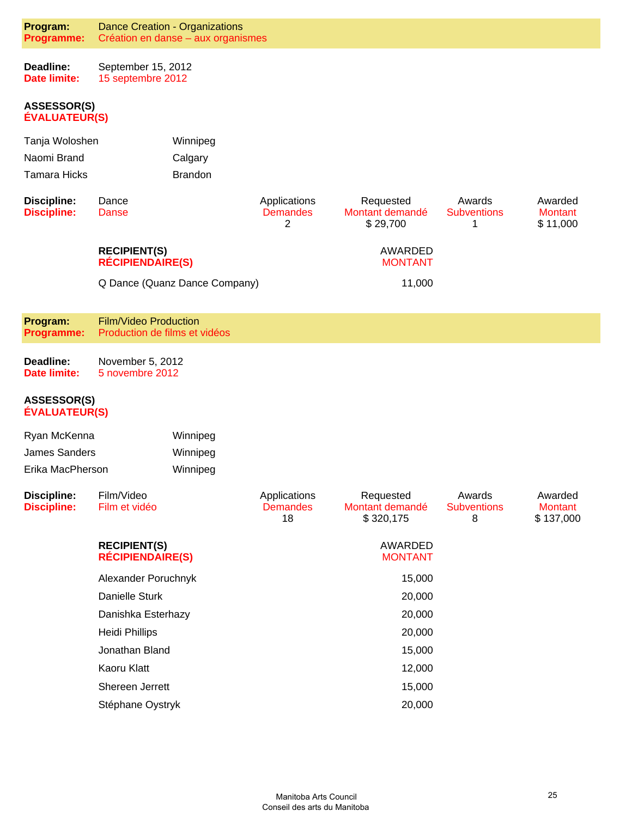| Program:<br>Programme:                     | <b>Dance Creation - Organizations</b><br>Création en danse - aux organismes |                               |                                       |                                           |                                   |                                        |
|--------------------------------------------|-----------------------------------------------------------------------------|-------------------------------|---------------------------------------|-------------------------------------------|-----------------------------------|----------------------------------------|
| Deadline:<br><b>Date limite:</b>           | September 15, 2012<br>15 septembre 2012                                     |                               |                                       |                                           |                                   |                                        |
| <b>ASSESSOR(S)</b><br><b>ÉVALUATEUR(S)</b> |                                                                             |                               |                                       |                                           |                                   |                                        |
| Tanja Woloshen                             |                                                                             | Winnipeg                      |                                       |                                           |                                   |                                        |
| Naomi Brand                                |                                                                             | Calgary                       |                                       |                                           |                                   |                                        |
| <b>Tamara Hicks</b>                        |                                                                             | <b>Brandon</b>                |                                       |                                           |                                   |                                        |
| <b>Discipline:</b><br><b>Discipline:</b>   | Dance<br><b>Danse</b>                                                       |                               | Applications<br><b>Demandes</b><br>2  | Requested<br>Montant demandé<br>\$29,700  | Awards<br><b>Subventions</b><br>1 | Awarded<br><b>Montant</b><br>\$11,000  |
|                                            | <b>RECIPIENT(S)</b><br><b>RÉCIPIENDAIRE(S)</b>                              |                               |                                       | AWARDED<br><b>MONTANT</b>                 |                                   |                                        |
|                                            |                                                                             | Q Dance (Quanz Dance Company) |                                       | 11,000                                    |                                   |                                        |
| Program:<br><b>Programme:</b>              | <b>Film/Video Production</b><br>Production de films et vidéos               |                               |                                       |                                           |                                   |                                        |
| Deadline:<br>Date limite:                  | November 5, 2012<br>5 novembre 2012                                         |                               |                                       |                                           |                                   |                                        |
| <b>ASSESSOR(S)</b><br><b>ÉVALUATEUR(S)</b> |                                                                             |                               |                                       |                                           |                                   |                                        |
| Ryan McKenna                               |                                                                             | Winnipeg                      |                                       |                                           |                                   |                                        |
| <b>James Sanders</b>                       |                                                                             | Winnipeg                      |                                       |                                           |                                   |                                        |
| Erika MacPherson                           |                                                                             | Winnipeg                      |                                       |                                           |                                   |                                        |
| <b>Discipline:</b><br><b>Discipline:</b>   | Film/Video<br>Film et vidéo                                                 |                               | Applications<br><b>Demandes</b><br>18 | Requested<br>Montant demandé<br>\$320,175 | Awards<br><b>Subventions</b><br>8 | Awarded<br><b>Montant</b><br>\$137,000 |
|                                            | <b>RECIPIENT(S)</b><br><b>RÉCIPIENDAIRE(S)</b>                              |                               |                                       | <b>AWARDED</b><br><b>MONTANT</b>          |                                   |                                        |
|                                            | Alexander Poruchnyk                                                         |                               |                                       | 15,000                                    |                                   |                                        |
|                                            | Danielle Sturk                                                              |                               |                                       | 20,000                                    |                                   |                                        |
|                                            | Danishka Esterhazy                                                          |                               |                                       | 20,000                                    |                                   |                                        |
|                                            | <b>Heidi Phillips</b>                                                       |                               |                                       | 20,000                                    |                                   |                                        |
|                                            | Jonathan Bland                                                              |                               |                                       | 15,000                                    |                                   |                                        |
|                                            | Kaoru Klatt                                                                 |                               |                                       | 12,000                                    |                                   |                                        |
|                                            | Shereen Jerrett                                                             |                               |                                       | 15,000                                    |                                   |                                        |
|                                            | Stéphane Oystryk                                                            |                               |                                       | 20,000                                    |                                   |                                        |
|                                            |                                                                             |                               |                                       |                                           |                                   |                                        |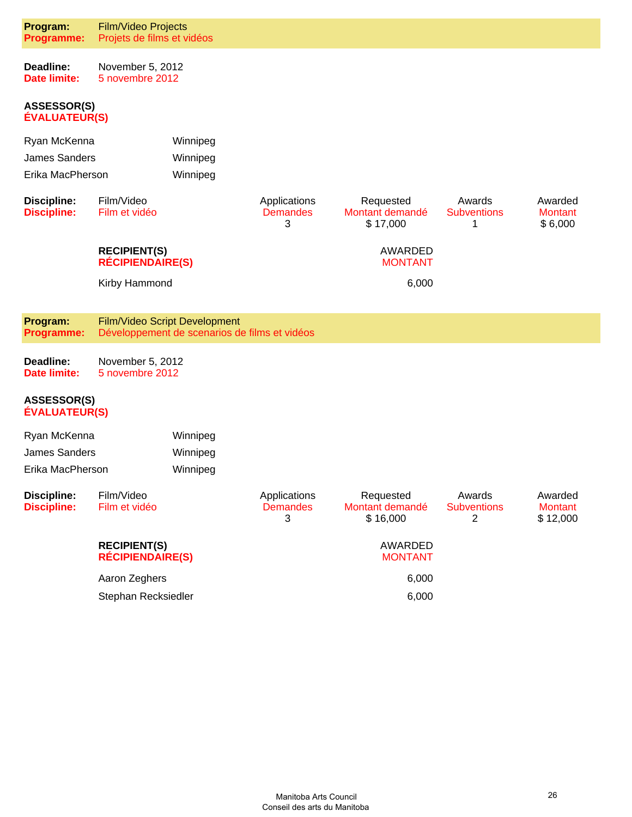| Program:<br>Programme:                                                  | <b>Film/Video Projects</b><br>Projets de films et vidéos |                                               |                                      |                                          |                                   |                                       |
|-------------------------------------------------------------------------|----------------------------------------------------------|-----------------------------------------------|--------------------------------------|------------------------------------------|-----------------------------------|---------------------------------------|
| Deadline:<br><b>Date limite:</b>                                        | November 5, 2012<br>5 novembre 2012                      |                                               |                                      |                                          |                                   |                                       |
| <b>ASSESSOR(S)</b><br><b>ÉVALUATEUR(S)</b>                              |                                                          |                                               |                                      |                                          |                                   |                                       |
| Ryan McKenna                                                            |                                                          | Winnipeg                                      |                                      |                                          |                                   |                                       |
| James Sanders                                                           |                                                          | Winnipeg                                      |                                      |                                          |                                   |                                       |
| Erika MacPherson                                                        |                                                          | Winnipeg                                      |                                      |                                          |                                   |                                       |
| <b>Discipline:</b><br><b>Discipline:</b>                                | Film/Video<br>Film et vidéo                              |                                               | Applications<br><b>Demandes</b><br>3 | Requested<br>Montant demandé<br>\$17,000 | Awards<br><b>Subventions</b><br>1 | Awarded<br><b>Montant</b><br>\$6,000  |
|                                                                         | <b>RECIPIENT(S)</b><br><b>RÉCIPIENDAIRE(S)</b>           |                                               |                                      | AWARDED<br><b>MONTANT</b>                |                                   |                                       |
|                                                                         | Kirby Hammond                                            |                                               |                                      | 6,000                                    |                                   |                                       |
| Program:<br>Programme:                                                  | Film/Video Script Development                            | Développement de scenarios de films et vidéos |                                      |                                          |                                   |                                       |
| Deadline:<br>November 5, 2012<br><b>Date limite:</b><br>5 novembre 2012 |                                                          |                                               |                                      |                                          |                                   |                                       |
| <b>ASSESSOR(S)</b><br><b>ÉVALUATEUR(S)</b>                              |                                                          |                                               |                                      |                                          |                                   |                                       |
| Ryan McKenna                                                            |                                                          | Winnipeg                                      |                                      |                                          |                                   |                                       |
| James Sanders                                                           |                                                          | Winnipeg                                      |                                      |                                          |                                   |                                       |
| Erika MacPherson                                                        |                                                          | Winnipeg                                      |                                      |                                          |                                   |                                       |
| <b>Discipline:</b><br><b>Discipline:</b>                                | Film/Video<br>Film et vidéo                              |                                               | Applications<br><b>Demandes</b><br>3 | Requested<br>Montant demandé<br>\$16,000 | Awards<br><b>Subventions</b><br>2 | Awarded<br><b>Montant</b><br>\$12,000 |
|                                                                         | <b>RECIPIENT(S)</b><br><b>RÉCIPIENDAIRE(S)</b>           |                                               |                                      | <b>AWARDED</b><br><b>MONTANT</b>         |                                   |                                       |
|                                                                         | Aaron Zeghers                                            |                                               |                                      | 6,000                                    |                                   |                                       |
|                                                                         | Stephan Recksiedler                                      |                                               |                                      | 6,000                                    |                                   |                                       |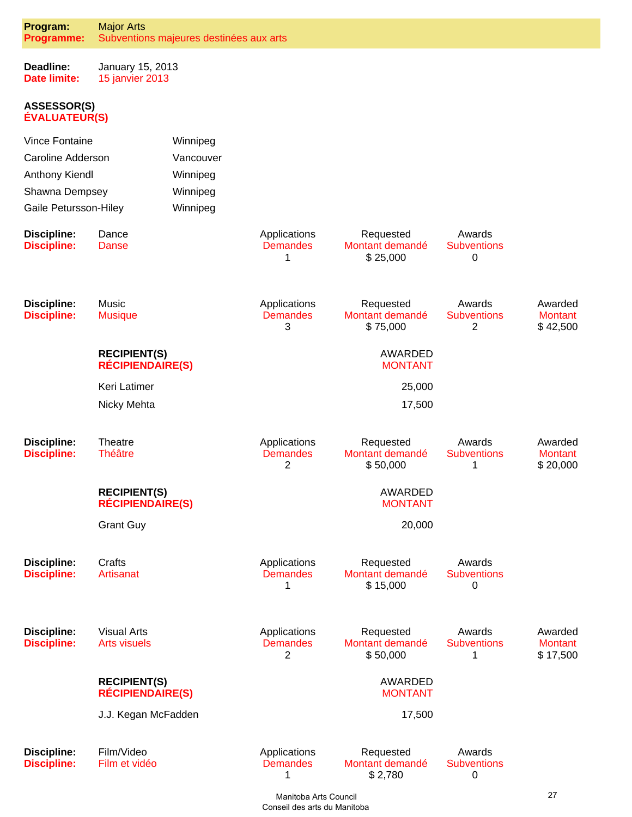| Program:<br><b>Programme:</b>              | <b>Major Arts</b>                              | Subventions majeures destinées aux arts |                                                   |                                          |                                   |                                       |
|--------------------------------------------|------------------------------------------------|-----------------------------------------|---------------------------------------------------|------------------------------------------|-----------------------------------|---------------------------------------|
| Deadline:<br><b>Date limite:</b>           | January 15, 2013<br>15 janvier 2013            |                                         |                                                   |                                          |                                   |                                       |
| <b>ASSESSOR(S)</b><br><b>ÉVALUATEUR(S)</b> |                                                |                                         |                                                   |                                          |                                   |                                       |
| <b>Vince Fontaine</b>                      |                                                | Winnipeg                                |                                                   |                                          |                                   |                                       |
| Caroline Adderson                          |                                                | Vancouver                               |                                                   |                                          |                                   |                                       |
| Anthony Kiendl                             |                                                | Winnipeg                                |                                                   |                                          |                                   |                                       |
| Shawna Dempsey                             |                                                | Winnipeg                                |                                                   |                                          |                                   |                                       |
| Gaile Petursson-Hiley                      |                                                | Winnipeg                                |                                                   |                                          |                                   |                                       |
| <b>Discipline:</b><br><b>Discipline:</b>   | Dance<br><b>Danse</b>                          |                                         | Applications<br><b>Demandes</b><br>1              | Requested<br>Montant demandé<br>\$25,000 | Awards<br><b>Subventions</b><br>0 |                                       |
| <b>Discipline:</b><br><b>Discipline:</b>   | Music<br><b>Musique</b>                        |                                         | Applications<br><b>Demandes</b><br>3              | Requested<br>Montant demandé<br>\$75,000 | Awards<br><b>Subventions</b><br>2 | Awarded<br><b>Montant</b><br>\$42,500 |
|                                            | <b>RECIPIENT(S)</b><br><b>RÉCIPIENDAIRE(S)</b> |                                         |                                                   | <b>AWARDED</b><br><b>MONTANT</b>         |                                   |                                       |
|                                            | Keri Latimer                                   |                                         |                                                   | 25,000                                   |                                   |                                       |
|                                            | Nicky Mehta                                    |                                         |                                                   | 17,500                                   |                                   |                                       |
| <b>Discipline:</b><br><b>Discipline:</b>   | Theatre<br><b>Théâtre</b>                      |                                         | Applications<br><b>Demandes</b><br>$\overline{c}$ | Requested<br>Montant demandé<br>\$50,000 | Awards<br><b>Subventions</b><br>1 | Awarded<br><b>Montant</b><br>\$20,000 |
|                                            | <b>RECIPIENT(S)</b><br><b>RÉCIPIENDAIRE(S)</b> |                                         |                                                   | <b>AWARDED</b><br><b>MONTANT</b>         |                                   |                                       |
|                                            | <b>Grant Guy</b>                               |                                         |                                                   | 20,000                                   |                                   |                                       |
| <b>Discipline:</b><br><b>Discipline:</b>   | Crafts<br>Artisanat                            |                                         | Applications<br><b>Demandes</b><br>1              | Requested<br>Montant demandé<br>\$15,000 | Awards<br><b>Subventions</b><br>0 |                                       |
| <b>Discipline:</b><br><b>Discipline:</b>   | <b>Visual Arts</b><br><b>Arts visuels</b>      |                                         | Applications<br><b>Demandes</b><br>2              | Requested<br>Montant demandé<br>\$50,000 | Awards<br><b>Subventions</b><br>1 | Awarded<br><b>Montant</b><br>\$17,500 |
|                                            | <b>RECIPIENT(S)</b><br><b>RÉCIPIENDAIRE(S)</b> |                                         |                                                   | <b>AWARDED</b><br><b>MONTANT</b>         |                                   |                                       |
|                                            | J.J. Kegan McFadden                            |                                         |                                                   | 17,500                                   |                                   |                                       |
| <b>Discipline:</b><br><b>Discipline:</b>   | Film/Video<br>Film et vidéo                    |                                         | Applications<br><b>Demandes</b><br>1              | Requested<br>Montant demandé<br>\$2,780  | Awards<br><b>Subventions</b><br>0 |                                       |
|                                            |                                                |                                         | $M$ onitaha Arta Caunail                          |                                          |                                   | 27                                    |

 Manitoba Arts Council Conseil des arts du Manitoba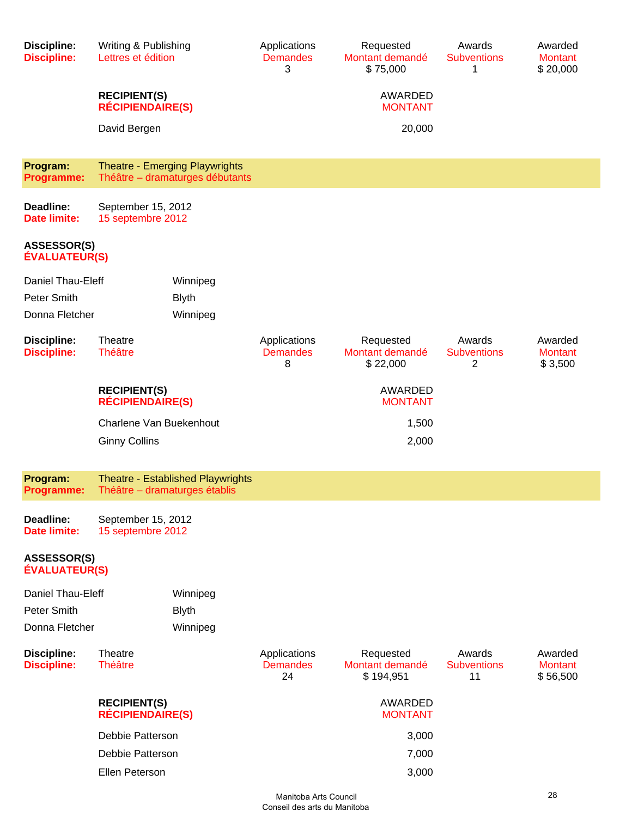| <b>Discipline:</b><br><b>Discipline:</b>   | Writing & Publishing<br>Lettres et édition                               |                                       | Requested<br>Montant demandé<br>\$75,000  | Awards<br><b>Subventions</b><br>1  | Awarded<br><b>Montant</b><br>\$20,000 |
|--------------------------------------------|--------------------------------------------------------------------------|---------------------------------------|-------------------------------------------|------------------------------------|---------------------------------------|
|                                            | <b>RECIPIENT(S)</b><br><b>RÉCIPIENDAIRE(S)</b>                           |                                       | AWARDED<br><b>MONTANT</b>                 |                                    |                                       |
|                                            | David Bergen                                                             |                                       | 20,000                                    |                                    |                                       |
| Program:<br>Programme:                     | <b>Theatre - Emerging Playwrights</b><br>Théâtre - dramaturges débutants |                                       |                                           |                                    |                                       |
| Deadline:<br>Date limite:                  | September 15, 2012<br>15 septembre 2012                                  |                                       |                                           |                                    |                                       |
| <b>ASSESSOR(S)</b><br><b>ÉVALUATEUR(S)</b> |                                                                          |                                       |                                           |                                    |                                       |
| Daniel Thau-Eleff                          | Winnipeg                                                                 |                                       |                                           |                                    |                                       |
| Peter Smith                                | <b>Blyth</b>                                                             |                                       |                                           |                                    |                                       |
| Donna Fletcher                             | Winnipeg                                                                 |                                       |                                           |                                    |                                       |
| <b>Discipline:</b><br><b>Discipline:</b>   | Theatre<br><b>Théâtre</b>                                                | Applications<br><b>Demandes</b><br>8  | Requested<br>Montant demandé<br>\$22,000  | Awards<br><b>Subventions</b><br>2  | Awarded<br><b>Montant</b><br>\$3,500  |
|                                            | <b>RECIPIENT(S)</b><br><b>RÉCIPIENDAIRE(S)</b>                           |                                       | AWARDED<br><b>MONTANT</b>                 |                                    |                                       |
|                                            | Charlene Van Buekenhout                                                  |                                       | 1,500                                     |                                    |                                       |
|                                            | <b>Ginny Collins</b>                                                     |                                       | 2,000                                     |                                    |                                       |
| Program:<br><b>Programme:</b>              | Theatre - Established Playwrights<br>Théâtre - dramaturges établis       |                                       |                                           |                                    |                                       |
| Deadline:<br><b>Date limite:</b>           | September 15, 2012<br>15 septembre 2012                                  |                                       |                                           |                                    |                                       |
| ASSESSOR(S)<br><b>ÉVALUATEUR(S)</b>        |                                                                          |                                       |                                           |                                    |                                       |
| Daniel Thau-Eleff                          | Winnipeg                                                                 |                                       |                                           |                                    |                                       |
| Peter Smith                                | <b>Blyth</b>                                                             |                                       |                                           |                                    |                                       |
| Donna Fletcher                             | Winnipeg                                                                 |                                       |                                           |                                    |                                       |
| <b>Discipline:</b><br><b>Discipline:</b>   | Theatre<br><b>Théâtre</b>                                                | Applications<br><b>Demandes</b><br>24 | Requested<br>Montant demandé<br>\$194,951 | Awards<br><b>Subventions</b><br>11 | Awarded<br><b>Montant</b><br>\$56,500 |
|                                            | <b>RECIPIENT(S)</b><br><b>RÉCIPIENDAIRE(S)</b>                           |                                       | AWARDED<br><b>MONTANT</b>                 |                                    |                                       |
|                                            | Debbie Patterson                                                         |                                       | 3,000                                     |                                    |                                       |
|                                            | Debbie Patterson                                                         |                                       | 7,000                                     |                                    |                                       |
|                                            | Ellen Peterson                                                           |                                       | 3,000                                     |                                    |                                       |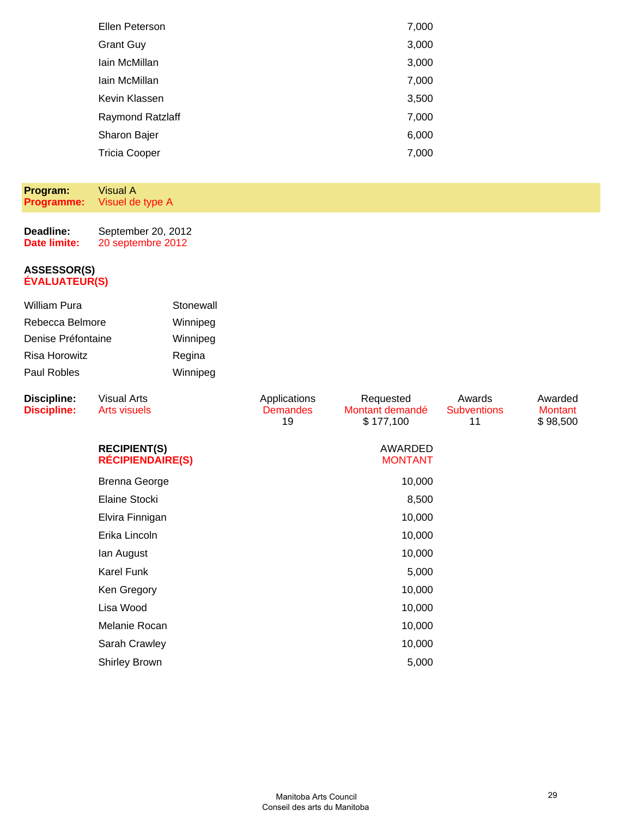| Ellen Peterson       | 7,000 |
|----------------------|-------|
| <b>Grant Guy</b>     | 3,000 |
| Iain McMillan        | 3,000 |
| Iain McMillan        | 7,000 |
| Kevin Klassen        | 3,500 |
| Raymond Ratzlaff     | 7,000 |
| Sharon Bajer         | 6,000 |
| <b>Tricia Cooper</b> | 7,000 |
|                      |       |

#### **Program: Programme:** Visual A Visuel de type A

| Deadline:    | September 20, 2012 |
|--------------|--------------------|
| Date limite: | 20 septembre 2012  |

| William Pura       | Stonewall |
|--------------------|-----------|
| Rebecca Belmore    | Winnipeg  |
| Denise Préfontaine | Winnipeg  |
| Risa Horowitz      | Regina    |
| Paul Robles        | Winnipeg  |

| <b>Discipline:</b><br><b>Discipline:</b> | <b>Visual Arts</b><br><b>Arts visuels</b>      | Applications<br><b>Demandes</b><br>19 | Requested<br>Montant demandé<br>\$177,100 | Awards<br><b>Subventions</b><br>11 | Awarded<br>Montant<br>\$98,500 |
|------------------------------------------|------------------------------------------------|---------------------------------------|-------------------------------------------|------------------------------------|--------------------------------|
|                                          | <b>RECIPIENT(S)</b><br><b>RÉCIPIENDAIRE(S)</b> |                                       | AWARDED<br><b>MONTANT</b>                 |                                    |                                |
|                                          | <b>Brenna George</b>                           |                                       | 10,000                                    |                                    |                                |
|                                          | Elaine Stocki                                  |                                       | 8,500                                     |                                    |                                |
|                                          | Elvira Finnigan                                |                                       | 10,000                                    |                                    |                                |
|                                          | Erika Lincoln                                  |                                       | 10,000                                    |                                    |                                |
|                                          | lan August                                     |                                       | 10,000                                    |                                    |                                |
|                                          | <b>Karel Funk</b>                              |                                       | 5,000                                     |                                    |                                |
|                                          | Ken Gregory                                    |                                       | 10,000                                    |                                    |                                |
|                                          | Lisa Wood                                      |                                       | 10,000                                    |                                    |                                |
|                                          | Melanie Rocan                                  |                                       | 10,000                                    |                                    |                                |
|                                          | Sarah Crawley                                  |                                       | 10,000                                    |                                    |                                |
|                                          | <b>Shirley Brown</b>                           |                                       | 5,000                                     |                                    |                                |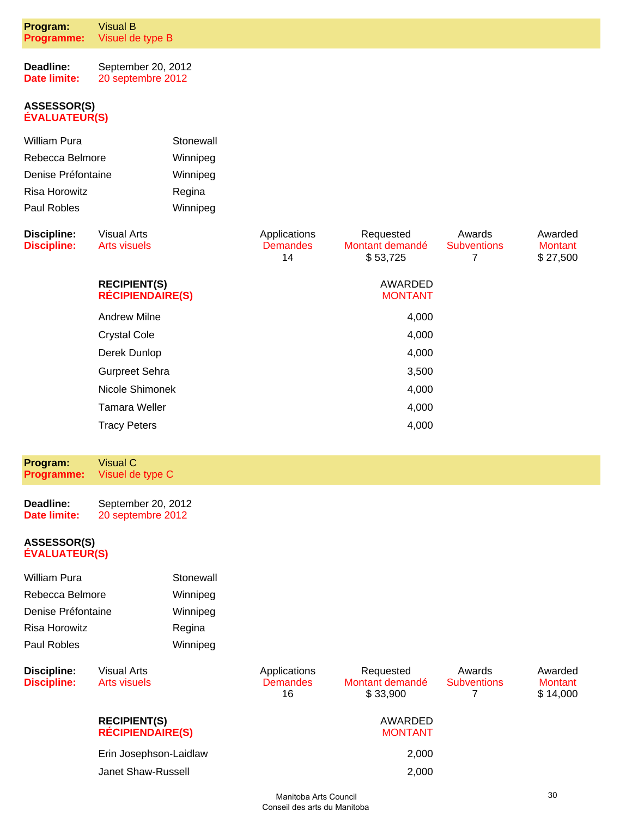| Program:<br>Programme:                                                                | Visual B<br>Visuel de type B                   |                                                         |                                       |                                          |                                   |                                       |
|---------------------------------------------------------------------------------------|------------------------------------------------|---------------------------------------------------------|---------------------------------------|------------------------------------------|-----------------------------------|---------------------------------------|
| Deadline:<br>Date limite:                                                             | September 20, 2012<br>20 septembre 2012        |                                                         |                                       |                                          |                                   |                                       |
| <b>ASSESSOR(S)</b><br><b>ÉVALUATEUR(S)</b>                                            |                                                |                                                         |                                       |                                          |                                   |                                       |
| William Pura<br>Rebecca Belmore<br>Denise Préfontaine<br>Risa Horowitz<br>Paul Robles |                                                | Stonewall<br>Winnipeg<br>Winnipeg<br>Regina<br>Winnipeg |                                       |                                          |                                   |                                       |
| <b>Discipline:</b><br><b>Discipline:</b>                                              | <b>Visual Arts</b><br><b>Arts visuels</b>      |                                                         | Applications<br><b>Demandes</b><br>14 | Requested<br>Montant demandé<br>\$53,725 | Awards<br><b>Subventions</b><br>7 | Awarded<br><b>Montant</b><br>\$27,500 |
|                                                                                       | <b>RECIPIENT(S)</b><br><b>RÉCIPIENDAIRE(S)</b> |                                                         |                                       | <b>AWARDED</b><br><b>MONTANT</b>         |                                   |                                       |
|                                                                                       | <b>Andrew Milne</b>                            |                                                         |                                       | 4,000                                    |                                   |                                       |
|                                                                                       | <b>Crystal Cole</b>                            |                                                         |                                       | 4,000                                    |                                   |                                       |
|                                                                                       | Derek Dunlop                                   |                                                         |                                       | 4,000                                    |                                   |                                       |
|                                                                                       | <b>Gurpreet Sehra</b>                          |                                                         |                                       | 3,500                                    |                                   |                                       |
|                                                                                       | Nicole Shimonek                                |                                                         |                                       | 4,000                                    |                                   |                                       |
|                                                                                       | <b>Tamara Weller</b>                           |                                                         |                                       | 4,000                                    |                                   |                                       |
|                                                                                       | <b>Tracy Peters</b>                            |                                                         |                                       | 4,000                                    |                                   |                                       |
|                                                                                       |                                                |                                                         |                                       |                                          |                                   |                                       |
| Program:<br><b>Programme:</b>                                                         | <b>Visual C</b><br>Visuel de type C            |                                                         |                                       |                                          |                                   |                                       |
| Deadline:<br><b>Date limite:</b>                                                      | September 20, 2012<br>20 septembre 2012        |                                                         |                                       |                                          |                                   |                                       |

| <b>William Pura</b> | Stonewall |
|---------------------|-----------|
| Rebecca Belmore     | Winnipeg  |
| Denise Préfontaine  | Winnipeg  |
| Risa Horowitz       | Regina    |
| Paul Robles         | Winnipeg  |
|                     |           |

| Discipline:<br><b>Discipline:</b> | Visual Arts<br>Arts visuels                    | Applications<br><b>Demandes</b><br>16 | Requested<br>Montant demandé<br>\$33,900 | Awards<br><b>Subventions</b> | Awarded<br>Montant<br>\$14,000 |
|-----------------------------------|------------------------------------------------|---------------------------------------|------------------------------------------|------------------------------|--------------------------------|
|                                   | <b>RECIPIENT(S)</b><br><b>RÉCIPIENDAIRE(S)</b> |                                       | AWARDED<br><b>MONTANT</b>                |                              |                                |
|                                   | Erin Josephson-Laidlaw                         |                                       | 2,000                                    |                              |                                |
|                                   | Janet Shaw-Russell                             |                                       | 2,000                                    |                              |                                |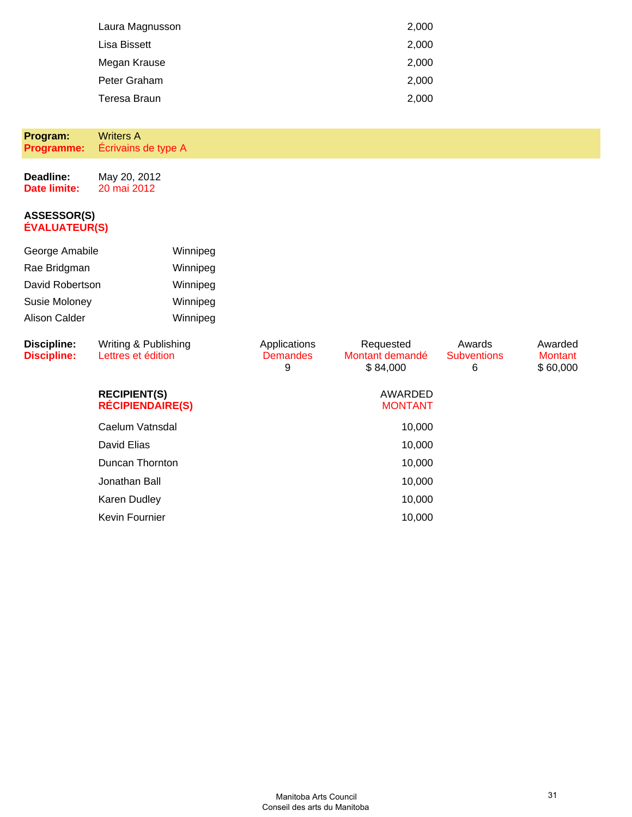| Laura Magnusson | 2,000 |
|-----------------|-------|
| Lisa Bissett    | 2,000 |
| Megan Krause    | 2,000 |
| Peter Graham    | 2,000 |
| Teresa Braun    | 2,000 |

**Program: Programme:** Writers A Écrivains de type A

**Deadline: Date limite:** May 20, 2012 20 mai 2012

#### **ASSESSOR(S) ÉVALUATEUR(S)**

| George Amabile                           | Winnipeg                                       |                                      |                                          |                                   |                                       |
|------------------------------------------|------------------------------------------------|--------------------------------------|------------------------------------------|-----------------------------------|---------------------------------------|
| Rae Bridgman                             | Winnipeg                                       |                                      |                                          |                                   |                                       |
| David Robertson                          | Winnipeg                                       |                                      |                                          |                                   |                                       |
| Susie Moloney                            | Winnipeg                                       |                                      |                                          |                                   |                                       |
| <b>Alison Calder</b>                     | Winnipeg                                       |                                      |                                          |                                   |                                       |
| <b>Discipline:</b><br><b>Discipline:</b> | Writing & Publishing<br>Lettres et édition     | Applications<br><b>Demandes</b><br>9 | Requested<br>Montant demandé<br>\$84,000 | Awards<br><b>Subventions</b><br>6 | Awarded<br><b>Montant</b><br>\$60,000 |
|                                          | <b>RECIPIENT(S)</b><br><b>RÉCIPIENDAIRE(S)</b> |                                      | AWARDED<br><b>MONTANT</b>                |                                   |                                       |
|                                          | Caelum Vatnsdal                                |                                      | 10,000                                   |                                   |                                       |
|                                          | David Elias                                    |                                      | 10,000                                   |                                   |                                       |
|                                          | Duncan Thornton                                |                                      | 10,000                                   |                                   |                                       |
|                                          | Jonathan Ball                                  |                                      | 10,000                                   |                                   |                                       |

Karen Dudley 10,000 Kevin Fournier 10,000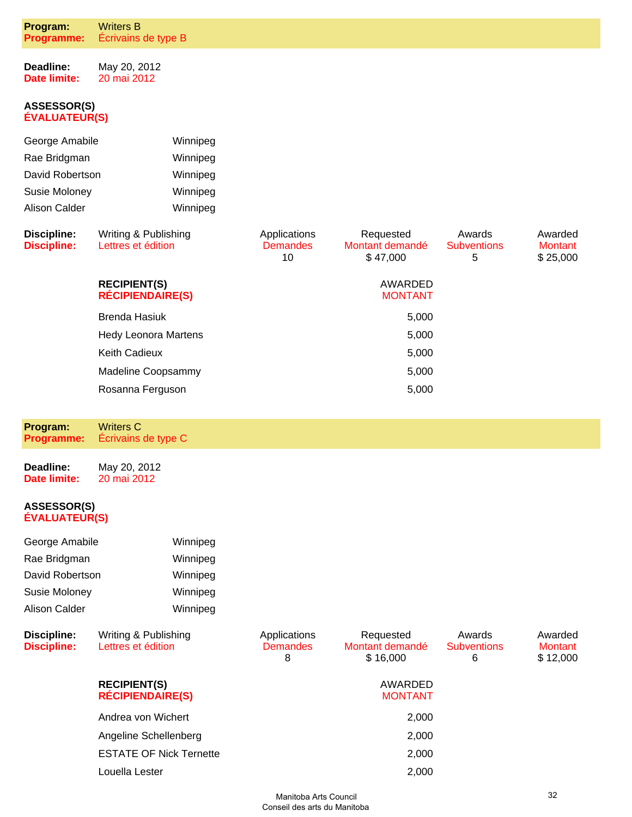| Program:<br>Programme:                     | <b>Writers B</b><br>Écrivains de type B        |                                       |                                          |                                   |                                       |
|--------------------------------------------|------------------------------------------------|---------------------------------------|------------------------------------------|-----------------------------------|---------------------------------------|
| Deadline:<br><b>Date limite:</b>           | May 20, 2012<br>20 mai 2012                    |                                       |                                          |                                   |                                       |
| <b>ASSESSOR(S)</b><br><b>ÉVALUATEUR(S)</b> |                                                |                                       |                                          |                                   |                                       |
| George Amabile                             | Winnipeg                                       |                                       |                                          |                                   |                                       |
| Rae Bridgman                               | Winnipeg                                       |                                       |                                          |                                   |                                       |
| David Robertson                            | Winnipeg                                       |                                       |                                          |                                   |                                       |
| Susie Moloney                              | Winnipeg                                       |                                       |                                          |                                   |                                       |
| <b>Alison Calder</b>                       | Winnipeg                                       |                                       |                                          |                                   |                                       |
| <b>Discipline:</b><br><b>Discipline:</b>   | Writing & Publishing<br>Lettres et édition     | Applications<br><b>Demandes</b><br>10 | Requested<br>Montant demandé<br>\$47,000 | Awards<br><b>Subventions</b><br>5 | Awarded<br><b>Montant</b><br>\$25,000 |
|                                            | <b>RECIPIENT(S)</b><br><b>RÉCIPIENDAIRE(S)</b> |                                       | AWARDED<br><b>MONTANT</b>                |                                   |                                       |
|                                            | <b>Brenda Hasiuk</b>                           |                                       | 5,000                                    |                                   |                                       |
|                                            | <b>Hedy Leonora Martens</b>                    |                                       | 5,000                                    |                                   |                                       |
|                                            | <b>Keith Cadieux</b>                           |                                       | 5,000                                    |                                   |                                       |
|                                            | Madeline Coopsammy                             |                                       | 5,000                                    |                                   |                                       |
|                                            | Rosanna Ferguson                               |                                       | 5,000                                    |                                   |                                       |
|                                            |                                                |                                       |                                          |                                   |                                       |
| Program:<br><b>Programme:</b>              | <b>Writers C</b><br>Écrivains de type C        |                                       |                                          |                                   |                                       |
| Deadline:<br><b>Date limite:</b>           | May 20, 2012<br>20 mai 2012                    |                                       |                                          |                                   |                                       |
| ASSESSOR(S)<br><b>ÉVALUATEUR(S)</b>        |                                                |                                       |                                          |                                   |                                       |
| George Amabile                             | Winnipeg                                       |                                       |                                          |                                   |                                       |
| Rae Bridgman                               | Winnipeg                                       |                                       |                                          |                                   |                                       |
| David Robertson                            | Winnipeg                                       |                                       |                                          |                                   |                                       |
| Susie Moloney                              | Winnipeg                                       |                                       |                                          |                                   |                                       |
| <b>Alison Calder</b>                       | Winnipeg                                       |                                       |                                          |                                   |                                       |
| <b>Discipline:</b><br><b>Discipline:</b>   | Writing & Publishing<br>Lettres et édition     | Applications<br><b>Demandes</b><br>8  | Requested<br>Montant demandé<br>\$16,000 | Awards<br><b>Subventions</b><br>6 | Awarded<br><b>Montant</b><br>\$12,000 |
|                                            | <b>RECIPIENT(S)</b>                            |                                       | AWARDED                                  |                                   |                                       |

| Andrea von Wichert             | 2.000 |
|--------------------------------|-------|
| Angeline Schellenberg          | 2,000 |
| <b>ESTATE OF Nick Ternette</b> | 2,000 |
| Louella Lester                 | 2.000 |
|                                |       |

**RÉCIPIENDAIRE(S)**

MONTANT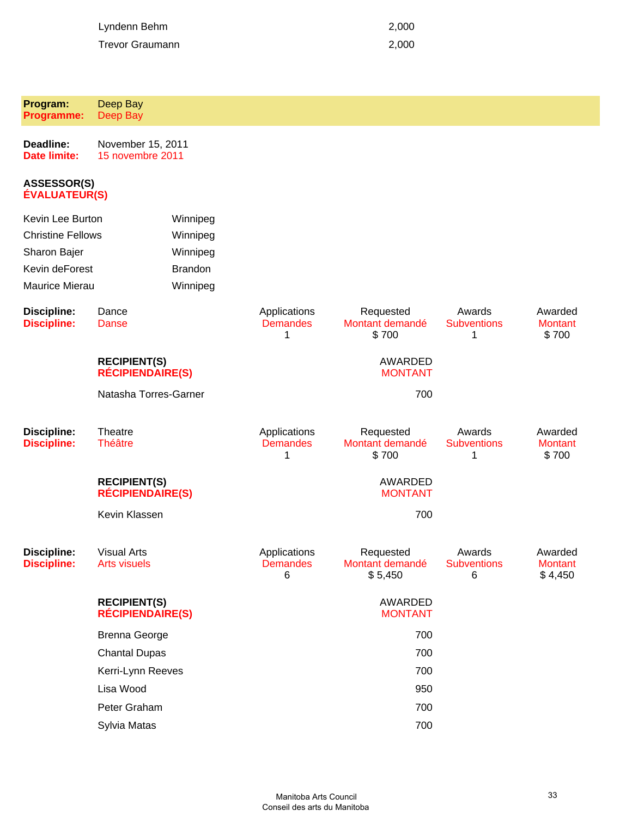| Lyndenn Behm    | 2.000 |
|-----------------|-------|
| Trevor Graumann | 2.000 |

| Program:<br><b>Programme:</b>              | Deep Bay<br>Deep Bay                           |                                      |                                         |                                   |                                      |
|--------------------------------------------|------------------------------------------------|--------------------------------------|-----------------------------------------|-----------------------------------|--------------------------------------|
| Deadline:<br><b>Date limite:</b>           | November 15, 2011<br>15 novembre 2011          |                                      |                                         |                                   |                                      |
| <b>ASSESSOR(S)</b><br><b>ÉVALUATEUR(S)</b> |                                                |                                      |                                         |                                   |                                      |
| Kevin Lee Burton                           | Winnipeg                                       |                                      |                                         |                                   |                                      |
| <b>Christine Fellows</b>                   | Winnipeg                                       |                                      |                                         |                                   |                                      |
| Sharon Bajer                               | Winnipeg                                       |                                      |                                         |                                   |                                      |
| Kevin deForest                             | <b>Brandon</b>                                 |                                      |                                         |                                   |                                      |
| Maurice Mierau                             | Winnipeg                                       |                                      |                                         |                                   |                                      |
| <b>Discipline:</b><br><b>Discipline:</b>   | Dance<br><b>Danse</b>                          | Applications<br><b>Demandes</b><br>1 | Requested<br>Montant demandé<br>\$700   | Awards<br><b>Subventions</b><br>1 | Awarded<br><b>Montant</b><br>\$700   |
|                                            | <b>RECIPIENT(S)</b><br><b>RÉCIPIENDAIRE(S)</b> |                                      | <b>AWARDED</b><br><b>MONTANT</b>        |                                   |                                      |
|                                            | Natasha Torres-Garner                          |                                      | 700                                     |                                   |                                      |
| <b>Discipline:</b><br><b>Discipline:</b>   | <b>Theatre</b><br><b>Théâtre</b>               | Applications<br><b>Demandes</b><br>1 | Requested<br>Montant demandé<br>\$700   | Awards<br><b>Subventions</b><br>1 | Awarded<br><b>Montant</b><br>\$700   |
|                                            | <b>RECIPIENT(S)</b><br><b>RÉCIPIENDAIRE(S)</b> |                                      | <b>AWARDED</b><br><b>MONTANT</b>        |                                   |                                      |
|                                            | Kevin Klassen                                  |                                      | 700                                     |                                   |                                      |
| <b>Discipline:</b><br><b>Discipline:</b>   | <b>Visual Arts</b><br><b>Arts visuels</b>      | Applications<br><b>Demandes</b><br>6 | Requested<br>Montant demandé<br>\$5,450 | Awards<br><b>Subventions</b><br>6 | Awarded<br><b>Montant</b><br>\$4,450 |
|                                            | <b>RECIPIENT(S)</b><br><b>RÉCIPIENDAIRE(S)</b> |                                      | <b>AWARDED</b><br><b>MONTANT</b>        |                                   |                                      |
|                                            | <b>Brenna George</b>                           |                                      | 700                                     |                                   |                                      |
|                                            | <b>Chantal Dupas</b>                           |                                      | 700                                     |                                   |                                      |
|                                            | Kerri-Lynn Reeves                              |                                      | 700                                     |                                   |                                      |
|                                            | Lisa Wood                                      |                                      | 950                                     |                                   |                                      |
|                                            | Peter Graham                                   |                                      | 700                                     |                                   |                                      |
|                                            | Sylvia Matas                                   |                                      | 700                                     |                                   |                                      |
|                                            |                                                |                                      |                                         |                                   |                                      |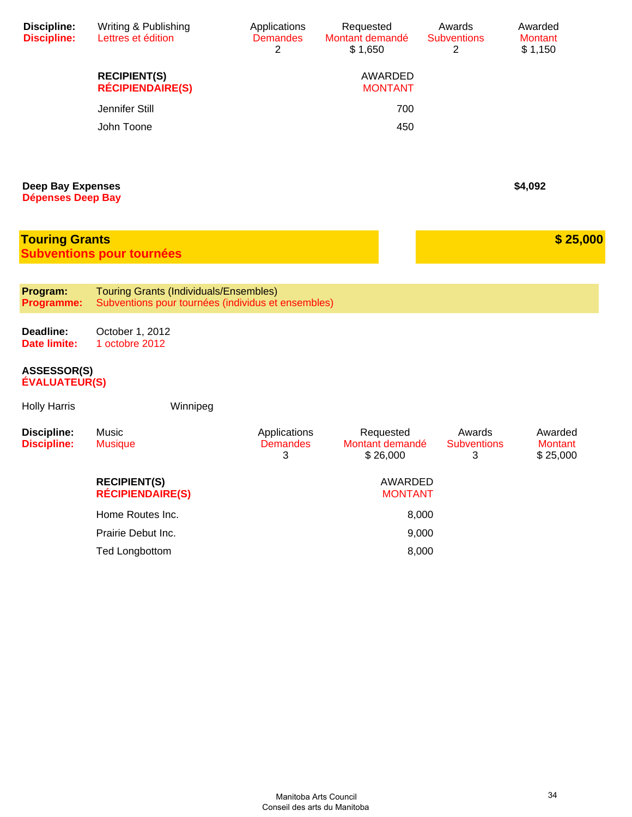| <b>Discipline:</b><br><b>Discipline:</b>             | Writing & Publishing<br>Lettres et édition                                                          | Applications<br><b>Demandes</b><br>2 | Requested<br>Montant demandé<br>\$1,650  | Awards<br><b>Subventions</b><br>2 | Awarded<br><b>Montant</b><br>\$1,150  |
|------------------------------------------------------|-----------------------------------------------------------------------------------------------------|--------------------------------------|------------------------------------------|-----------------------------------|---------------------------------------|
|                                                      | <b>RECIPIENT(S)</b><br><b>RÉCIPIENDAIRE(S)</b>                                                      |                                      | AWARDED<br><b>MONTANT</b>                |                                   |                                       |
|                                                      | Jennifer Still                                                                                      |                                      | 700                                      |                                   |                                       |
|                                                      | John Toone                                                                                          |                                      | 450                                      |                                   |                                       |
|                                                      |                                                                                                     |                                      |                                          |                                   |                                       |
| <b>Deep Bay Expenses</b><br><b>Dépenses Deep Bay</b> |                                                                                                     |                                      |                                          |                                   | \$4,092                               |
|                                                      |                                                                                                     |                                      |                                          |                                   |                                       |
| <b>Touring Grants</b>                                | <b>Subventions pour tournées</b>                                                                    |                                      |                                          |                                   | \$25,000                              |
|                                                      |                                                                                                     |                                      |                                          |                                   |                                       |
| Program:<br><b>Programme:</b>                        | <b>Touring Grants (Individuals/Ensembles)</b><br>Subventions pour tournées (individus et ensembles) |                                      |                                          |                                   |                                       |
| Deadline:<br><b>Date limite:</b>                     | October 1, 2012<br>1 octobre 2012                                                                   |                                      |                                          |                                   |                                       |
| <b>ASSESSOR(S)</b><br><b>ÉVALUATEUR(S)</b>           |                                                                                                     |                                      |                                          |                                   |                                       |
| <b>Holly Harris</b>                                  | Winnipeg                                                                                            |                                      |                                          |                                   |                                       |
| <b>Discipline:</b><br><b>Discipline:</b>             | Music<br><b>Musique</b>                                                                             | Applications<br><b>Demandes</b><br>3 | Requested<br>Montant demandé<br>\$26,000 | Awards<br><b>Subventions</b><br>3 | Awarded<br><b>Montant</b><br>\$25,000 |
|                                                      | <b>RECIPIENT(S)</b><br><b>RÉCIPIENDAIRE(S)</b>                                                      |                                      | AWARDED<br><b>MONTANT</b>                |                                   |                                       |
|                                                      | Home Routes Inc.                                                                                    |                                      | 8,000                                    |                                   |                                       |
|                                                      | Prairie Debut Inc.                                                                                  |                                      | 9,000                                    |                                   |                                       |
|                                                      | <b>Ted Longbottom</b>                                                                               |                                      | 8,000                                    |                                   |                                       |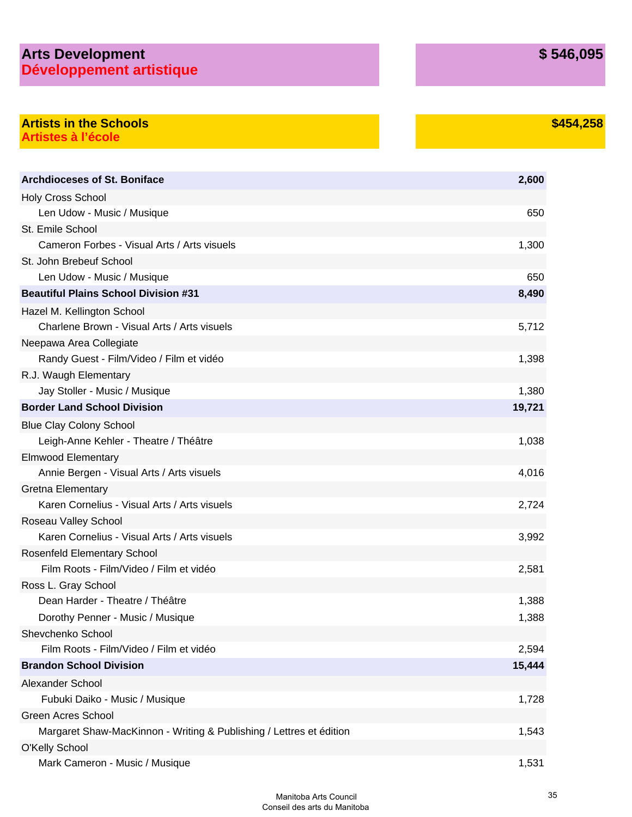## **Arts Development Développement artistique**

### **\$454,258**

### **Artists in the Schools Artistes à l'école**

| <b>Archdioceses of St. Boniface</b>                                 | 2,600  |
|---------------------------------------------------------------------|--------|
| Holy Cross School                                                   |        |
| Len Udow - Music / Musique                                          | 650    |
| St. Emile School                                                    |        |
| Cameron Forbes - Visual Arts / Arts visuels                         | 1,300  |
| St. John Brebeuf School                                             |        |
| Len Udow - Music / Musique                                          | 650    |
| <b>Beautiful Plains School Division #31</b>                         | 8,490  |
| Hazel M. Kellington School                                          |        |
| Charlene Brown - Visual Arts / Arts visuels                         | 5,712  |
| Neepawa Area Collegiate                                             |        |
| Randy Guest - Film/Video / Film et vidéo                            | 1,398  |
| R.J. Waugh Elementary                                               |        |
| Jay Stoller - Music / Musique                                       | 1,380  |
| <b>Border Land School Division</b>                                  | 19,721 |
| <b>Blue Clay Colony School</b>                                      |        |
| Leigh-Anne Kehler - Theatre / Théâtre                               | 1,038  |
| <b>Elmwood Elementary</b>                                           |        |
| Annie Bergen - Visual Arts / Arts visuels                           | 4,016  |
| <b>Gretna Elementary</b>                                            |        |
| Karen Cornelius - Visual Arts / Arts visuels                        | 2,724  |
| Roseau Valley School                                                |        |
| Karen Cornelius - Visual Arts / Arts visuels                        | 3,992  |
| Rosenfeld Elementary School                                         |        |
| Film Roots - Film/Video / Film et vidéo                             | 2,581  |
| Ross L. Gray School                                                 |        |
| Dean Harder - Theatre / Théâtre                                     | 1,388  |
| Dorothy Penner - Music / Musique                                    | 1,388  |
| Shevchenko School                                                   |        |
| Film Roots - Film/Video / Film et vidéo                             | 2,594  |
| <b>Brandon School Division</b>                                      | 15,444 |
| Alexander School                                                    |        |
| Fubuki Daiko - Music / Musique                                      | 1,728  |
| <b>Green Acres School</b>                                           |        |
| Margaret Shaw-MacKinnon - Writing & Publishing / Lettres et édition | 1,543  |
| <b>O'Kelly School</b>                                               |        |
| Mark Cameron - Music / Musique                                      | 1,531  |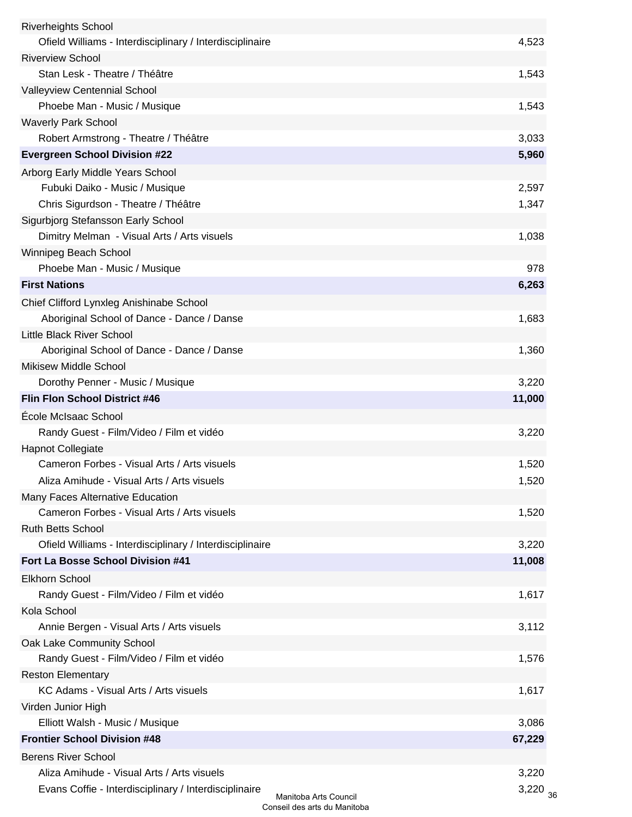| <b>Riverheights School</b>                               |                       |
|----------------------------------------------------------|-----------------------|
| Ofield Williams - Interdisciplinary / Interdisciplinaire | 4,523                 |
| <b>Riverview School</b>                                  |                       |
| Stan Lesk - Theatre / Théâtre                            | 1,543                 |
| Valleyview Centennial School                             |                       |
| Phoebe Man - Music / Musique                             | 1,543                 |
| <b>Waverly Park School</b>                               |                       |
| Robert Armstrong - Theatre / Théâtre                     | 3,033                 |
| <b>Evergreen School Division #22</b>                     | 5,960                 |
| Arborg Early Middle Years School                         |                       |
| Fubuki Daiko - Music / Musique                           | 2,597                 |
| Chris Sigurdson - Theatre / Théâtre                      | 1,347                 |
| Sigurbjorg Stefansson Early School                       |                       |
| Dimitry Melman - Visual Arts / Arts visuels              | 1,038                 |
| Winnipeg Beach School                                    |                       |
| Phoebe Man - Music / Musique                             | 978                   |
| <b>First Nations</b>                                     | 6,263                 |
| Chief Clifford Lynxleg Anishinabe School                 |                       |
| Aboriginal School of Dance - Dance / Danse               | 1,683                 |
| Little Black River School                                |                       |
| Aboriginal School of Dance - Dance / Danse               | 1,360                 |
| <b>Mikisew Middle School</b>                             |                       |
| Dorothy Penner - Music / Musique                         | 3,220                 |
| Flin Flon School District #46                            | 11,000                |
| École McIsaac School                                     |                       |
| Randy Guest - Film/Video / Film et vidéo                 | 3,220                 |
| <b>Hapnot Collegiate</b>                                 |                       |
| Cameron Forbes - Visual Arts / Arts visuels              | 1,520                 |
| Aliza Amihude - Visual Arts / Arts visuels               | 1,520                 |
| Many Faces Alternative Education                         |                       |
| Cameron Forbes - Visual Arts / Arts visuels              | 1,520                 |
| <b>Ruth Betts School</b>                                 |                       |
| Ofield Williams - Interdisciplinary / Interdisciplinaire | 3,220                 |
| Fort La Bosse School Division #41                        | 11,008                |
| <b>Elkhorn School</b>                                    |                       |
| Randy Guest - Film/Video / Film et vidéo                 | 1,617                 |
| Kola School                                              |                       |
| Annie Bergen - Visual Arts / Arts visuels                | 3,112                 |
| Oak Lake Community School                                |                       |
| Randy Guest - Film/Video / Film et vidéo                 | 1,576                 |
| <b>Reston Elementary</b>                                 |                       |
| KC Adams - Visual Arts / Arts visuels                    | 1,617                 |
| Virden Junior High                                       |                       |
| Elliott Walsh - Music / Musique                          | 3,086                 |
| <b>Frontier School Division #48</b>                      | 67,229                |
| <b>Berens River School</b>                               |                       |
| Aliza Amihude - Visual Arts / Arts visuels               | 3,220                 |
| Evans Coffie - Interdisciplinary / Interdisciplinaire    | 3,220                 |
|                                                          | Manitoba Arts Council |

36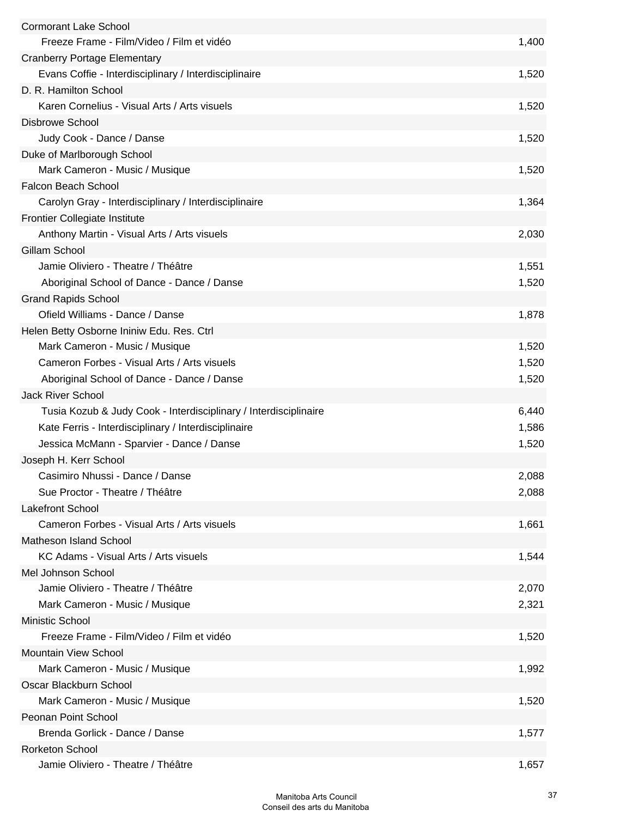| <b>Cormorant Lake School</b>                                     |       |
|------------------------------------------------------------------|-------|
| Freeze Frame - Film/Video / Film et vidéo                        | 1,400 |
| <b>Cranberry Portage Elementary</b>                              |       |
| Evans Coffie - Interdisciplinary / Interdisciplinaire            | 1,520 |
| D. R. Hamilton School                                            |       |
| Karen Cornelius - Visual Arts / Arts visuels                     | 1,520 |
| <b>Disbrowe School</b>                                           |       |
| Judy Cook - Dance / Danse                                        | 1,520 |
| Duke of Marlborough School                                       |       |
| Mark Cameron - Music / Musique                                   | 1,520 |
| <b>Falcon Beach School</b>                                       |       |
| Carolyn Gray - Interdisciplinary / Interdisciplinaire            | 1,364 |
| <b>Frontier Collegiate Institute</b>                             |       |
| Anthony Martin - Visual Arts / Arts visuels                      | 2,030 |
| <b>Gillam School</b>                                             |       |
| Jamie Oliviero - Theatre / Théâtre                               | 1,551 |
| Aboriginal School of Dance - Dance / Danse                       | 1,520 |
| <b>Grand Rapids School</b>                                       |       |
| Ofield Williams - Dance / Danse                                  | 1,878 |
| Helen Betty Osborne Ininiw Edu. Res. Ctrl                        |       |
| Mark Cameron - Music / Musique                                   | 1,520 |
| Cameron Forbes - Visual Arts / Arts visuels                      | 1,520 |
| Aboriginal School of Dance - Dance / Danse                       | 1,520 |
| <b>Jack River School</b>                                         |       |
| Tusia Kozub & Judy Cook - Interdisciplinary / Interdisciplinaire | 6,440 |
| Kate Ferris - Interdisciplinary / Interdisciplinaire             | 1,586 |
| Jessica McMann - Sparvier - Dance / Danse                        | 1,520 |
| Joseph H. Kerr School                                            |       |
| Casimiro Nhussi - Dance / Danse                                  | 2,088 |
| Sue Proctor - Theatre / Théâtre                                  | 2,088 |
| <b>Lakefront School</b>                                          |       |
| Cameron Forbes - Visual Arts / Arts visuels                      | 1,661 |
| <b>Matheson Island School</b>                                    |       |
| KC Adams - Visual Arts / Arts visuels                            | 1,544 |
| Mel Johnson School                                               |       |
| Jamie Oliviero - Theatre / Théâtre                               | 2,070 |
| Mark Cameron - Music / Musique                                   | 2,321 |
| <b>Ministic School</b>                                           |       |
| Freeze Frame - Film/Video / Film et vidéo                        | 1,520 |
| <b>Mountain View School</b>                                      |       |
| Mark Cameron - Music / Musique                                   | 1,992 |
| Oscar Blackburn School                                           |       |
| Mark Cameron - Music / Musique                                   | 1,520 |
| Peonan Point School                                              |       |
| Brenda Gorlick - Dance / Danse                                   | 1,577 |
| <b>Rorketon School</b>                                           |       |
| Jamie Oliviero - Theatre / Théâtre                               | 1,657 |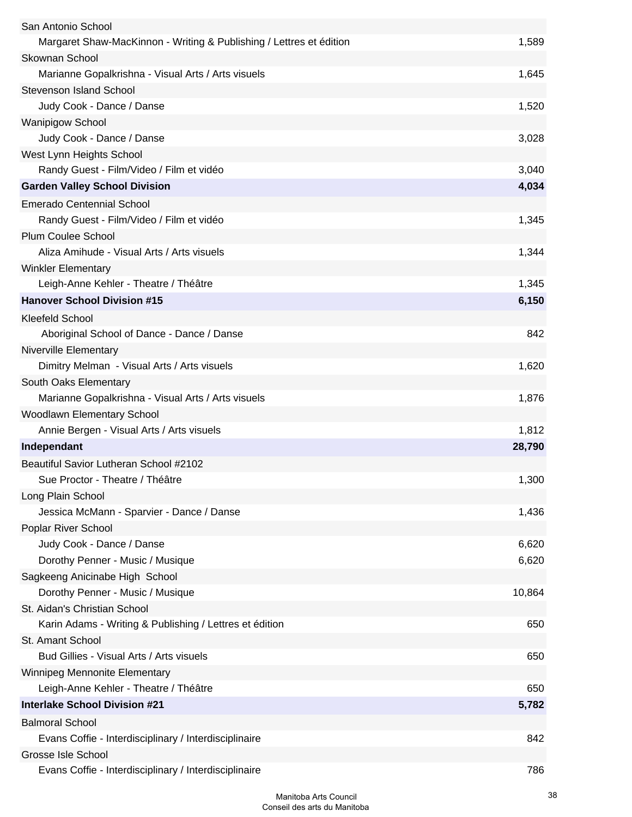| San Antonio School                                                  |        |
|---------------------------------------------------------------------|--------|
| Margaret Shaw-MacKinnon - Writing & Publishing / Lettres et édition | 1,589  |
| <b>Skownan School</b>                                               |        |
| Marianne Gopalkrishna - Visual Arts / Arts visuels                  | 1,645  |
| <b>Stevenson Island School</b>                                      |        |
| Judy Cook - Dance / Danse                                           | 1,520  |
| <b>Wanipigow School</b>                                             |        |
| Judy Cook - Dance / Danse                                           | 3,028  |
| West Lynn Heights School                                            |        |
| Randy Guest - Film/Video / Film et vidéo                            | 3,040  |
| <b>Garden Valley School Division</b>                                | 4,034  |
| <b>Emerado Centennial School</b>                                    |        |
| Randy Guest - Film/Video / Film et vidéo                            | 1,345  |
| <b>Plum Coulee School</b>                                           |        |
| Aliza Amihude - Visual Arts / Arts visuels                          | 1,344  |
| <b>Winkler Elementary</b>                                           |        |
| Leigh-Anne Kehler - Theatre / Théâtre                               | 1,345  |
| <b>Hanover School Division #15</b>                                  | 6,150  |
| <b>Kleefeld School</b>                                              |        |
| Aboriginal School of Dance - Dance / Danse                          | 842    |
| Niverville Elementary                                               |        |
| Dimitry Melman - Visual Arts / Arts visuels                         | 1,620  |
| South Oaks Elementary                                               |        |
| Marianne Gopalkrishna - Visual Arts / Arts visuels                  | 1,876  |
| Woodlawn Elementary School                                          |        |
| Annie Bergen - Visual Arts / Arts visuels                           | 1,812  |
| Independant                                                         | 28,790 |
| Beautiful Savior Lutheran School #2102                              |        |
| Sue Proctor - Theatre / Théâtre                                     | 1,300  |
| Long Plain School                                                   |        |
| Jessica McMann - Sparvier - Dance / Danse                           | 1,436  |
| Poplar River School                                                 |        |
| Judy Cook - Dance / Danse                                           | 6,620  |
| Dorothy Penner - Music / Musique                                    | 6,620  |
| Sagkeeng Anicinabe High School                                      |        |
| Dorothy Penner - Music / Musique                                    | 10,864 |
| St. Aidan's Christian School                                        |        |
| Karin Adams - Writing & Publishing / Lettres et édition             | 650    |
| St. Amant School                                                    |        |
| Bud Gillies - Visual Arts / Arts visuels                            | 650    |
| Winnipeg Mennonite Elementary                                       |        |
| Leigh-Anne Kehler - Theatre / Théâtre                               | 650    |
| <b>Interlake School Division #21</b>                                | 5,782  |
| <b>Balmoral School</b>                                              |        |
| Evans Coffie - Interdisciplinary / Interdisciplinaire               | 842    |
| Grosse Isle School                                                  |        |
| Evans Coffie - Interdisciplinary / Interdisciplinaire               | 786    |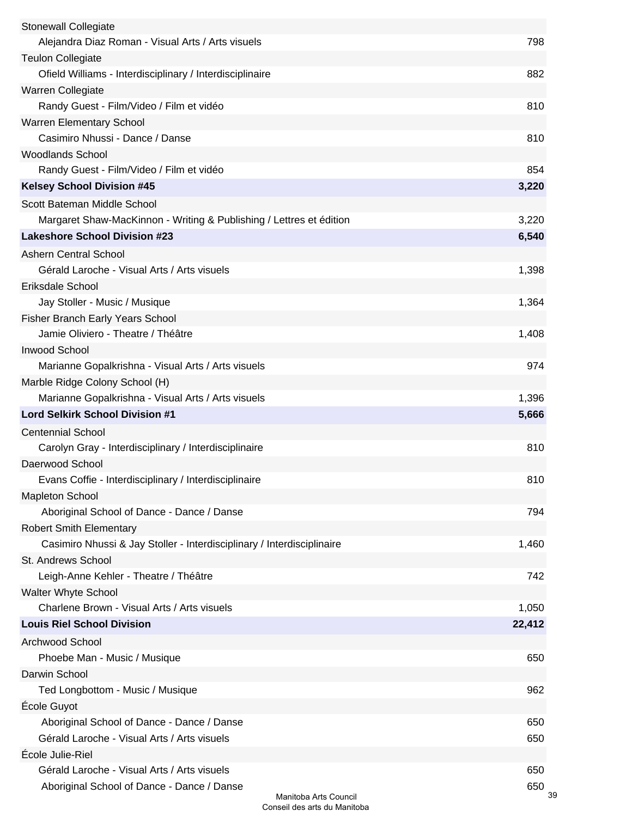| <b>Stonewall Collegiate</b>                                            |                       |           |
|------------------------------------------------------------------------|-----------------------|-----------|
| Alejandra Diaz Roman - Visual Arts / Arts visuels                      |                       | 798       |
| <b>Teulon Collegiate</b>                                               |                       |           |
| Ofield Williams - Interdisciplinary / Interdisciplinaire               |                       | 882       |
| Warren Collegiate                                                      |                       |           |
| Randy Guest - Film/Video / Film et vidéo                               |                       | 810       |
| Warren Elementary School                                               |                       |           |
| Casimiro Nhussi - Dance / Danse                                        |                       | 810       |
| <b>Woodlands School</b>                                                |                       |           |
| Randy Guest - Film/Video / Film et vidéo                               |                       | 854       |
| <b>Kelsey School Division #45</b>                                      |                       | 3,220     |
| Scott Bateman Middle School                                            |                       |           |
| Margaret Shaw-MacKinnon - Writing & Publishing / Lettres et édition    |                       | 3,220     |
| <b>Lakeshore School Division #23</b>                                   |                       | 6,540     |
| <b>Ashern Central School</b>                                           |                       |           |
| Gérald Laroche - Visual Arts / Arts visuels                            |                       | 1,398     |
| Eriksdale School                                                       |                       |           |
| Jay Stoller - Music / Musique                                          |                       | 1,364     |
| <b>Fisher Branch Early Years School</b>                                |                       |           |
| Jamie Oliviero - Theatre / Théâtre                                     |                       | 1,408     |
| <b>Inwood School</b>                                                   |                       |           |
| Marianne Gopalkrishna - Visual Arts / Arts visuels                     |                       | 974       |
| Marble Ridge Colony School (H)                                         |                       |           |
| Marianne Gopalkrishna - Visual Arts / Arts visuels                     |                       | 1,396     |
| <b>Lord Selkirk School Division #1</b>                                 |                       | 5,666     |
| <b>Centennial School</b>                                               |                       |           |
| Carolyn Gray - Interdisciplinary / Interdisciplinaire                  |                       | 810       |
| Daerwood School                                                        |                       |           |
| Evans Coffie - Interdisciplinary / Interdisciplinaire                  |                       | 810       |
| <b>Mapleton School</b>                                                 |                       |           |
| Aboriginal School of Dance - Dance / Danse                             |                       | 794       |
| <b>Robert Smith Elementary</b>                                         |                       |           |
| Casimiro Nhussi & Jay Stoller - Interdisciplinary / Interdisciplinaire |                       | 1,460     |
| St. Andrews School                                                     |                       |           |
| Leigh-Anne Kehler - Theatre / Théâtre                                  |                       | 742       |
| Walter Whyte School                                                    |                       |           |
| Charlene Brown - Visual Arts / Arts visuels                            |                       | 1,050     |
| <b>Louis Riel School Division</b>                                      |                       | 22,412    |
| <b>Archwood School</b>                                                 |                       |           |
| Phoebe Man - Music / Musique                                           |                       | 650       |
| Darwin School                                                          |                       |           |
| Ted Longbottom - Music / Musique                                       |                       | 962       |
| École Guyot                                                            |                       |           |
| Aboriginal School of Dance - Dance / Danse                             |                       | 650       |
| Gérald Laroche - Visual Arts / Arts visuels                            |                       | 650       |
| École Julie-Riel                                                       |                       |           |
| Gérald Laroche - Visual Arts / Arts visuels                            |                       | 650       |
| Aboriginal School of Dance - Dance / Danse                             | Manitoba Arts Council | 650<br>39 |
|                                                                        |                       |           |

Conseil des arts du Manitoba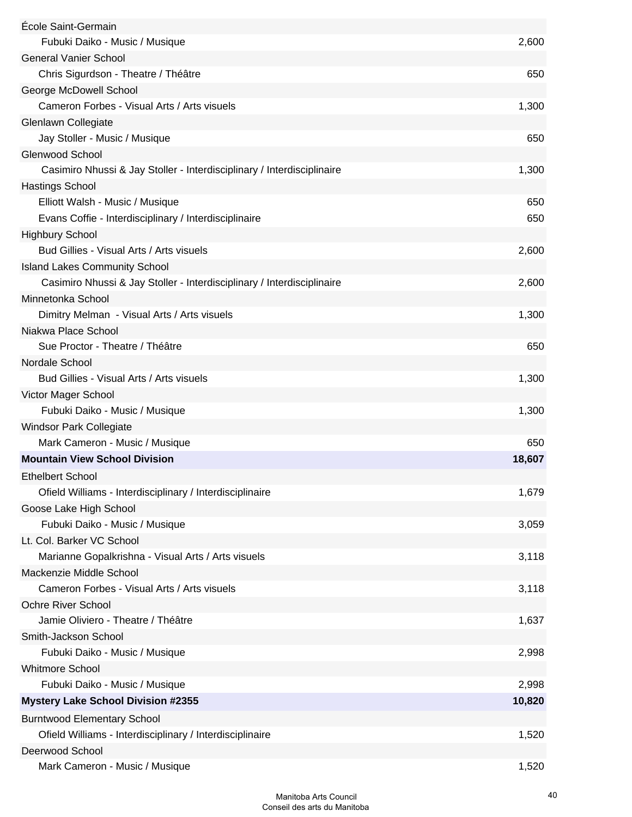| École Saint-Germain                                                    |        |
|------------------------------------------------------------------------|--------|
| Fubuki Daiko - Music / Musique                                         | 2,600  |
| <b>General Vanier School</b>                                           |        |
| Chris Sigurdson - Theatre / Théâtre                                    | 650    |
| George McDowell School                                                 |        |
| Cameron Forbes - Visual Arts / Arts visuels                            | 1,300  |
| Glenlawn Collegiate                                                    |        |
| Jay Stoller - Music / Musique                                          | 650    |
| Glenwood School                                                        |        |
| Casimiro Nhussi & Jay Stoller - Interdisciplinary / Interdisciplinaire | 1,300  |
| <b>Hastings School</b>                                                 |        |
| Elliott Walsh - Music / Musique                                        | 650    |
| Evans Coffie - Interdisciplinary / Interdisciplinaire                  | 650    |
| <b>Highbury School</b>                                                 |        |
| Bud Gillies - Visual Arts / Arts visuels                               | 2,600  |
| <b>Island Lakes Community School</b>                                   |        |
| Casimiro Nhussi & Jay Stoller - Interdisciplinary / Interdisciplinaire | 2,600  |
| Minnetonka School                                                      |        |
| Dimitry Melman - Visual Arts / Arts visuels                            | 1,300  |
| Niakwa Place School                                                    |        |
| Sue Proctor - Theatre / Théâtre                                        | 650    |
| Nordale School                                                         |        |
| Bud Gillies - Visual Arts / Arts visuels                               | 1,300  |
| Victor Mager School                                                    |        |
| Fubuki Daiko - Music / Musique                                         | 1,300  |
| <b>Windsor Park Collegiate</b>                                         |        |
| Mark Cameron - Music / Musique                                         | 650    |
| <b>Mountain View School Division</b>                                   | 18,607 |
| <b>Ethelbert School</b>                                                |        |
| Ofield Williams - Interdisciplinary / Interdisciplinaire               | 1,679  |
| Goose Lake High School                                                 |        |
| Fubuki Daiko - Music / Musique                                         | 3,059  |
| Lt. Col. Barker VC School                                              |        |
| Marianne Gopalkrishna - Visual Arts / Arts visuels                     | 3,118  |
| Mackenzie Middle School                                                |        |
| Cameron Forbes - Visual Arts / Arts visuels                            | 3,118  |
| <b>Ochre River School</b>                                              |        |
| Jamie Oliviero - Theatre / Théâtre                                     | 1,637  |
| Smith-Jackson School                                                   |        |
| Fubuki Daiko - Music / Musique                                         | 2,998  |
| <b>Whitmore School</b>                                                 |        |
| Fubuki Daiko - Music / Musique                                         | 2,998  |
| <b>Mystery Lake School Division #2355</b>                              | 10,820 |
| <b>Burntwood Elementary School</b>                                     |        |
| Ofield Williams - Interdisciplinary / Interdisciplinaire               | 1,520  |
| Deerwood School                                                        |        |
| Mark Cameron - Music / Musique                                         | 1,520  |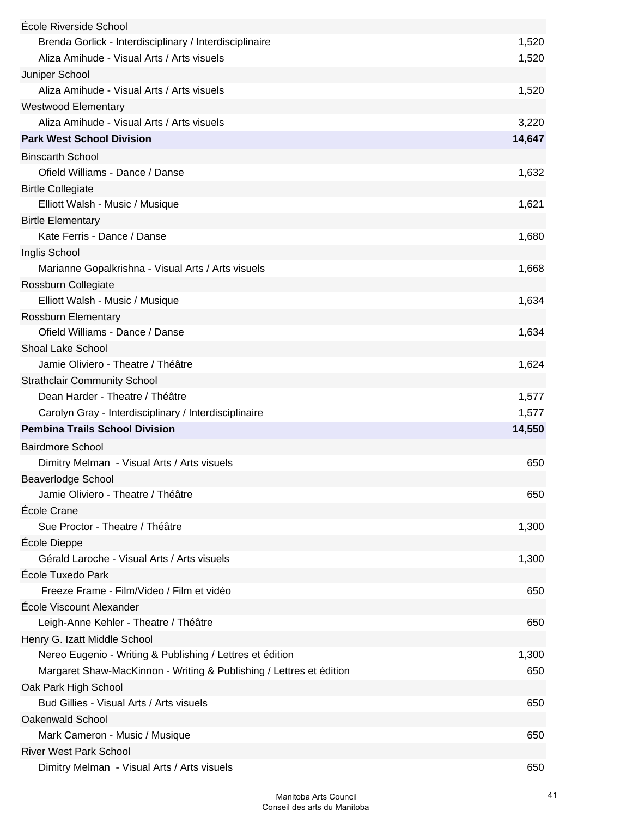| École Riverside School                                              |        |
|---------------------------------------------------------------------|--------|
| Brenda Gorlick - Interdisciplinary / Interdisciplinaire             | 1,520  |
| Aliza Amihude - Visual Arts / Arts visuels                          | 1,520  |
| Juniper School                                                      |        |
| Aliza Amihude - Visual Arts / Arts visuels                          | 1,520  |
| <b>Westwood Elementary</b>                                          |        |
| Aliza Amihude - Visual Arts / Arts visuels                          | 3,220  |
| <b>Park West School Division</b>                                    | 14,647 |
| <b>Binscarth School</b>                                             |        |
| Ofield Williams - Dance / Danse                                     | 1,632  |
| <b>Birtle Collegiate</b>                                            |        |
| Elliott Walsh - Music / Musique                                     | 1,621  |
| <b>Birtle Elementary</b>                                            |        |
| Kate Ferris - Dance / Danse                                         | 1,680  |
| Inglis School                                                       |        |
| Marianne Gopalkrishna - Visual Arts / Arts visuels                  | 1,668  |
| Rossburn Collegiate                                                 |        |
| Elliott Walsh - Music / Musique                                     | 1,634  |
| Rossburn Elementary                                                 |        |
| Ofield Williams - Dance / Danse                                     | 1,634  |
| <b>Shoal Lake School</b>                                            |        |
| Jamie Oliviero - Theatre / Théâtre                                  | 1,624  |
| <b>Strathclair Community School</b>                                 |        |
| Dean Harder - Theatre / Théâtre                                     | 1,577  |
| Carolyn Gray - Interdisciplinary / Interdisciplinaire               | 1,577  |
| <b>Pembina Trails School Division</b>                               | 14,550 |
| <b>Bairdmore School</b>                                             |        |
| Dimitry Melman - Visual Arts / Arts visuels                         | 650    |
| <b>Beaverlodge School</b>                                           |        |
| Jamie Oliviero - Theatre / Théâtre                                  | 650    |
| École Crane                                                         |        |
| Sue Proctor - Theatre / Théâtre                                     | 1,300  |
| École Dieppe                                                        |        |
| Gérald Laroche - Visual Arts / Arts visuels                         | 1,300  |
| École Tuxedo Park                                                   |        |
| Freeze Frame - Film/Video / Film et vidéo                           | 650    |
| École Viscount Alexander                                            |        |
| Leigh-Anne Kehler - Theatre / Théâtre                               | 650    |
| Henry G. Izatt Middle School                                        |        |
| Nereo Eugenio - Writing & Publishing / Lettres et édition           | 1,300  |
| Margaret Shaw-MacKinnon - Writing & Publishing / Lettres et édition | 650    |
| Oak Park High School                                                |        |
| Bud Gillies - Visual Arts / Arts visuels                            | 650    |
| <b>Oakenwald School</b>                                             |        |
| Mark Cameron - Music / Musique                                      | 650    |
| <b>River West Park School</b>                                       |        |
| Dimitry Melman - Visual Arts / Arts visuels                         | 650    |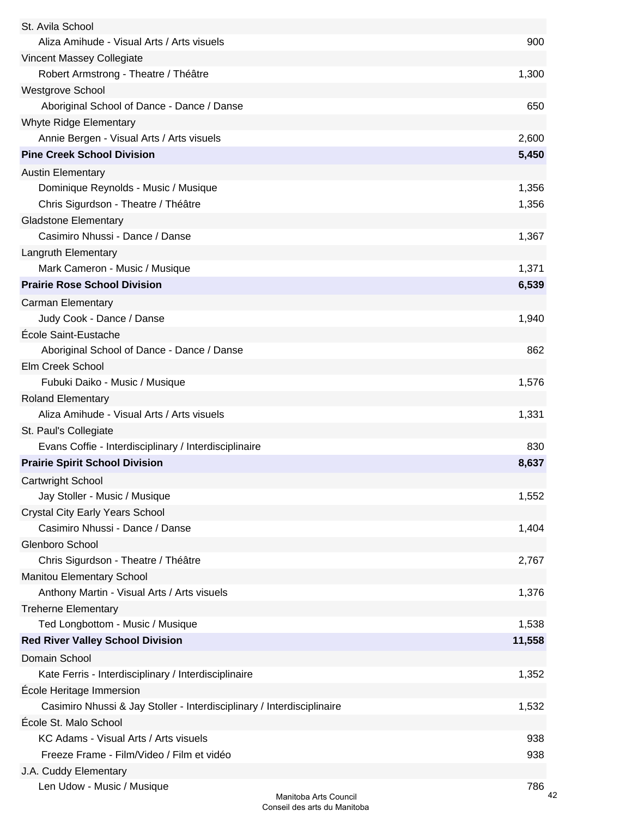| St. Avila School                                                       |        |
|------------------------------------------------------------------------|--------|
| Aliza Amihude - Visual Arts / Arts visuels                             | 900    |
| Vincent Massey Collegiate                                              |        |
| Robert Armstrong - Theatre / Théâtre                                   | 1,300  |
| <b>Westgrove School</b>                                                |        |
| Aboriginal School of Dance - Dance / Danse                             | 650    |
| Whyte Ridge Elementary                                                 |        |
| Annie Bergen - Visual Arts / Arts visuels                              | 2,600  |
| <b>Pine Creek School Division</b>                                      | 5,450  |
| <b>Austin Elementary</b>                                               |        |
| Dominique Reynolds - Music / Musique                                   | 1,356  |
| Chris Sigurdson - Theatre / Théâtre                                    | 1,356  |
| <b>Gladstone Elementary</b>                                            |        |
| Casimiro Nhussi - Dance / Danse                                        | 1,367  |
| Langruth Elementary                                                    |        |
| Mark Cameron - Music / Musique                                         | 1,371  |
| <b>Prairie Rose School Division</b>                                    | 6,539  |
| <b>Carman Elementary</b>                                               |        |
| Judy Cook - Dance / Danse                                              | 1,940  |
| École Saint-Eustache                                                   |        |
| Aboriginal School of Dance - Dance / Danse                             | 862    |
| Elm Creek School                                                       |        |
| Fubuki Daiko - Music / Musique                                         | 1,576  |
|                                                                        |        |
| <b>Roland Elementary</b><br>Aliza Amihude - Visual Arts / Arts visuels | 1,331  |
|                                                                        |        |
| St. Paul's Collegiate                                                  |        |
| Evans Coffie - Interdisciplinary / Interdisciplinaire                  | 830    |
| <b>Prairie Spirit School Division</b>                                  | 8,637  |
| <b>Cartwright School</b>                                               |        |
| Jay Stoller - Music / Musique                                          | 1,552  |
| <b>Crystal City Early Years School</b>                                 |        |
| Casimiro Nhussi - Dance / Danse                                        | 1,404  |
| Glenboro School                                                        |        |
| Chris Sigurdson - Theatre / Théâtre                                    | 2,767  |
| <b>Manitou Elementary School</b>                                       |        |
| Anthony Martin - Visual Arts / Arts visuels                            | 1,376  |
| <b>Treherne Elementary</b>                                             |        |
| Ted Longbottom - Music / Musique                                       | 1,538  |
| <b>Red River Valley School Division</b>                                | 11,558 |
| Domain School                                                          |        |
| Kate Ferris - Interdisciplinary / Interdisciplinaire                   | 1,352  |
| École Heritage Immersion                                               |        |
| Casimiro Nhussi & Jay Stoller - Interdisciplinary / Interdisciplinaire | 1,532  |
| École St. Malo School                                                  |        |
| KC Adams - Visual Arts / Arts visuels                                  | 938    |
| Freeze Frame - Film/Video / Film et vidéo                              | 938    |
| J.A. Cuddy Elementary                                                  |        |
| Len Udow - Music / Musique                                             | 786    |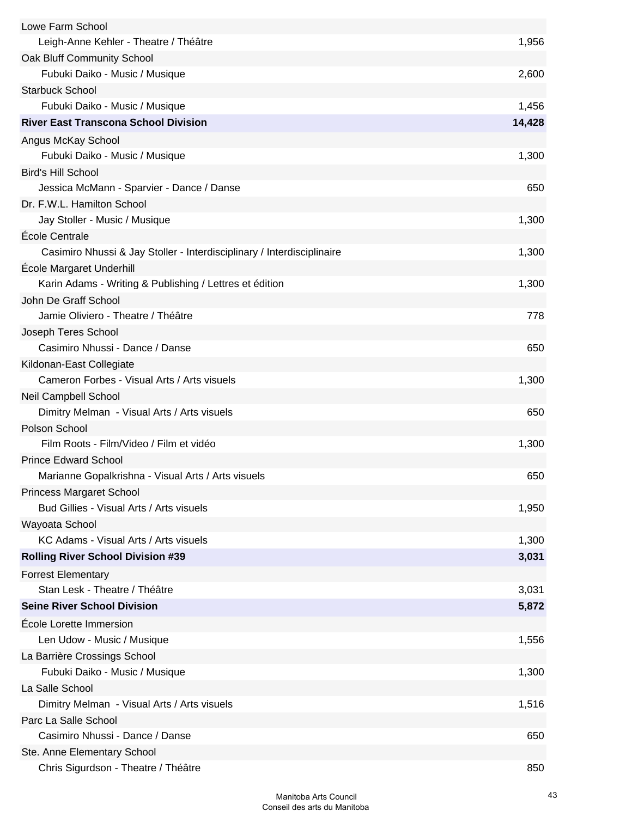| Lowe Farm School                                                       |        |
|------------------------------------------------------------------------|--------|
| Leigh-Anne Kehler - Theatre / Théâtre                                  | 1,956  |
| Oak Bluff Community School                                             |        |
| Fubuki Daiko - Music / Musique                                         | 2,600  |
| <b>Starbuck School</b>                                                 |        |
| Fubuki Daiko - Music / Musique                                         | 1,456  |
| <b>River East Transcona School Division</b>                            | 14,428 |
| Angus McKay School                                                     |        |
| Fubuki Daiko - Music / Musique                                         | 1,300  |
| <b>Bird's Hill School</b>                                              |        |
| Jessica McMann - Sparvier - Dance / Danse                              | 650    |
| Dr. F.W.L. Hamilton School                                             |        |
| Jay Stoller - Music / Musique                                          | 1,300  |
| École Centrale                                                         |        |
| Casimiro Nhussi & Jay Stoller - Interdisciplinary / Interdisciplinaire | 1,300  |
| Ecole Margaret Underhill                                               |        |
| Karin Adams - Writing & Publishing / Lettres et édition                | 1,300  |
| John De Graff School                                                   |        |
| Jamie Oliviero - Theatre / Théâtre                                     | 778    |
| Joseph Teres School                                                    |        |
| Casimiro Nhussi - Dance / Danse                                        | 650    |
| Kildonan-East Collegiate                                               |        |
| Cameron Forbes - Visual Arts / Arts visuels                            | 1,300  |
| Neil Campbell School                                                   |        |
| Dimitry Melman - Visual Arts / Arts visuels                            | 650    |
| Polson School                                                          |        |
| Film Roots - Film/Video / Film et vidéo                                | 1,300  |
| <b>Prince Edward School</b>                                            |        |
| Marianne Gopalkrishna - Visual Arts / Arts visuels                     | 650    |
| <b>Princess Margaret School</b>                                        |        |
| Bud Gillies - Visual Arts / Arts visuels                               | 1,950  |
| Wayoata School                                                         |        |
| KC Adams - Visual Arts / Arts visuels                                  | 1,300  |
| <b>Rolling River School Division #39</b>                               | 3,031  |
| <b>Forrest Elementary</b>                                              |        |
| Stan Lesk - Theatre / Théâtre                                          | 3,031  |
| <b>Seine River School Division</b>                                     | 5,872  |
| Ecole Lorette Immersion                                                |        |
| Len Udow - Music / Musique                                             | 1,556  |
| La Barrière Crossings School                                           |        |
| Fubuki Daiko - Music / Musique                                         | 1,300  |
| La Salle School                                                        |        |
| Dimitry Melman - Visual Arts / Arts visuels                            | 1,516  |
| Parc La Salle School                                                   |        |
| Casimiro Nhussi - Dance / Danse                                        | 650    |
| Ste. Anne Elementary School                                            |        |
| Chris Sigurdson - Theatre / Théâtre                                    | 850    |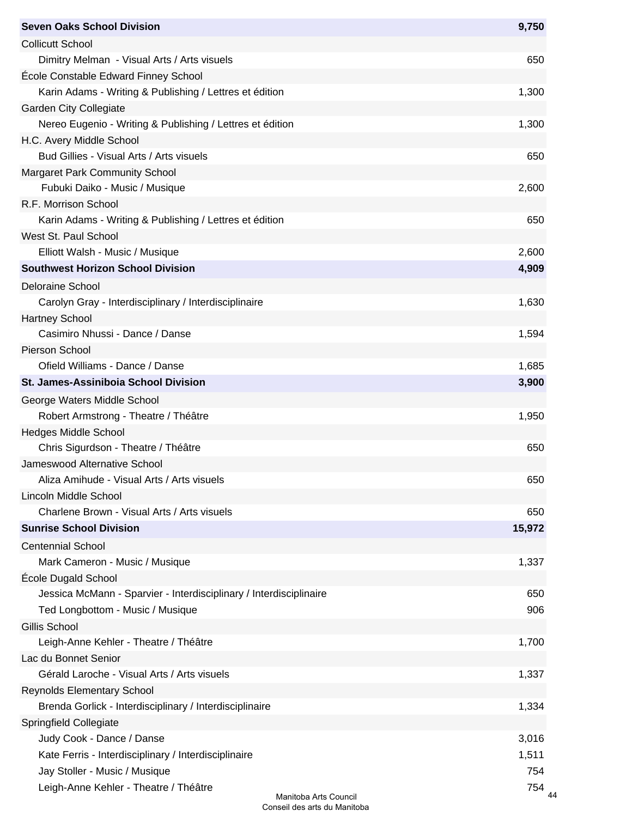| <b>Seven Oaks School Division</b>                                  | 9,750  |
|--------------------------------------------------------------------|--------|
| <b>Collicutt School</b>                                            |        |
| Dimitry Melman - Visual Arts / Arts visuels                        | 650    |
| École Constable Edward Finney School                               |        |
| Karin Adams - Writing & Publishing / Lettres et édition            | 1,300  |
| <b>Garden City Collegiate</b>                                      |        |
| Nereo Eugenio - Writing & Publishing / Lettres et édition          | 1,300  |
| H.C. Avery Middle School                                           |        |
| Bud Gillies - Visual Arts / Arts visuels                           | 650    |
| <b>Margaret Park Community School</b>                              |        |
| Fubuki Daiko - Music / Musique                                     | 2,600  |
| R.F. Morrison School                                               |        |
| Karin Adams - Writing & Publishing / Lettres et édition            | 650    |
| West St. Paul School                                               |        |
| Elliott Walsh - Music / Musique                                    | 2,600  |
| <b>Southwest Horizon School Division</b>                           | 4,909  |
| <b>Deloraine School</b>                                            |        |
| Carolyn Gray - Interdisciplinary / Interdisciplinaire              | 1,630  |
| <b>Hartney School</b>                                              |        |
| Casimiro Nhussi - Dance / Danse                                    | 1,594  |
| Pierson School                                                     |        |
| Ofield Williams - Dance / Danse                                    | 1,685  |
| <b>St. James-Assiniboia School Division</b>                        | 3,900  |
|                                                                    |        |
| George Waters Middle School                                        |        |
| Robert Armstrong - Theatre / Théâtre                               | 1,950  |
| <b>Hedges Middle School</b>                                        |        |
| Chris Sigurdson - Theatre / Théâtre                                | 650    |
| Jameswood Alternative School                                       |        |
| Aliza Amihude - Visual Arts / Arts visuels                         | 650    |
| Lincoln Middle School                                              |        |
| Charlene Brown - Visual Arts / Arts visuels                        | 650    |
| <b>Sunrise School Division</b>                                     | 15,972 |
| <b>Centennial School</b>                                           |        |
| Mark Cameron - Music / Musique                                     | 1,337  |
| École Dugald School                                                |        |
| Jessica McMann - Sparvier - Interdisciplinary / Interdisciplinaire | 650    |
| Ted Longbottom - Music / Musique                                   | 906    |
| Gillis School                                                      |        |
| Leigh-Anne Kehler - Theatre / Théâtre                              | 1,700  |
| Lac du Bonnet Senior                                               |        |
| Gérald Laroche - Visual Arts / Arts visuels                        | 1,337  |
| <b>Reynolds Elementary School</b>                                  |        |
| Brenda Gorlick - Interdisciplinary / Interdisciplinaire            | 1,334  |
| <b>Springfield Collegiate</b>                                      |        |
| Judy Cook - Dance / Danse                                          | 3,016  |
| Kate Ferris - Interdisciplinary / Interdisciplinaire               | 1,511  |
| Jay Stoller - Music / Musique                                      | 754    |
| Leigh-Anne Kehler - Theatre / Théâtre<br>Manitoba Arts Council     | 754    |
|                                                                    |        |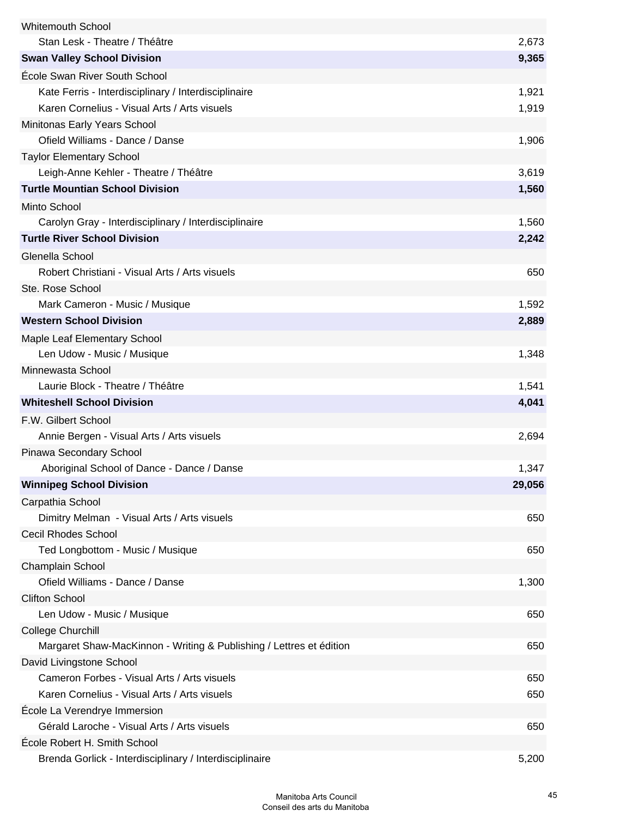| <b>Whitemouth School</b>                                            |        |
|---------------------------------------------------------------------|--------|
| Stan Lesk - Theatre / Théâtre                                       | 2,673  |
| <b>Swan Valley School Division</b>                                  | 9,365  |
| École Swan River South School                                       |        |
| Kate Ferris - Interdisciplinary / Interdisciplinaire                | 1,921  |
| Karen Cornelius - Visual Arts / Arts visuels                        | 1,919  |
| Minitonas Early Years School                                        |        |
| Ofield Williams - Dance / Danse                                     | 1,906  |
| <b>Taylor Elementary School</b>                                     |        |
| Leigh-Anne Kehler - Theatre / Théâtre                               | 3,619  |
| <b>Turtle Mountian School Division</b>                              | 1,560  |
| Minto School                                                        |        |
| Carolyn Gray - Interdisciplinary / Interdisciplinaire               | 1,560  |
| <b>Turtle River School Division</b>                                 | 2,242  |
| Glenella School                                                     |        |
| Robert Christiani - Visual Arts / Arts visuels                      | 650    |
| Ste. Rose School                                                    |        |
| Mark Cameron - Music / Musique                                      | 1,592  |
| <b>Western School Division</b>                                      | 2,889  |
| Maple Leaf Elementary School                                        |        |
| Len Udow - Music / Musique                                          | 1,348  |
| Minnewasta School                                                   |        |
| Laurie Block - Theatre / Théâtre                                    | 1,541  |
| <b>Whiteshell School Division</b>                                   | 4,041  |
| F.W. Gilbert School                                                 |        |
| Annie Bergen - Visual Arts / Arts visuels                           | 2,694  |
| Pinawa Secondary School                                             |        |
| Aboriginal School of Dance - Dance / Danse                          | 1,347  |
| <b>Winnipeg School Division</b>                                     | 29,056 |
| Carpathia School                                                    |        |
| Dimitry Melman - Visual Arts / Arts visuels                         | 650    |
| <b>Cecil Rhodes School</b>                                          |        |
| Ted Longbottom - Music / Musique                                    | 650    |
| Champlain School                                                    |        |
| Ofield Williams - Dance / Danse                                     | 1,300  |
| <b>Clifton School</b>                                               |        |
| Len Udow - Music / Musique                                          | 650    |
| College Churchill                                                   |        |
| Margaret Shaw-MacKinnon - Writing & Publishing / Lettres et édition | 650    |
| David Livingstone School                                            |        |
| Cameron Forbes - Visual Arts / Arts visuels                         | 650    |
| Karen Cornelius - Visual Arts / Arts visuels                        | 650    |
| École La Verendrye Immersion                                        |        |
| Gérald Laroche - Visual Arts / Arts visuels                         | 650    |
| École Robert H. Smith School                                        |        |
| Brenda Gorlick - Interdisciplinary / Interdisciplinaire             | 5,200  |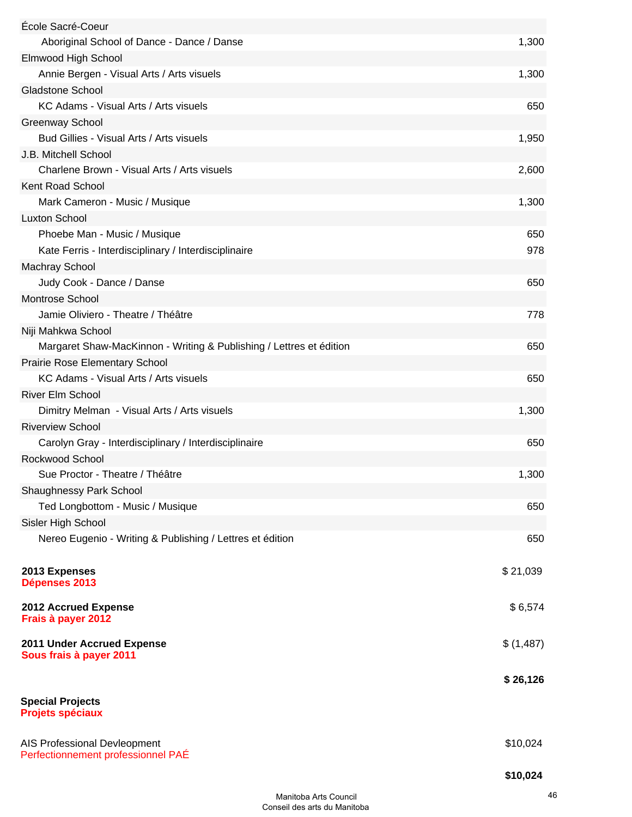| École Sacré-Coeur                                                   |           |
|---------------------------------------------------------------------|-----------|
| Aboriginal School of Dance - Dance / Danse                          | 1,300     |
| Elmwood High School                                                 |           |
| Annie Bergen - Visual Arts / Arts visuels                           | 1,300     |
| <b>Gladstone School</b>                                             |           |
| KC Adams - Visual Arts / Arts visuels                               | 650       |
| <b>Greenway School</b>                                              |           |
| Bud Gillies - Visual Arts / Arts visuels                            | 1,950     |
| J.B. Mitchell School                                                |           |
| Charlene Brown - Visual Arts / Arts visuels                         | 2,600     |
| Kent Road School                                                    |           |
| Mark Cameron - Music / Musique                                      | 1,300     |
| <b>Luxton School</b>                                                |           |
| Phoebe Man - Music / Musique                                        | 650       |
| Kate Ferris - Interdisciplinary / Interdisciplinaire                | 978       |
| <b>Machray School</b>                                               |           |
| Judy Cook - Dance / Danse                                           | 650       |
| <b>Montrose School</b>                                              |           |
| Jamie Oliviero - Theatre / Théâtre                                  | 778       |
| Niji Mahkwa School                                                  |           |
| Margaret Shaw-MacKinnon - Writing & Publishing / Lettres et édition | 650       |
| Prairie Rose Elementary School                                      |           |
| KC Adams - Visual Arts / Arts visuels                               | 650       |
| River Elm School                                                    |           |
| Dimitry Melman - Visual Arts / Arts visuels                         | 1,300     |
| <b>Riverview School</b>                                             |           |
| Carolyn Gray - Interdisciplinary / Interdisciplinaire               | 650       |
| Rockwood School                                                     |           |
| Sue Proctor - Theatre / Théâtre                                     | 1,300     |
| <b>Shaughnessy Park School</b>                                      |           |
| Ted Longbottom - Music / Musique                                    | 650       |
| Sisler High School                                                  |           |
| Nereo Eugenio - Writing & Publishing / Lettres et édition           | 650       |
|                                                                     |           |
| 2013 Expenses<br>Dépenses 2013                                      | \$21,039  |
| 2012 Accrued Expense<br>Frais à payer 2012                          | \$6,574   |
| 2011 Under Accrued Expense<br>Sous frais à payer 2011               | \$(1,487) |
|                                                                     | \$26,126  |
| <b>Special Projects</b><br><b>Projets spéciaux</b>                  |           |
| AIS Professional Devleopment<br>Perfectionnement professionnel PAE  | \$10,024  |
|                                                                     | \$10,024  |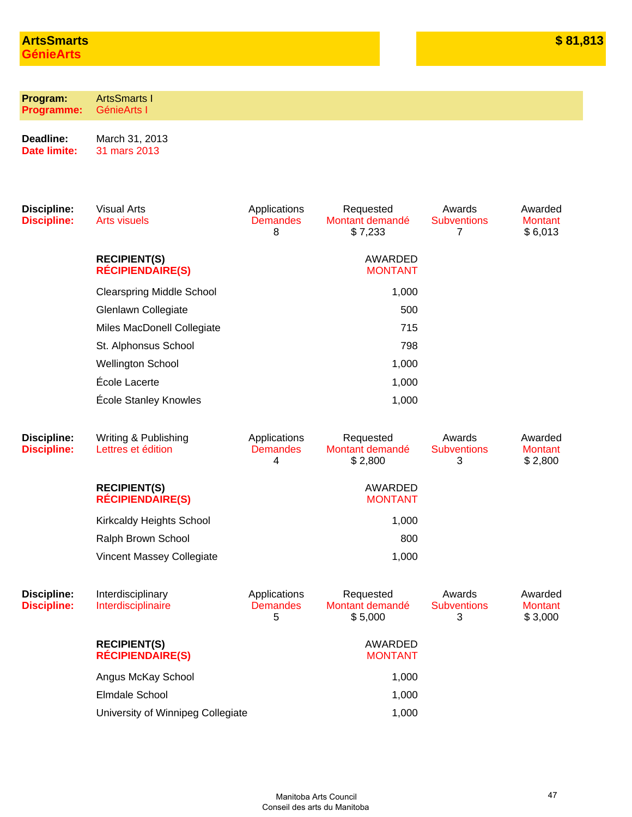| Program:<br><b>Programme:</b>            | <b>ArtsSmarts I</b><br>GénieArts I             |                                      |                                         |                                   |                                      |
|------------------------------------------|------------------------------------------------|--------------------------------------|-----------------------------------------|-----------------------------------|--------------------------------------|
| Deadline:<br><b>Date limite:</b>         | March 31, 2013<br>31 mars 2013                 |                                      |                                         |                                   |                                      |
| <b>Discipline:</b><br><b>Discipline:</b> | <b>Visual Arts</b><br><b>Arts visuels</b>      | Applications<br><b>Demandes</b><br>8 | Requested<br>Montant demandé<br>\$7,233 | Awards<br><b>Subventions</b><br>7 | Awarded<br><b>Montant</b><br>\$6,013 |
|                                          | <b>RECIPIENT(S)</b><br><b>RÉCIPIENDAIRE(S)</b> |                                      | AWARDED<br><b>MONTANT</b>               |                                   |                                      |
|                                          | <b>Clearspring Middle School</b>               |                                      | 1,000                                   |                                   |                                      |
|                                          | Glenlawn Collegiate                            |                                      | 500                                     |                                   |                                      |
|                                          | Miles MacDonell Collegiate                     | 715                                  |                                         |                                   |                                      |
|                                          | St. Alphonsus School                           |                                      |                                         |                                   |                                      |
|                                          | <b>Wellington School</b>                       | 1,000                                |                                         |                                   |                                      |
|                                          | École Lacerte                                  |                                      | 1,000                                   |                                   |                                      |
|                                          | <b>École Stanley Knowles</b>                   |                                      | 1,000                                   |                                   |                                      |
| <b>Discipline:</b><br><b>Discipline:</b> | Writing & Publishing<br>Lettres et édition     | Applications<br><b>Demandes</b><br>4 | Requested<br>Montant demandé<br>\$2,800 | Awards<br><b>Subventions</b><br>3 | Awarded<br><b>Montant</b><br>\$2,800 |
|                                          | <b>RECIPIENT(S)</b><br><b>RÉCIPIENDAIRE(S)</b> |                                      | AWARDED<br><b>MONTANT</b>               |                                   |                                      |
|                                          | Kirkcaldy Heights School                       |                                      | 1,000                                   |                                   |                                      |
|                                          | Ralph Brown School                             |                                      | 800                                     |                                   |                                      |
|                                          | Vincent Massey Collegiate                      |                                      | 1,000                                   |                                   |                                      |
| <b>Discipline:</b><br><b>Discipline:</b> | Interdisciplinary<br>Interdisciplinaire        | Applications<br><b>Demandes</b><br>5 | Requested<br>Montant demandé<br>\$5,000 | Awards<br><b>Subventions</b><br>3 | Awarded<br><b>Montant</b><br>\$3,000 |
|                                          | <b>RECIPIENT(S)</b><br><b>RÉCIPIENDAIRE(S)</b> |                                      | AWARDED<br><b>MONTANT</b>               |                                   |                                      |
|                                          | Angus McKay School                             |                                      | 1,000                                   |                                   |                                      |
|                                          | <b>Elmdale School</b>                          |                                      | 1,000                                   |                                   |                                      |
|                                          | University of Winnipeg Collegiate              |                                      | 1,000                                   |                                   |                                      |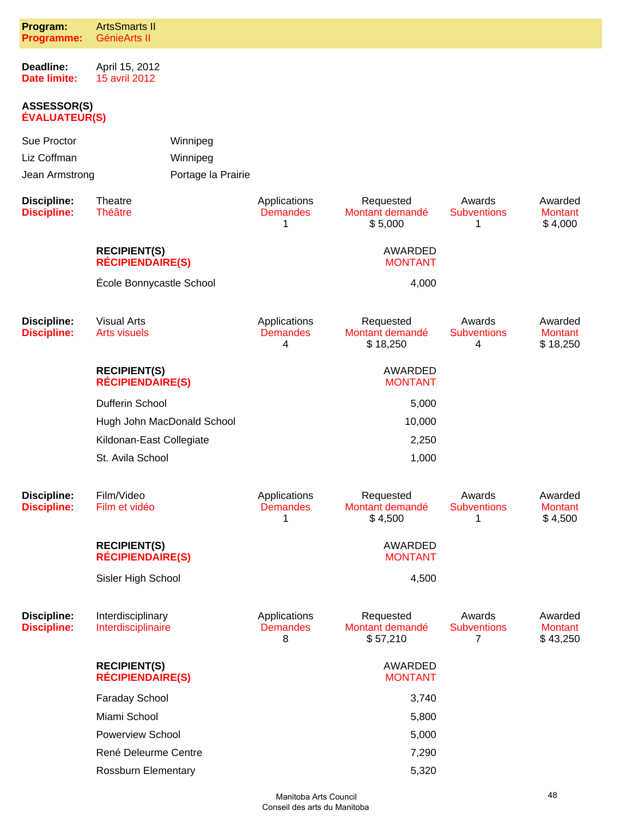| Program:<br><b>Programme:</b>                | <b>ArtsSmarts II</b><br>GénieArts II           |                                            |                                      |                                          |                                   |                                       |
|----------------------------------------------|------------------------------------------------|--------------------------------------------|--------------------------------------|------------------------------------------|-----------------------------------|---------------------------------------|
| Deadline:<br><b>Date limite:</b>             | April 15, 2012<br>15 avril 2012                |                                            |                                      |                                          |                                   |                                       |
| <b>ASSESSOR(S)</b><br><b>ÉVALUATEUR(S)</b>   |                                                |                                            |                                      |                                          |                                   |                                       |
| Sue Proctor<br>Liz Coffman<br>Jean Armstrong |                                                | Winnipeg<br>Winnipeg<br>Portage la Prairie |                                      |                                          |                                   |                                       |
| <b>Discipline:</b><br><b>Discipline:</b>     | Theatre<br><b>Théâtre</b>                      |                                            | Applications<br><b>Demandes</b><br>1 | Requested<br>Montant demandé<br>\$5,000  | Awards<br><b>Subventions</b><br>1 | Awarded<br><b>Montant</b><br>\$4,000  |
|                                              | <b>RECIPIENT(S)</b><br><b>RÉCIPIENDAIRE(S)</b> |                                            |                                      | AWARDED<br><b>MONTANT</b>                |                                   |                                       |
|                                              | École Bonnycastle School                       |                                            |                                      | 4,000                                    |                                   |                                       |
| <b>Discipline:</b><br><b>Discipline:</b>     | <b>Visual Arts</b><br><b>Arts visuels</b>      |                                            | Applications<br><b>Demandes</b><br>4 | Requested<br>Montant demandé<br>\$18,250 | Awards<br><b>Subventions</b><br>4 | Awarded<br><b>Montant</b><br>\$18,250 |
|                                              | <b>RECIPIENT(S)</b><br><b>RÉCIPIENDAIRE(S)</b> |                                            |                                      | AWARDED<br><b>MONTANT</b>                |                                   |                                       |
|                                              | Dufferin School                                |                                            |                                      | 5,000                                    |                                   |                                       |
|                                              | Hugh John MacDonald School                     |                                            |                                      | 10,000                                   |                                   |                                       |
|                                              | Kildonan-East Collegiate                       |                                            |                                      | 2,250                                    |                                   |                                       |
|                                              | St. Avila School                               |                                            |                                      | 1,000                                    |                                   |                                       |
| <b>Discipline:</b><br><b>Discipline:</b>     | Film/Video<br>Film et vidéo                    |                                            | Applications<br><b>Demandes</b><br>1 | Requested<br>Montant demandé<br>\$4,500  | Awards<br><b>Subventions</b><br>1 | Awarded<br><b>Montant</b><br>\$4,500  |
|                                              | <b>RECIPIENT(S)</b><br><b>RÉCIPIENDAIRE(S)</b> |                                            |                                      | AWARDED<br><b>MONTANT</b>                |                                   |                                       |
|                                              | Sisler High School                             |                                            |                                      | 4,500                                    |                                   |                                       |
| <b>Discipline:</b><br><b>Discipline:</b>     | Interdisciplinary<br>Interdisciplinaire        |                                            | Applications<br><b>Demandes</b><br>8 | Requested<br>Montant demandé<br>\$57,210 | Awards<br><b>Subventions</b><br>7 | Awarded<br><b>Montant</b><br>\$43,250 |
|                                              | <b>RECIPIENT(S)</b><br><b>RÉCIPIENDAIRE(S)</b> |                                            |                                      | AWARDED<br><b>MONTANT</b>                |                                   |                                       |
|                                              | Faraday School                                 |                                            |                                      | 3,740                                    |                                   |                                       |
|                                              | Miami School                                   |                                            |                                      | 5,800                                    |                                   |                                       |
|                                              | <b>Powerview School</b>                        |                                            |                                      | 5,000                                    |                                   |                                       |
|                                              | René Deleurme Centre                           |                                            |                                      | 7,290                                    |                                   |                                       |
|                                              | Rossburn Elementary                            |                                            |                                      | 5,320                                    |                                   |                                       |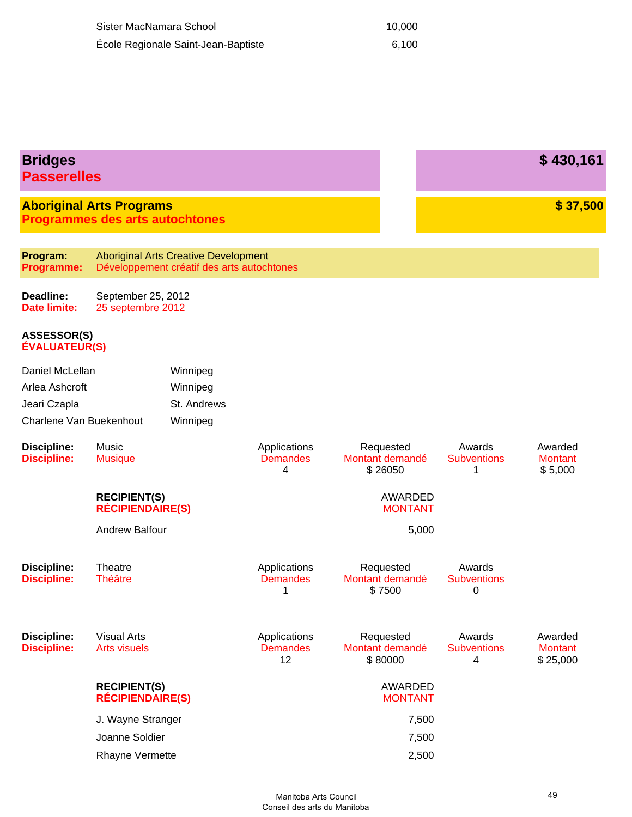| Sister MacNamara School             | 10.000 |
|-------------------------------------|--------|
| École Regionale Saint-Jean-Baptiste | 6.100  |

| <b>Bridges</b><br><b>Passerelles</b>       |                                                                           |                                                                                           |                                       |                                         |                                   | \$430,161                             |
|--------------------------------------------|---------------------------------------------------------------------------|-------------------------------------------------------------------------------------------|---------------------------------------|-----------------------------------------|-----------------------------------|---------------------------------------|
|                                            | <b>Aboriginal Arts Programs</b><br><b>Programmes des arts autochtones</b> |                                                                                           |                                       |                                         |                                   | \$37,500                              |
| Program:<br>Programme:                     |                                                                           | <b>Aboriginal Arts Creative Development</b><br>Développement créatif des arts autochtones |                                       |                                         |                                   |                                       |
| Deadline:<br><b>Date limite:</b>           | September 25, 2012<br>25 septembre 2012                                   |                                                                                           |                                       |                                         |                                   |                                       |
| <b>ASSESSOR(S)</b><br><b>ÉVALUATEUR(S)</b> |                                                                           |                                                                                           |                                       |                                         |                                   |                                       |
| Daniel McLellan                            |                                                                           | Winnipeg                                                                                  |                                       |                                         |                                   |                                       |
| Arlea Ashcroft                             |                                                                           | Winnipeg                                                                                  |                                       |                                         |                                   |                                       |
| Jeari Czapla                               |                                                                           | St. Andrews                                                                               |                                       |                                         |                                   |                                       |
| Charlene Van Buekenhout                    |                                                                           | Winnipeg                                                                                  |                                       |                                         |                                   |                                       |
| <b>Discipline:</b><br><b>Discipline:</b>   | Music<br><b>Musique</b>                                                   |                                                                                           | Applications<br><b>Demandes</b><br>4  | Requested<br>Montant demandé<br>\$26050 | Awards<br><b>Subventions</b><br>1 | Awarded<br><b>Montant</b><br>\$5,000  |
|                                            | <b>RECIPIENT(S)</b><br><b>RÉCIPIENDAIRE(S)</b>                            |                                                                                           |                                       | <b>AWARDED</b><br><b>MONTANT</b>        |                                   |                                       |
|                                            | <b>Andrew Balfour</b>                                                     |                                                                                           |                                       | 5,000                                   |                                   |                                       |
| <b>Discipline:</b><br><b>Discipline:</b>   | Theatre<br><b>Théâtre</b>                                                 |                                                                                           | Applications<br><b>Demandes</b><br>1  | Requested<br>Montant demandé<br>\$7500  | Awards<br><b>Subventions</b><br>0 |                                       |
| <b>Discipline:</b><br><b>Discipline:</b>   | <b>Visual Arts</b><br><b>Arts visuels</b>                                 |                                                                                           | Applications<br><b>Demandes</b><br>12 | Requested<br>Montant demandé<br>\$80000 | Awards<br><b>Subventions</b><br>4 | Awarded<br><b>Montant</b><br>\$25,000 |
|                                            | <b>RECIPIENT(S)</b><br><b>RÉCIPIENDAIRE(S)</b>                            |                                                                                           |                                       | AWARDED<br><b>MONTANT</b>               |                                   |                                       |
|                                            | J. Wayne Stranger                                                         |                                                                                           |                                       | 7,500                                   |                                   |                                       |
|                                            | Joanne Soldier                                                            |                                                                                           |                                       | 7,500                                   |                                   |                                       |
|                                            | Rhayne Vermette                                                           |                                                                                           |                                       | 2,500                                   |                                   |                                       |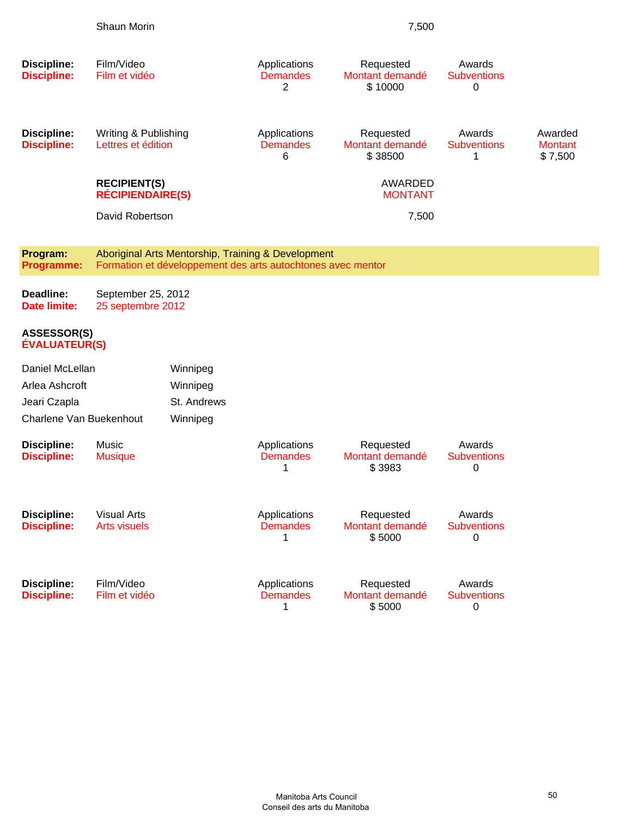|                                                                              | Shaun Morin                                    |                                                                                                                   |                                      | 7,500                                   |                                   |                                      |
|------------------------------------------------------------------------------|------------------------------------------------|-------------------------------------------------------------------------------------------------------------------|--------------------------------------|-----------------------------------------|-----------------------------------|--------------------------------------|
| Discipline:<br><b>Discipline:</b>                                            | Film/Video<br>Film et vidéo                    |                                                                                                                   | Applications<br><b>Demandes</b><br>2 | Requested<br>Montant demandé<br>\$10000 | Awards<br><b>Subventions</b><br>0 |                                      |
| Discipline:<br><b>Discipline:</b>                                            | Writing & Publishing<br>Lettres et édition     |                                                                                                                   | Applications<br><b>Demandes</b><br>6 | Requested<br>Montant demandé<br>\$38500 | Awards<br><b>Subventions</b><br>1 | Awarded<br><b>Montant</b><br>\$7,500 |
|                                                                              | <b>RECIPIENT(S)</b><br><b>RÉCIPIENDAIRE(S)</b> |                                                                                                                   |                                      | AWARDED<br><b>MONTANT</b>               |                                   |                                      |
|                                                                              | David Robertson                                |                                                                                                                   |                                      | 7,500                                   |                                   |                                      |
| Program:<br><b>Programme:</b>                                                |                                                | Aboriginal Arts Mentorship, Training & Development<br>Formation et développement des arts autochtones avec mentor |                                      |                                         |                                   |                                      |
| Deadline:<br>Date limite:                                                    | September 25, 2012<br>25 septembre 2012        |                                                                                                                   |                                      |                                         |                                   |                                      |
| ASSESSOR(S)<br>ÉVALUATEUR(S)                                                 |                                                |                                                                                                                   |                                      |                                         |                                   |                                      |
| Daniel McLellan<br>Arlea Ashcroft<br>Jeari Czapla<br>Charlene Van Buekenhout |                                                | Winnipeg<br>Winnipeg<br>St. Andrews<br>Winnipeg                                                                   |                                      |                                         |                                   |                                      |
| <b>Discipline:</b><br><b>Discipline:</b>                                     | Music<br><b>Musique</b>                        |                                                                                                                   | Applications<br><b>Demandes</b><br>1 | Requested<br>Montant demandé<br>\$3983  | Awards<br><b>Subventions</b><br>0 |                                      |
| Discipline:<br><b>Discipline:</b>                                            | <b>Visual Arts</b><br><b>Arts visuels</b>      |                                                                                                                   | Applications<br><b>Demandes</b><br>1 | Requested<br>Montant demandé<br>\$5000  | Awards<br><b>Subventions</b><br>0 |                                      |
| Discipline:<br><b>Discipline:</b>                                            | Film/Video<br>Film et vidéo                    |                                                                                                                   | Applications<br><b>Demandes</b><br>1 | Requested<br>Montant demandé<br>\$5000  | Awards<br><b>Subventions</b><br>0 |                                      |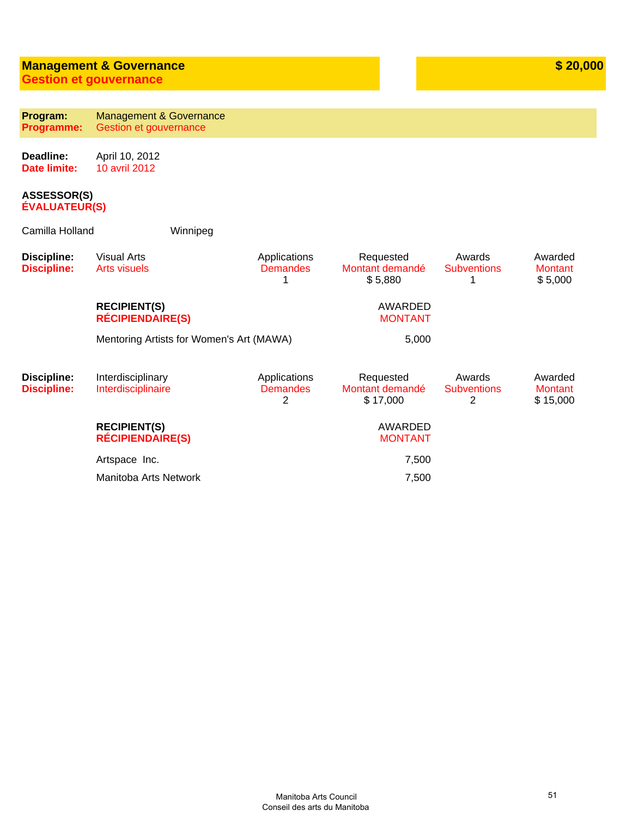# **Management & Governance**

**Gestion et gouvernance**

| Program:<br>Programme:                   | <b>Management &amp; Governance</b><br>Gestion et gouvernance |                                      |                                          |                                   |                                       |
|------------------------------------------|--------------------------------------------------------------|--------------------------------------|------------------------------------------|-----------------------------------|---------------------------------------|
| Deadline:<br><b>Date limite:</b>         | April 10, 2012<br>10 avril 2012                              |                                      |                                          |                                   |                                       |
| <b>ASSESSOR(S)</b><br>ÉVALUATEUR(S)      |                                                              |                                      |                                          |                                   |                                       |
| Camilla Holland                          | Winnipeg                                                     |                                      |                                          |                                   |                                       |
| <b>Discipline:</b><br><b>Discipline:</b> | <b>Visual Arts</b><br><b>Arts visuels</b>                    | Applications<br><b>Demandes</b><br>1 | Requested<br>Montant demandé<br>\$5,880  | Awards<br><b>Subventions</b><br>1 | Awarded<br><b>Montant</b><br>\$5,000  |
|                                          | <b>RECIPIENT(S)</b><br><b>RÉCIPIENDAIRE(S)</b>               |                                      | <b>AWARDED</b><br><b>MONTANT</b>         |                                   |                                       |
|                                          | Mentoring Artists for Women's Art (MAWA)                     |                                      | 5,000                                    |                                   |                                       |
| <b>Discipline:</b><br><b>Discipline:</b> | Interdisciplinary<br>Interdisciplinaire                      | Applications<br><b>Demandes</b><br>2 | Requested<br>Montant demandé<br>\$17,000 | Awards<br><b>Subventions</b><br>2 | Awarded<br><b>Montant</b><br>\$15,000 |
|                                          | <b>RECIPIENT(S)</b><br><b>RÉCIPIENDAIRE(S)</b>               |                                      | <b>AWARDED</b><br><b>MONTANT</b>         |                                   |                                       |
|                                          | Artspace Inc.                                                |                                      | 7,500                                    |                                   |                                       |
|                                          | Manitoba Arts Network                                        |                                      | 7,500                                    |                                   |                                       |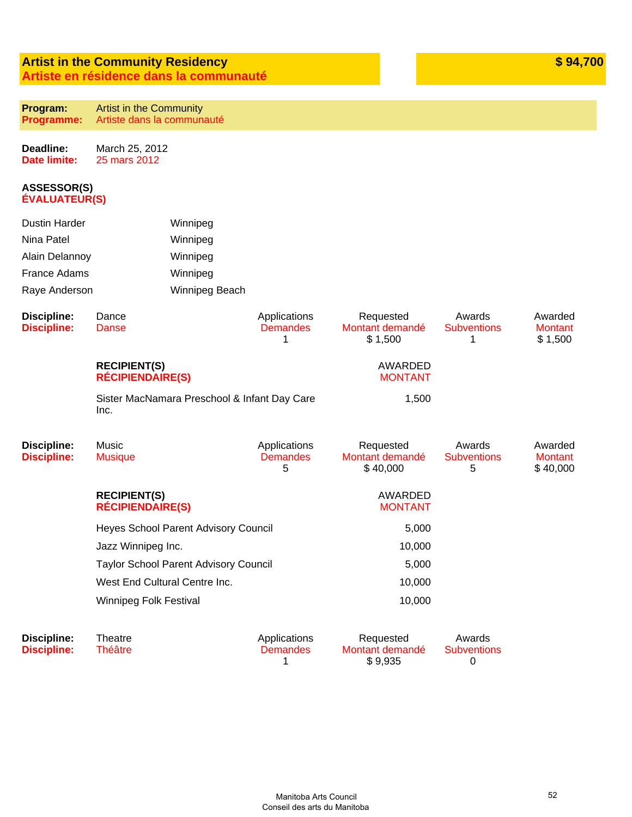#### **Artist in the Community Residency Artiste en résidence dans la communauté**

| Program:          | <b>Artist in the Community</b> |
|-------------------|--------------------------------|
| <b>Programme:</b> | Artiste dans la communauté     |

**Deadline: Date limite:** March 25, 2012 25 mars 2012

#### **ASSESSOR(S) ÉVALUATEUR(S)**

| <b>Dustin Harder</b>                     |                                                | Winnipeg                                     |                                      |                                          |                                   |                                       |
|------------------------------------------|------------------------------------------------|----------------------------------------------|--------------------------------------|------------------------------------------|-----------------------------------|---------------------------------------|
| Nina Patel                               |                                                | Winnipeg                                     |                                      |                                          |                                   |                                       |
| Alain Delannoy<br>Winnipeg               |                                                |                                              |                                      |                                          |                                   |                                       |
| France Adams                             |                                                | Winnipeg                                     |                                      |                                          |                                   |                                       |
| Raye Anderson                            |                                                | Winnipeg Beach                               |                                      |                                          |                                   |                                       |
| <b>Discipline:</b><br><b>Discipline:</b> | Dance<br>Danse                                 |                                              | Applications<br><b>Demandes</b><br>1 | Requested<br>Montant demandé<br>\$1,500  | Awards<br><b>Subventions</b><br>1 | Awarded<br><b>Montant</b><br>\$1,500  |
|                                          | <b>RECIPIENT(S)</b><br><b>RÉCIPIENDAIRE(S)</b> |                                              | AWARDED<br><b>MONTANT</b>            |                                          |                                   |                                       |
|                                          | Inc.                                           | Sister MacNamara Preschool & Infant Day Care |                                      | 1,500                                    |                                   |                                       |
| <b>Discipline:</b><br><b>Discipline:</b> | Music<br><b>Musique</b>                        |                                              | Applications<br><b>Demandes</b><br>5 | Requested<br>Montant demandé<br>\$40,000 | Awards<br><b>Subventions</b><br>5 | Awarded<br><b>Montant</b><br>\$40,000 |
|                                          | <b>RECIPIENT(S)</b><br><b>RÉCIPIENDAIRE(S)</b> |                                              |                                      | <b>AWARDED</b><br><b>MONTANT</b>         |                                   |                                       |
|                                          | Heyes School Parent Advisory Council           |                                              |                                      | 5,000                                    |                                   |                                       |
|                                          | Jazz Winnipeg Inc.                             |                                              |                                      | 10,000                                   |                                   |                                       |
|                                          |                                                | <b>Taylor School Parent Advisory Council</b> |                                      | 5,000                                    |                                   |                                       |
|                                          | West End Cultural Centre Inc.                  |                                              | 10,000                               |                                          |                                   |                                       |
|                                          | Winnipeg Folk Festival                         |                                              |                                      | 10,000                                   |                                   |                                       |
| <b>Discipline:</b><br><b>Discipline:</b> | Theatre<br><b>Théâtre</b>                      |                                              | Applications<br><b>Demandes</b><br>1 | Requested<br>Montant demandé<br>\$9,935  | Awards<br><b>Subventions</b><br>0 |                                       |

**\$ 94,700**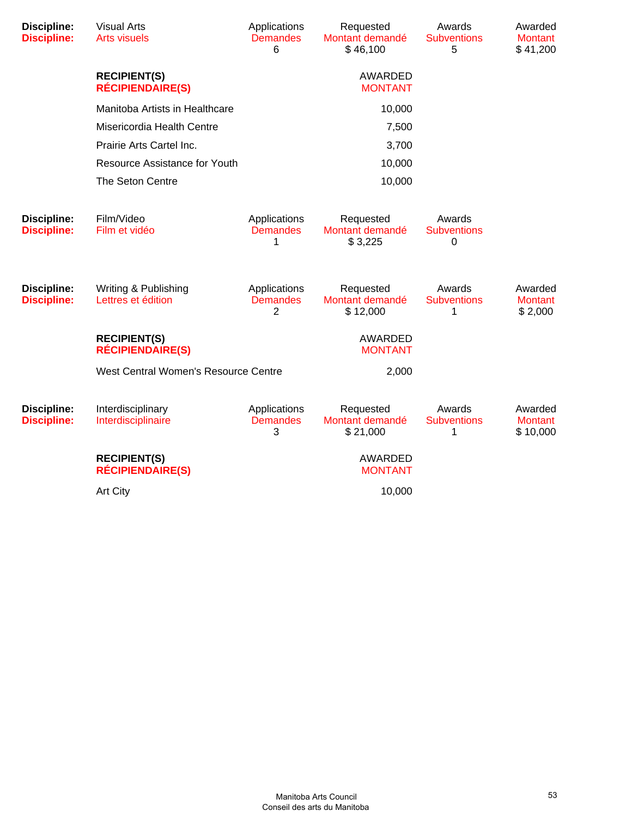| <b>Discipline:</b><br><b>Discipline:</b> | <b>Visual Arts</b><br><b>Arts visuels</b>      | Applications<br><b>Demandes</b><br>6 | Requested<br>Montant demandé<br>\$46,100 | Awards<br><b>Subventions</b><br>5 | Awarded<br><b>Montant</b><br>\$41,200 |
|------------------------------------------|------------------------------------------------|--------------------------------------|------------------------------------------|-----------------------------------|---------------------------------------|
|                                          | <b>RECIPIENT(S)</b><br><b>RÉCIPIENDAIRE(S)</b> |                                      | <b>AWARDED</b><br><b>MONTANT</b>         |                                   |                                       |
|                                          | Manitoba Artists in Healthcare                 |                                      | 10,000                                   |                                   |                                       |
|                                          | Misericordia Health Centre                     |                                      | 7,500                                    |                                   |                                       |
|                                          | Prairie Arts Cartel Inc.                       |                                      | 3,700                                    |                                   |                                       |
|                                          | Resource Assistance for Youth                  |                                      | 10,000                                   |                                   |                                       |
|                                          | The Seton Centre                               |                                      | 10,000                                   |                                   |                                       |
| <b>Discipline:</b><br><b>Discipline:</b> | Film/Video<br>Film et vidéo                    | Applications<br><b>Demandes</b><br>1 | Requested<br>Montant demandé<br>\$3,225  | Awards<br><b>Subventions</b><br>0 |                                       |
| Discipline:<br><b>Discipline:</b>        | Writing & Publishing<br>Lettres et édition     | Applications<br><b>Demandes</b><br>2 | Requested<br>Montant demandé<br>\$12,000 | Awards<br><b>Subventions</b><br>1 | Awarded<br><b>Montant</b><br>\$2,000  |
|                                          | <b>RECIPIENT(S)</b><br><b>RÉCIPIENDAIRE(S)</b> |                                      | <b>AWARDED</b><br><b>MONTANT</b>         |                                   |                                       |
|                                          | West Central Women's Resource Centre           |                                      | 2,000                                    |                                   |                                       |
| Discipline:<br><b>Discipline:</b>        | Interdisciplinary<br>Interdisciplinaire        | Applications<br><b>Demandes</b><br>3 | Requested<br>Montant demandé<br>\$21,000 | Awards<br><b>Subventions</b><br>1 | Awarded<br><b>Montant</b><br>\$10,000 |
|                                          | <b>RECIPIENT(S)</b><br><b>RÉCIPIENDAIRE(S)</b> |                                      | <b>AWARDED</b><br><b>MONTANT</b>         |                                   |                                       |
|                                          | Art City                                       |                                      | 10,000                                   |                                   |                                       |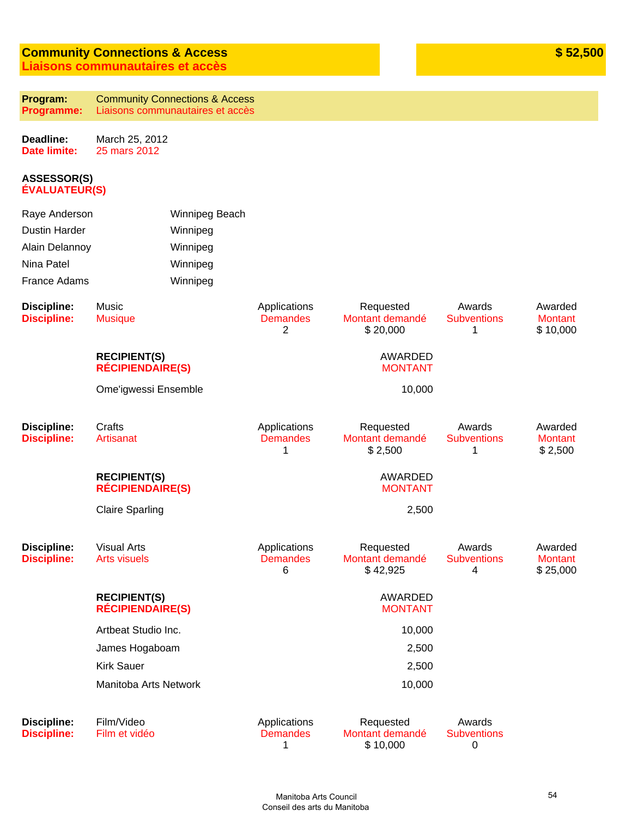#### **Community Connections & Access Liaisons communautaires et accès**

| Program:   | <b>Community Connections &amp; Access</b> |
|------------|-------------------------------------------|
| Programme: | Liaisons communautaires et accès          |

**Deadline: Date limite:** March 25, 2012 25 mars 2012

#### **ASSESSOR(S) ÉVALUATEUR(S)**

| Raye Anderson<br><b>Dustin Harder</b><br>Alain Delannoy<br>Nina Patel<br>France Adams |                                                | Winnipeg Beach<br>Winnipeg<br>Winnipeg<br>Winnipeg<br>Winnipeg |                                      |                                          |                                   |                                       |
|---------------------------------------------------------------------------------------|------------------------------------------------|----------------------------------------------------------------|--------------------------------------|------------------------------------------|-----------------------------------|---------------------------------------|
| <b>Discipline:</b><br><b>Discipline:</b>                                              | Music<br><b>Musique</b>                        |                                                                | Applications<br><b>Demandes</b><br>2 | Requested<br>Montant demandé<br>\$20,000 | Awards<br><b>Subventions</b><br>1 | Awarded<br><b>Montant</b><br>\$10,000 |
|                                                                                       | <b>RECIPIENT(S)</b><br><b>RÉCIPIENDAIRE(S)</b> |                                                                |                                      | <b>AWARDED</b><br><b>MONTANT</b>         |                                   |                                       |
|                                                                                       | Ome'igwessi Ensemble                           |                                                                |                                      | 10,000                                   |                                   |                                       |
| <b>Discipline:</b><br><b>Discipline:</b>                                              | Crafts<br>Artisanat                            |                                                                | Applications<br><b>Demandes</b><br>1 | Requested<br>Montant demandé<br>\$2,500  | Awards<br><b>Subventions</b><br>1 | Awarded<br><b>Montant</b><br>\$2,500  |
|                                                                                       | <b>RECIPIENT(S)</b><br><b>RÉCIPIENDAIRE(S)</b> |                                                                |                                      | <b>AWARDED</b><br><b>MONTANT</b>         |                                   |                                       |
|                                                                                       | <b>Claire Sparling</b>                         |                                                                |                                      | 2,500                                    |                                   |                                       |
| <b>Discipline:</b><br><b>Discipline:</b>                                              | <b>Visual Arts</b><br><b>Arts visuels</b>      |                                                                | Applications<br><b>Demandes</b><br>6 | Requested<br>Montant demandé<br>\$42,925 | Awards<br><b>Subventions</b><br>4 | Awarded<br><b>Montant</b><br>\$25,000 |
|                                                                                       | <b>RECIPIENT(S)</b><br><b>RÉCIPIENDAIRE(S)</b> |                                                                |                                      | AWARDED<br><b>MONTANT</b>                |                                   |                                       |
|                                                                                       | Artbeat Studio Inc.                            |                                                                |                                      | 10,000                                   |                                   |                                       |
|                                                                                       | James Hogaboam                                 |                                                                |                                      | 2,500                                    |                                   |                                       |
|                                                                                       | <b>Kirk Sauer</b>                              |                                                                |                                      | 2,500                                    |                                   |                                       |
|                                                                                       | Manitoba Arts Network                          |                                                                |                                      | 10,000                                   |                                   |                                       |
| <b>Discipline:</b><br><b>Discipline:</b>                                              | Film/Video<br>Film et vidéo                    |                                                                | Applications<br><b>Demandes</b><br>1 | Requested<br>Montant demandé<br>\$10,000 | Awards<br><b>Subventions</b><br>0 |                                       |

**\$ 52,500**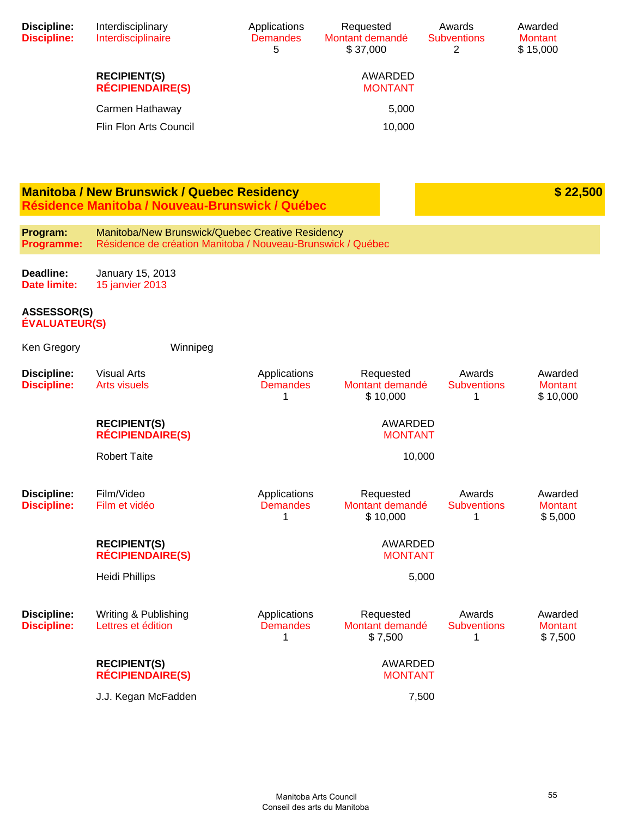| <b>Discipline:</b><br><b>Discipline:</b>   | Interdisciplinary<br>Interdisciplinaire                                                                         | Applications<br><b>Demandes</b><br>5 | Requested<br>Montant demandé<br>\$37,000 | Awards<br><b>Subventions</b><br>2 | Awarded<br><b>Montant</b><br>\$15,000 |
|--------------------------------------------|-----------------------------------------------------------------------------------------------------------------|--------------------------------------|------------------------------------------|-----------------------------------|---------------------------------------|
|                                            | <b>RECIPIENT(S)</b><br><b>RÉCIPIENDAIRE(S)</b>                                                                  |                                      | AWARDED<br><b>MONTANT</b>                |                                   |                                       |
|                                            | Carmen Hathaway                                                                                                 |                                      | 5,000                                    |                                   |                                       |
|                                            | Flin Flon Arts Council                                                                                          |                                      | 10,000                                   |                                   |                                       |
|                                            |                                                                                                                 |                                      |                                          |                                   |                                       |
|                                            | <b>Manitoba / New Brunswick / Quebec Residency</b><br>Résidence Manitoba / Nouveau-Brunswick / Québec           |                                      |                                          |                                   | \$22,500                              |
| Program:<br>Programme:                     | Manitoba/New Brunswick/Quebec Creative Residency<br>Résidence de création Manitoba / Nouveau-Brunswick / Québec |                                      |                                          |                                   |                                       |
| Deadline:<br>Date limite:                  | January 15, 2013<br><b>15 janvier 2013</b>                                                                      |                                      |                                          |                                   |                                       |
| <b>ASSESSOR(S)</b><br><b>ÉVALUATEUR(S)</b> |                                                                                                                 |                                      |                                          |                                   |                                       |
| Ken Gregory                                | Winnipeg                                                                                                        |                                      |                                          |                                   |                                       |
| <b>Discipline:</b><br><b>Discipline:</b>   | <b>Visual Arts</b><br><b>Arts visuels</b>                                                                       | Applications<br><b>Demandes</b><br>1 | Requested<br>Montant demandé<br>\$10,000 | Awards<br><b>Subventions</b><br>1 | Awarded<br><b>Montant</b><br>\$10,000 |
|                                            | <b>RECIPIENT(S)</b><br><b>RÉCIPIENDAIRE(S)</b>                                                                  |                                      | <b>AWARDED</b><br><b>MONTANT</b>         |                                   |                                       |
|                                            | <b>Robert Taite</b>                                                                                             |                                      | 10,000                                   |                                   |                                       |
| <b>Discipline:</b><br><b>Discipline:</b>   | Film/Video<br>Film et vidéo                                                                                     | Applications<br><b>Demandes</b><br>1 | Requested<br>Montant demandé<br>\$10,000 | Awards<br><b>Subventions</b><br>1 | Awarded<br><b>Montant</b><br>\$5,000  |
|                                            | <b>RECIPIENT(S)</b><br><b>RÉCIPIENDAIRE(S)</b>                                                                  |                                      | AWARDED<br><b>MONTANT</b>                |                                   |                                       |
|                                            | <b>Heidi Phillips</b>                                                                                           |                                      | 5,000                                    |                                   |                                       |
| <b>Discipline:</b><br><b>Discipline:</b>   | Writing & Publishing<br>Lettres et édition                                                                      | Applications<br><b>Demandes</b><br>1 | Requested<br>Montant demandé<br>\$7,500  | Awards<br><b>Subventions</b><br>1 | Awarded<br><b>Montant</b><br>\$7,500  |
|                                            | <b>RECIPIENT(S)</b><br><b>RÉCIPIENDAIRE(S)</b>                                                                  |                                      | AWARDED<br><b>MONTANT</b>                |                                   |                                       |

**RÉCIPIENDAIRE(S)** J.J. Kegan McFadden 7,500

> Manitoba Arts Council Conseil des arts du Manitoba